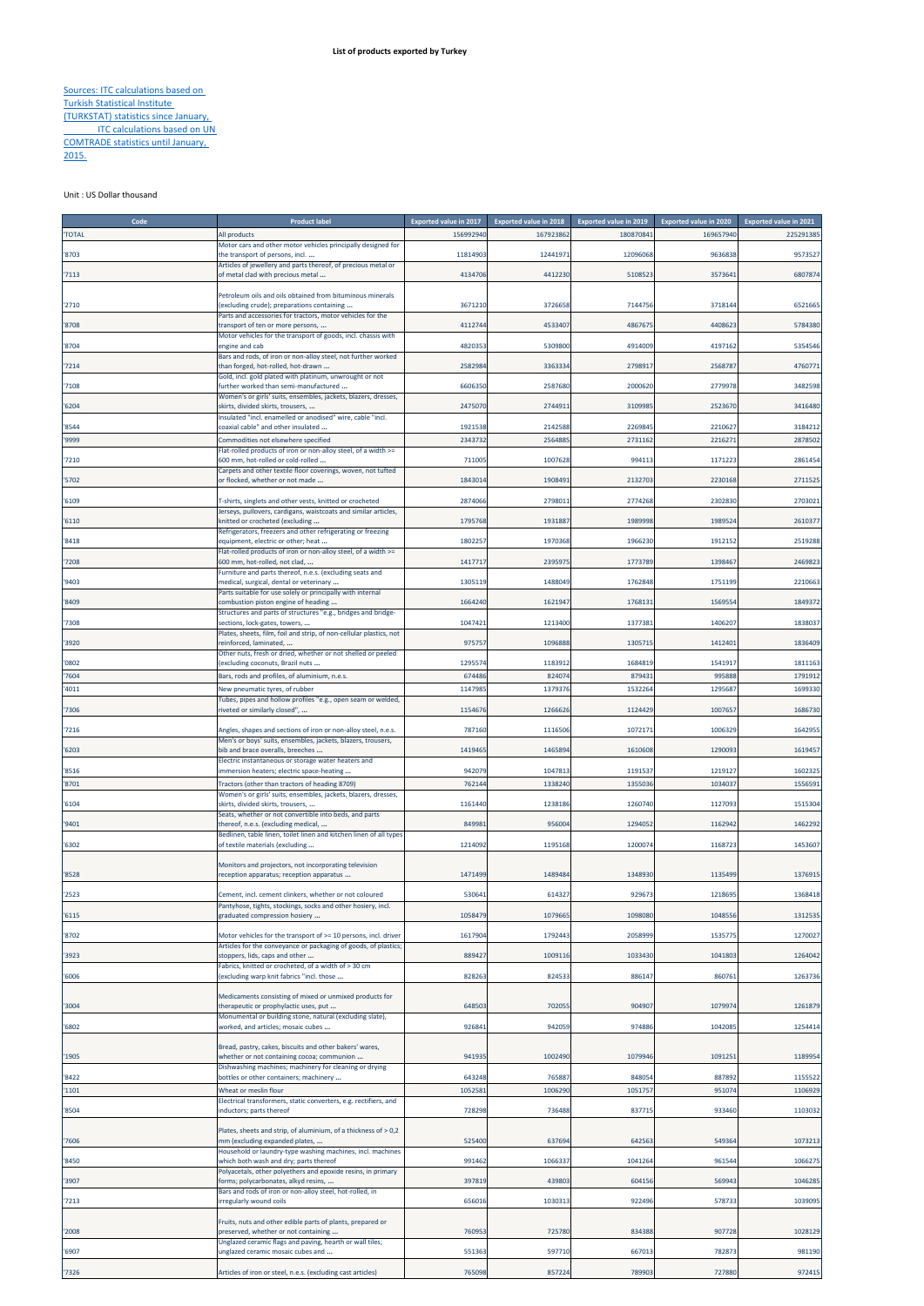## Sources: ITC calculations based on Turkish Statistical Institute (TURKSTAT) statistics since January, **ITC calculations based on UN** COMTRADE statistics until January,

2015.

Unit : US Dollar thousand

| Code         | <b>Product label</b>                                                                                   | <b>Exported value in 2017</b> | <b>Exported value in 2018</b> | <b>Exported value in 2019</b> | <b>Exported value in 2020</b> | <b>Exported value in 2021</b> |
|--------------|--------------------------------------------------------------------------------------------------------|-------------------------------|-------------------------------|-------------------------------|-------------------------------|-------------------------------|
| <b>TOTAL</b> | All products                                                                                           | 156992940                     | 167923862                     | 180870841                     | 169657940                     | 225291385                     |
|              | Motor cars and other motor vehicles principally designed for                                           |                               |                               |                               |                               |                               |
| '8703        | the transport of persons, incl                                                                         | 11814903                      | 12441971                      | 12096068                      | 9636838                       | 9573527                       |
| '7113        | Articles of jewellery and parts thereof, of precious metal or<br>of metal clad with precious metal     | 4134706                       | 4412230                       | 510852                        | 357364                        | 680787                        |
|              |                                                                                                        |                               |                               |                               |                               |                               |
|              | Petroleum oils and oils obtained from bituminous minerals                                              |                               |                               |                               |                               |                               |
| '2710        | (excluding crude); preparations containing                                                             | 3671210                       | 3726658                       | 7144756                       | 3718144                       | 6521665                       |
| '8708        | Parts and accessories for tractors, motor vehicles for the<br>transport of ten or more persons,        | 4112744                       | 4533407                       | 4867675                       | 4408623                       | 5784380                       |
|              | Motor vehicles for the transport of goods, incl. chassis with                                          |                               |                               |                               |                               |                               |
| '8704        | engine and cab                                                                                         | 4820353                       | 5309800                       | 4914009                       | 4197162                       | 5354546                       |
|              | Bars and rods, of iron or non-alloy steel, not further worked                                          |                               |                               |                               |                               |                               |
| '7214        | than forged, hot-rolled, hot-drawn<br>Gold, incl. gold plated with platinum, unwrought or not          | 2582984                       | 3363334                       | 279891                        | 256878                        | 4760771                       |
| '7108        | further worked than semi-manufactured                                                                  | 6606350                       | 2587680                       | 2000620                       | 277997                        | 3482598                       |
|              | Women's or girls' suits, ensembles, jackets, blazers, dresses,                                         |                               |                               |                               |                               |                               |
| '6204        | skirts, divided skirts, trousers,<br>Insulated "incl. enamelled or anodised" wire, cable "incl.        | 2475070                       | 2744911                       | 3109985                       | 2523670                       | 3416480                       |
| '8544        | coaxial cable" and other insulated                                                                     | 1921538                       | 2142588                       | 226984                        | 221062                        | 3184212                       |
| '9999        | Commodities not elsewhere specified                                                                    | 2343732                       | 2564885                       | 273116                        | 221627                        | 2878502                       |
|              | Flat-rolled products of iron or non-alloy steel, of a width >=                                         |                               |                               |                               |                               |                               |
| 7210         | 600 mm, hot-rolled or cold-rolled                                                                      | 711005                        | 1007628                       | 994113                        | 1171223                       | 2861454                       |
| '5702        | Carpets and other textile floor coverings, woven, not tufted<br>or flocked, whether or not made        | 1843014                       | 1908491                       | 2132703                       | 2230168                       | 271152                        |
|              |                                                                                                        |                               |                               |                               |                               |                               |
| '6109        | T-shirts, singlets and other vests, knitted or crocheted                                               | 2874066                       | 279801                        | 2774268                       | 2302830                       | 270302                        |
|              | lerseys, pullovers, cardigans, waistcoats and similar articles,                                        |                               |                               |                               |                               |                               |
| '6110        | knitted or crocheted (excluding<br>Refrigerators, freezers and other refrigerating or freezing         | 1795768                       | 1931887                       | 198999                        | 198952                        | 261037                        |
| '8418        | equipment, electric or other; heat                                                                     | 1802257                       | 1970368                       | 1966230                       | 1912152                       | 2519288                       |
|              | Flat-rolled products of iron or non-alloy steel, of a width >=                                         |                               |                               |                               |                               |                               |
| '7208        | 500 mm, hot-rolled, not clad,                                                                          | 1417717                       | 2395975                       | 1773789                       | 1398467                       | 2469823                       |
| '9403        | Furniture and parts thereof, n.e.s. (excluding seats and<br>medical, surgical, dental or veterinary    | 1305119                       | 1488049                       | 176284                        | 175119                        | 221066                        |
|              | Parts suitable for use solely or principally with internal                                             |                               |                               |                               |                               |                               |
| '8409        | combustion piston engine of heading                                                                    | 1664240                       | 1621947                       | 176813                        | 156955                        | 1849372                       |
|              | Structures and parts of structures "e.g., bridges and bridge-                                          |                               |                               |                               |                               |                               |
| '7308        | sections, lock-gates, towers,<br>Plates, sheets, film, foil and strip, of non-cellular plastics, not   | 1047421                       | 1213400                       | 137738                        | 1406207                       | 1838037                       |
| '3920        | reinforced, laminated,                                                                                 | 975757                        | 1096888                       | 130571                        | 141240                        | 1836409                       |
|              | Other nuts, fresh or dried, whether or not shelled or peeled                                           |                               |                               |                               |                               |                               |
| '0802        | (excluding coconuts, Brazil nuts                                                                       | 1295574                       | 1183912                       | 1684819                       | 154191                        | 1811163                       |
| '7604        | Bars, rods and profiles, of aluminium, n.e.s.                                                          | 674486                        | 824074                        | 87943                         | 995888                        | 179191                        |
| '4011        | New pneumatic tyres, of rubber                                                                         | 1147985                       | 1379376                       | 1532264                       | 1295687                       | 1699330                       |
| '7306        | Tubes, pipes and hollow profiles "e.g., open seam or welded,<br>riveted or similarly closed",          | 1154676                       | 1266626                       | 1124429                       | 100765                        | 1686730                       |
|              |                                                                                                        |                               |                               |                               |                               |                               |
| '7216        | Angles, shapes and sections of iron or non-alloy steel, n.e.s.                                         | 787160                        | 1116506                       | 1072171                       | 1006329                       | 1642955                       |
|              | Men's or boys' suits, ensembles, jackets, blazers, trousers,                                           |                               |                               |                               |                               |                               |
| '6203        | bib and brace overalls, breeches<br>Electric instantaneous or storage water heaters and                | 1419465                       | 1465894                       | 1610608                       | 129009                        | 1619457                       |
| '8516        | mmersion heaters; electric space-heating                                                               | 942079                        | 1047813                       | 1191537                       | 1219127                       | 1602325                       |
| '8701        | Tractors (other than tractors of heading 8709)                                                         | 762144                        | 1338240                       | 1355036                       | 1034037                       | 1556591                       |
|              | Women's or girls' suits, ensembles, jackets, blazers, dresses,                                         |                               |                               |                               |                               |                               |
| 1604         | skirts, divided skirts, trousers,                                                                      | 1161440                       | 1238186                       | 1260740                       | 1127093                       | 1515304                       |
| '9401        | Seats, whether or not convertible into beds, and parts<br>thereof, n.e.s. (excluding medical,          | 849981                        | 956004                        | 1294052                       | 1162942                       | 1462292                       |
|              | Bedlinen, table linen, toilet linen and kitchen linen of all types                                     |                               |                               |                               |                               |                               |
| '6302        | of textile materials (excluding                                                                        | 1214092                       | 1195168                       | 120007                        | 116872                        | 1453607                       |
|              |                                                                                                        |                               |                               |                               |                               |                               |
| '8528        | Monitors and projectors, not incorporating television<br>reception apparatus; reception apparatus      | 1471499                       | 1489484                       | 134893                        | 113549                        | 1376915                       |
|              |                                                                                                        |                               |                               |                               |                               |                               |
| '2523        | Cement, incl. cement clinkers, whether or not coloured                                                 | 530641                        | 614327                        | 929673                        | 1218695                       | 1368418                       |
|              | Pantyhose, tights, stockings, socks and other hosiery, incl.                                           |                               |                               |                               |                               |                               |
| '6115        | eraduated compression hosiery                                                                          | 1058479                       | 1079665                       | 1098080                       | 1048556                       | 1312535                       |
| '8702        | Motor vehicles for the transport of >= 10 persons, incl. driver                                        | 161790                        | 1792443                       | 2058999                       | 153577                        | 1270027                       |
|              | Articles for the conveyance or packaging of goods, of plastics                                         |                               |                               |                               |                               |                               |
| '3923        | stoppers, lids, caps and other<br>Fabrics, knitted or crocheted, of a width of > 30 cm                 | 889427                        | 1009116                       | 1033430                       | 1041803                       | 1264042                       |
| '6006        | excluding warp knit fabrics "incl. those                                                               | 828263                        | 824533                        | 886147                        | 860763                        | 1263736                       |
|              |                                                                                                        |                               |                               |                               |                               |                               |
|              | Medicaments consisting of mixed or unmixed products for                                                |                               |                               |                               |                               |                               |
| '3004        | therapeutic or prophylactic uses, put<br>Monumental or building stone, natural (excluding slate),      | 648503                        | 702055                        | 904907                        | 107997                        | 1261879                       |
| '6802        | worked, and articles; mosaic cubes                                                                     | 926841                        | 942059                        | 974886                        | 104208                        | 1254414                       |
|              |                                                                                                        |                               |                               |                               |                               |                               |
|              | Bread, pastry, cakes, biscuits and other bakers' wares,                                                |                               |                               |                               |                               |                               |
| '1905        | whether or not containing cocoa; communion<br>Dishwashing machines; machinery for cleaning or drying   | 941935                        | 1002490                       | 1079946                       | 109125                        | 1189954                       |
| '8422        | bottles or other containers; machinery                                                                 | 643248                        | 765887                        | 848054                        | 887892                        | 1155522                       |
| '1101        | Wheat or meslin flour                                                                                  | 1052581                       | 1006290                       | 105175                        | 95107                         | 1106929                       |
|              | Electrical transformers, static converters, e.g. rectifiers, and                                       |                               |                               |                               |                               |                               |
| '8504        | inductors; parts thereof                                                                               | 728298                        | 736488                        | 837715                        | 933460                        | 1103032                       |
|              | Plates, sheets and strip, of aluminium, of a thickness of > 0,2                                        |                               |                               |                               |                               |                               |
| '7606        | mm (excluding expanded plates,                                                                         | 525400                        | 637694                        | 64256                         | 54936                         | 1073213                       |
|              | Household or laundry-type washing machines, incl. machines                                             |                               |                               |                               |                               |                               |
| '8450        | which both wash and dry; parts thereof<br>Polyacetals, other polyethers and epoxide resins, in primary | 991462                        | 1066337                       | 1041264                       | 961544                        | 1066275                       |
| '3907        | forms; polycarbonates, alkyd resins,                                                                   | 397819                        | 439803                        | 604156                        | 569943                        | 1046285                       |
|              | Bars and rods of iron or non-alloy steel, hot-rolled, in                                               |                               |                               |                               |                               |                               |
| '7213        | irregularly wound coils                                                                                | 656016                        | 1030313                       | 922496                        | 57873                         | 1039095                       |
|              | Fruits, nuts and other edible parts of plants, prepared or                                             |                               |                               |                               |                               |                               |
| '2008        | oreserved, whether or not containing                                                                   | 760953                        | 725780                        | 834388                        | 90772                         | 1028129                       |
|              | Unglazed ceramic flags and paving, hearth or wall tiles;                                               |                               |                               |                               |                               |                               |
| '6907        | unglazed ceramic mosaic cubes and                                                                      | 551363                        | 597710                        | 66701                         | 78287                         | 981190                        |
| '7326        | Articles of iron or steel, n.e.s. (excluding cast articles)                                            | 765098                        | 857224                        | 789903                        | 727880                        | 972415                        |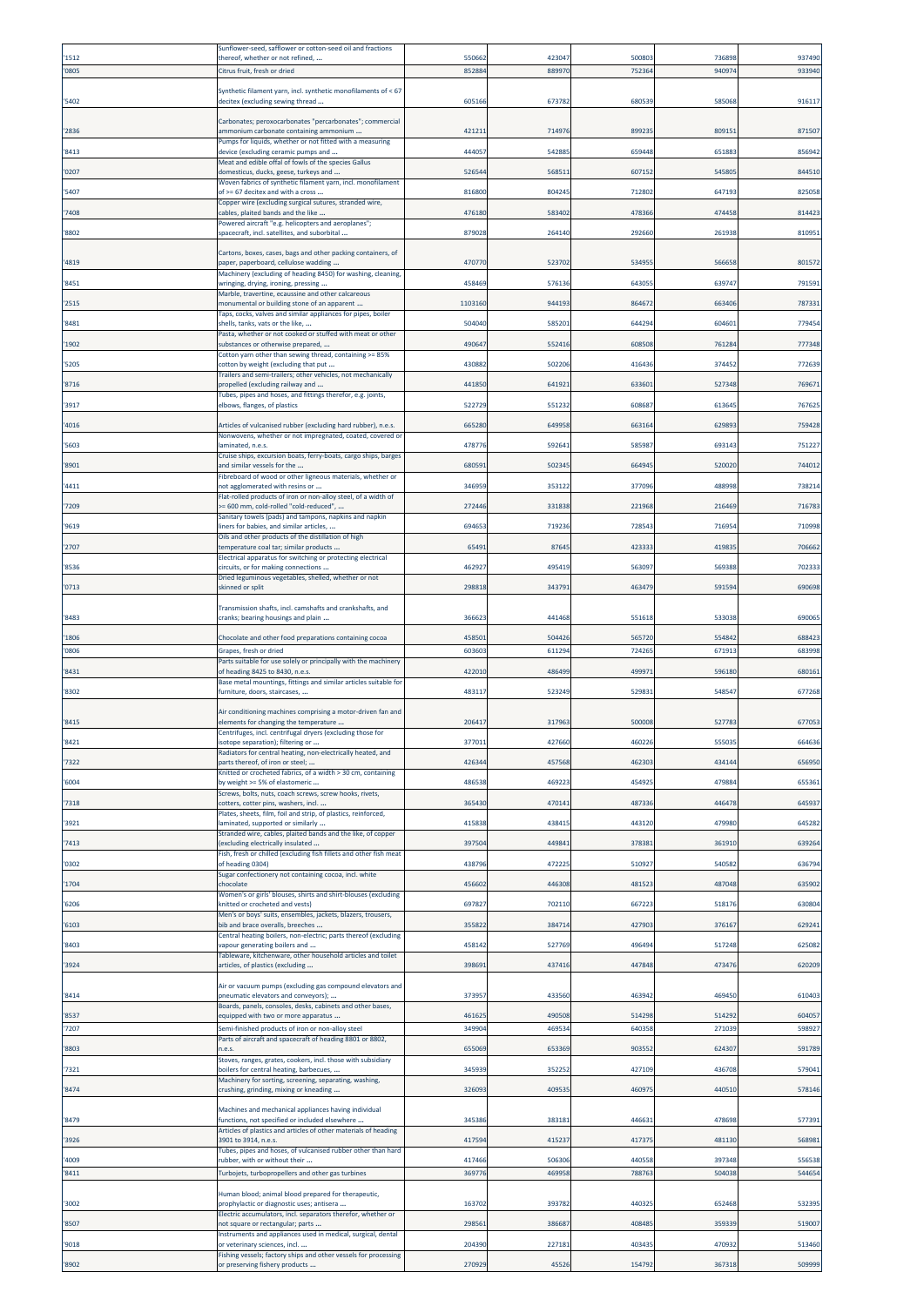|                | Sunflower-seed, safflower or cotton-seed oil and fractions                                                                                                       |                  |                  |                  |                 |                 |
|----------------|------------------------------------------------------------------------------------------------------------------------------------------------------------------|------------------|------------------|------------------|-----------------|-----------------|
| '1512          | thereof, whether or not refined,                                                                                                                                 | 550662           | 423047           | 50080            | 73689           | 937490          |
| '0805          | Citrus fruit, fresh or dried                                                                                                                                     | 852884           | 889970           | 75236            | 94097           | 933940          |
| '5402          | Synthetic filament yarn, incl. synthetic monofilaments of < 67<br>decitex (excluding sewing thread                                                               | 60516            | 673782           | 68053            | 58506           | 916117          |
|                | Carbonates; peroxocarbonates "percarbonates"; commercial                                                                                                         |                  |                  |                  |                 |                 |
| '2836          | ammonium carbonate containing ammonium<br>Pumps for liquids, whether or not fitted with a measuring                                                              | 42121            | 714976           | 89923            | 80915           | 871507          |
| '8413          | device (excluding ceramic pumps and                                                                                                                              | 44405            | 542885           | 65944            | 65188           | 85694           |
| '0207          | Meat and edible offal of fowls of the species Gallus<br>domesticus, ducks, geese, turkeys and                                                                    | 52654            | 568511           | 60715            | 54580           | 844510          |
| '5407          | Woven fabrics of synthetic filament yarn, incl. monofilament<br>of >= 67 decitex and with a cross                                                                | 816800           | 804245           | 712802           | 64719           | 825058          |
| '7408          | Copper wire (excluding surgical sutures, stranded wire,<br>cables, plaited bands and the like                                                                    | 476180           | 583402           | 478366           | 47445           | 814423          |
| '8802          | Powered aircraft "e.g. helicopters and aeroplanes";<br>spacecraft, incl. satellites, and suborbital                                                              | 879028           | 264140           | 292660           | 26193           | 81095           |
|                |                                                                                                                                                                  |                  |                  |                  |                 |                 |
| '4819          | Cartons, boxes, cases, bags and other packing containers, of<br>paperboard, cellulose wadding.                                                                   | 47077            | 523702           | 53495            | 56665           | 801572          |
| '8451          | Machinery (excluding of heading 8450) for washing, cleaning,<br>wringing, drying, ironing, pressing                                                              | 458469           | 576136           | 64305            | 63974           | 791591          |
| '2515          | Marble, travertine, ecaussine and other calcareous<br>monumental or building stone of an apparent                                                                | 1103160          | 944193           | 86467            | 66340           | 78733           |
| '8481          | Taps, cocks, valves and similar appliances for pipes, boiler<br>shells, tanks, vats or the like,                                                                 | 504040           | 585201           | 644294           | 60460           | 77945           |
| '1902          | Pasta, whether or not cooked or stuffed with meat or other<br>substances or otherwise prepared,                                                                  | 490647           | 552416           | 60850            | 76128           | 777348          |
|                | Cotton yarn other than sewing thread, containing >= 85%                                                                                                          |                  |                  |                  |                 |                 |
| '5205          | cotton by weight (excluding that put<br>Trailers and semi-trailers; other vehicles, not mechanically                                                             | 430882           | 502206           | 416436           | 37445           | 772639          |
| '8716          | propelled (excluding railway and<br>Tubes, pipes and hoses, and fittings therefor, e.g. joints,                                                                  | 441850           | 641921           | 63360            | 52734           | 76967           |
| '3917          | elbows, flanges, of plastics                                                                                                                                     | 522729           | 551232           | 60868            | 61364           | 76762           |
| '4016          | Articles of vulcanised rubber (excluding hard rubber), n.e.s.<br>Nonwovens, whether or not impregnated, coated, covered or                                       | 665280           | 649958           | 663164           | 62989           | 759428          |
| '5603          | laminated, n.e.s.                                                                                                                                                | 478776           | 592641           | 585987           | 69314           | 751227          |
| '8901          | Cruise ships, excursion boats, ferry-boats, cargo ships, barges<br>and similar vessels for the                                                                   | 680591           | 502345           | 664945           | 520020          | 74401           |
| '4411          | Fibreboard of wood or other ligneous materials, whether or<br>not agglomerated with resins or                                                                    | 346959           | 353122           | 377096           | 48899           | 738214          |
| '7209          | Flat-rolled products of iron or non-alloy steel, of a width of<br>= 600 mm, cold-rolled "cold-reduced",                                                          | 272446           | 331838           | 221968           | 21646           | 716783          |
| '9619          | Sanitary towels (pads) and tampons, napkins and napkin<br>iners for babies, and similar articles,                                                                | 694653           | 719236           | 72854            | 71695           | 710998          |
| '2707          | Oils and other products of the distillation of high<br>temperature coal tar; similar products                                                                    | 6549             | 87645            | 423333           | 41983           | 70666           |
|                | Electrical apparatus for switching or protecting electrical                                                                                                      | 46292            | 495419           | 56309            | 56938           | 70233           |
| '8536          | circuits, or for making connections<br>Dried leguminous vegetables, shelled, whether or not                                                                      |                  |                  |                  |                 |                 |
| '0713          | skinned or split                                                                                                                                                 | 298818           | 343791           | 463479           | 59159           | 690698          |
| '8483          | Transmission shafts, incl. camshafts and crankshafts, and<br>cranks; bearing housings and plain                                                                  | 366623           | 441468           | 551618           | 533038          | 690065          |
| '1806          | Chocolate and other food preparations containing cocoa                                                                                                           | 458501           | 504426           | 56572            | 55484           | 68842           |
| '0806          | Grapes, fresh or dried                                                                                                                                           | 603603           | 611294           | 724265           | 67191           | 683998          |
| '8431          | Parts suitable for use solely or principally with the machinery<br>of heading 8425 to 8430, n.e.s.                                                               | 422010           | 486499           | 49997            | 596180          | 68016           |
| '8302          | Base metal mountings, fittings and similar articles suitable for<br>furniture, doors, staircases,                                                                | 48311            | 523249           | 52983            | 54854           | 677268          |
|                | Air conditioning machines comprising a motor-driven fan and                                                                                                      |                  |                  |                  |                 |                 |
| '8415          | elements for changing the temperature<br>Centrifuges, incl. centrifugal dryers (excluding those for                                                              | 206417           | 317963           | 50000            | 52778           | 677053          |
| '8421          | isotope separation); filtering or<br>Radiators for central heating, non-electrically heated, and                                                                 | 37701            | 427660           | 460226           | 55503           | 664636          |
| '7322          | parts thereof, of iron or steel;                                                                                                                                 | 42634            | 457568           | 46230            | 43414           | 656950          |
| '6004          | Knitted or crocheted fabrics, of a width > 30 cm, containing<br>by weight >= 5% of elastomeric                                                                   | 486538           | 469223           | 45492            | 47988           | 655361          |
| '7318          | Screws, bolts, nuts, coach screws, screw hooks, rivets,<br>otters, cotter pins, washers, incl                                                                    | 365430           | 470141           | 487336           | 44647           | 64593           |
| '3921          | Plates, sheets, film, foil and strip, of plastics, reinforced,<br>laminated, supported or similarly                                                              | 415838           | 438415           | 44312            | 47998           | 64528           |
| '7413          | Stranded wire, cables, plaited bands and the like, of copper<br>(excluding electrically insulated                                                                | 397504           | 449841           | 378381           | 36191           | 639264          |
| '0302          | Fish, fresh or chilled (excluding fish fillets and other fish meat<br>of heading 0304)                                                                           | 438796           | 472225           | 510927           | 54058           | 636794          |
|                | Sugar confectionery not containing cocoa, incl. white                                                                                                            |                  |                  |                  |                 |                 |
| '1704          | chocolate<br>Women's or girls' blouses, shirts and shirt-blouses (excluding                                                                                      | 456602           | 446308           | 48152            | 487048          | 635902          |
| '6206          | knitted or crocheted and vests)<br>Men's or boys' suits, ensembles, jackets, blazers, trousers,                                                                  | 697827           | 702110           | 66722            | 51817           | 630804          |
| '6103          | bib and brace overalls, breeches<br>Central heating boilers, non-electric; parts thereof (excluding                                                              | 355822           | 384714           | 427903           | 376167          | 629241          |
| '8403          | vapour generating boilers and<br>Tableware, kitchenware, other household articles and toilet                                                                     | 458142           | 527769           | 496494           | 51724           | 625082          |
| '3924          | articles, of plastics (excluding                                                                                                                                 | 39869            | 437416           | 447848           | 47347           | 620209          |
| '8414          | Air or vacuum pumps (excluding gas compound elevators and<br>pneumatic elevators and conveyors);                                                                 | 37395            | 433560           | 46394            | 46945           | 610403          |
|                | Boards, panels, consoles, desks, cabinets and other bases,                                                                                                       |                  |                  |                  |                 | 604057          |
| '8537<br>'7207 |                                                                                                                                                                  |                  |                  |                  |                 |                 |
|                | equipped with two or more apparatus<br>Semi-finished products of iron or non-alloy steel                                                                         | 461625<br>349904 | 490508<br>469534 | 514298<br>640358 | 514292<br>27103 | 598927          |
|                | Parts of aircraft and spacecraft of heading 8801 or 8802,                                                                                                        |                  |                  |                  |                 |                 |
| '8803          | i.e.s.<br>Stoves, ranges, grates, cookers, incl. those with subsidiary                                                                                           | 655069           | 653369           | 903552           | 62430           | 591789          |
| '7321          | boilers for central heating, barbecues,<br>Machinery for sorting, screening, separating, washing,                                                                | 34593            | 352252           | 427109           | 43670           | 57904           |
| '8474          | crushing, grinding, mixing or kneading                                                                                                                           | 326093           | 409535           | 46097            | 44051           | 578146          |
| '8479          | Machines and mechanical appliances having individual<br>functions, not specified or included elsewhere                                                           | 34538            | 383181           | 44663            | 47869           | 577391          |
| '3926          | Articles of plastics and articles of other materials of heading<br>3901 to 3914, n.e.s.                                                                          | 41759            | 415237           | 417375           | 48113           | 568981          |
|                | Tubes, pipes and hoses, of vulcanised rubber other than hard                                                                                                     | 417466           | 506306           | 440558           | 397348          |                 |
| '4009<br>'8411 | rubber, with or without their<br>Turbojets, turbopropellers and other gas turbines                                                                               | 369776           | 469958           | 78876            | 50403           | 556538<br>54465 |
|                | Human blood; animal blood prepared for therapeutic,                                                                                                              |                  |                  |                  |                 |                 |
| '3002          | prophylactic or diagnostic uses; antisera<br>Electric accumulators, incl. separators therefor, whether or                                                        | 163702           | 393782           | 440325           | 652468          | 532395          |
| '8507          | not square or rectangular; parts                                                                                                                                 | 298561           | 386687           | 408485           | 35933           | 519007          |
| '9018          | Instruments and appliances used in medical, surgical, dental<br>or veterinary sciences, incl.<br>Fishing vessels; factory ships and other vessels for processing | 204390           | 227181           | 403435           | 47093           | 513460          |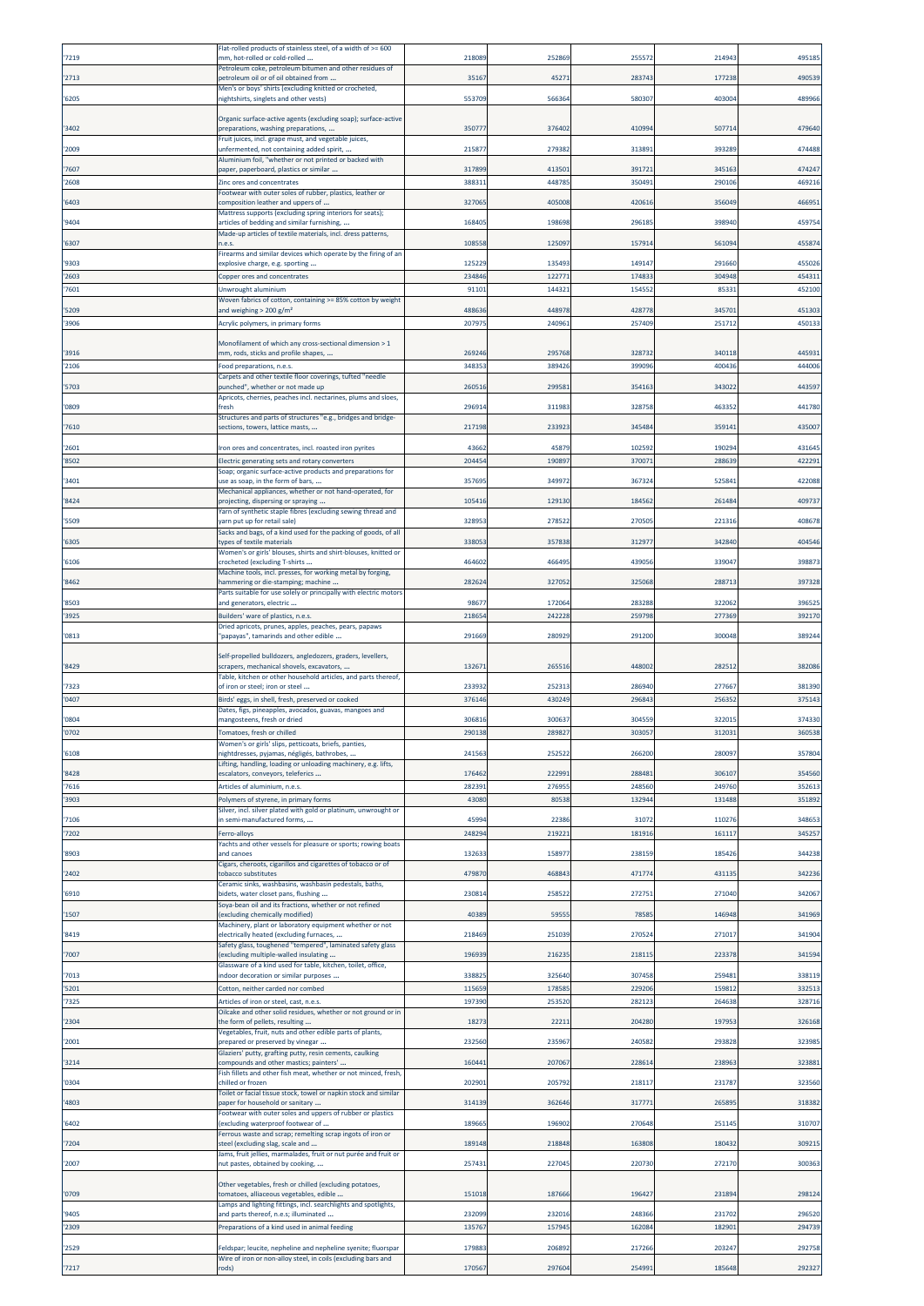|                | Flat-rolled products of stainless steel, of a width of >= 600                                                |                  |                  |                |                  |                  |
|----------------|--------------------------------------------------------------------------------------------------------------|------------------|------------------|----------------|------------------|------------------|
| '7219          | mm, hot-rolled or cold-rolled<br>Petroleum coke, petroleum bitumen and other residues of                     | 21808            | 252869           | 25557          | 21494            | 495185           |
| '2713          | petroleum oil or of oil obtained from                                                                        | 35167            | 4527             | 28374          | 177238           | 490539           |
| '6205          | Men's or boys' shirts (excluding knitted or crocheted,<br>nightshirts, singlets and other vests)             | 553709           | 566364           | 58030          | 40300            | 489966           |
|                |                                                                                                              |                  |                  |                |                  |                  |
| '3402          | Organic surface-active agents (excluding soap); surface-active<br>preparations, washing preparations,        | 35077            | 376402           | 41099          | 50771            | 479640           |
|                | Fruit juices, incl. grape must, and vegetable juices,                                                        |                  |                  |                |                  |                  |
| '2009          | unfermented, not containing added spirit,<br>Aluminium foil, "whether or not printed or backed with          | 215877           | 279382           | 31389          | 39328            | 474488           |
| '7607          | paper, paperboard, plastics or similar                                                                       | 317899           | 413501           | 391721         | 34516            | 474247           |
| '2608          | Zinc ores and concentrates                                                                                   | 388311           | 448785           | 350491         | 290106           | 469216           |
| '6403          | Footwear with outer soles of rubber, plastics, leather or<br>composition leather and uppers of               | 327065           | 405008           | 42061          | 356049           | 466951           |
|                | Mattress supports (excluding spring interiors for seats);                                                    |                  |                  |                |                  |                  |
| '9404          | articles of bedding and similar furnishing,<br>Made-up articles of textile materials, incl. dress patterns,  | 168405           | 198698           | 29618          | 39894            | 45975            |
| '6307          | n.e.s.                                                                                                       | 108558           | 125097           | 15791          | 56109            | 455874           |
| '9303          | Firearms and similar devices which operate by the firing of an<br>explosive charge, e.g. sporting            | 125229           | 135493           | 14914          | 291660           | 455026           |
| '2603          | Copper ores and concentrates                                                                                 | 234846           | 12277            | 17483          | 304948           | 454311           |
| '7601          | Unwrought aluminium                                                                                          | 91101            | 14432            | 15455          | 8533             | 452100           |
| 5209           | Woven fabrics of cotton, containing >= 85% cotton by weight<br>and weighing $> 200$ g/m <sup>2</sup>         | 488636           | 448978           | 42877          | 34570            | 451303           |
| '3906          | Acrylic polymers, in primary forms                                                                           | 207975           | 24096            | 25740          | 25171            | 45013            |
|                |                                                                                                              |                  |                  |                |                  |                  |
| '3916          | Monofilament of which any cross-sectional dimension > 1<br>mm, rods, sticks and profile shapes,              | 269246           | 295768           | 32873          | 340118           | 445931           |
| '2106          | Food preparations, n.e.s.                                                                                    | 348353           | 389426           | 399096         | 400436           | 444006           |
|                | Carpets and other textile floor coverings, tufted "needle                                                    |                  |                  |                |                  | 443597           |
| '5703          | punched", whether or not made up<br>Apricots, cherries, peaches incl. nectarines, plums and sloes,           | 260516           | 29958            | 35416          | 34302            |                  |
| '0809          | fresh                                                                                                        | 296914           | 311983           | 328758         | 46335            | 441780           |
| '7610          | Structures and parts of structures "e.g., bridges and bridge-<br>sections, towers, lattice masts,            | 217198           | 233923           | 345484         | 35914            | 435007           |
|                |                                                                                                              |                  |                  |                |                  |                  |
| '2601<br>'8502 | Iron ores and concentrates, incl. roasted iron pyrites                                                       | 43662<br>204454  | 45879<br>190897  | 10259<br>37007 | 19029<br>288639  | 431645<br>422291 |
|                | Electric generating sets and rotary converters<br>Soap; organic surface-active products and preparations for |                  |                  |                |                  |                  |
| '3401          | use as soap, in the form of bars,                                                                            | 357695           | 349972           | 36732          | 52584            | 422088           |
| '8424          | Mechanical appliances, whether or not hand-operated, for<br>projecting, dispersing or spraying               | 105416           | 129130           | 184562         | 26148            | 409737           |
| '5509          | Yarn of synthetic staple fibres (excluding sewing thread and<br>yarn put up for retail sale)                 | 32895            | 278522           | 27050          | 22131            | 408678           |
|                | Sacks and bags, of a kind used for the packing of goods, of all                                              |                  |                  |                |                  |                  |
| '6305          | types of textile materials                                                                                   | 338053           | 357838           | 31297          | 342840           | 404546           |
| '6106          | Women's or girls' blouses, shirts and shirt-blouses, knitted or<br>crocheted (excluding T-shirts             | 464602           | 466495           | 43905          | 33904            | 398873           |
|                | Machine tools, incl. presses, for working metal by forging,                                                  |                  |                  |                |                  |                  |
| '8462          | hammering or die-stamping; machine<br>Parts suitable for use solely or principally with electric motors      | 282624           | 327052           | 32506          | 28871            | 397328           |
| '8503          | and generators, electric                                                                                     | 9867             | 172064           | 283288         | 322062           | 396525           |
| '3925          | Builders' ware of plastics, n.e.s.                                                                           | 21865            | 24222            | 25979          | 27736            | 392170           |
| '0813          | Dried apricots, prunes, apples, peaches, pears, papaws<br>'papayas", tamarinds and other edible              | 291669           | 280929           | 291200         | 300048           | 389244           |
|                | Self-propelled bulldozers, angledozers, graders, levellers,                                                  |                  |                  |                |                  |                  |
| '8429          | scrapers, mechanical shovels, excavators,                                                                    | 132671           | 265516           | 44800          | 28251            | 382086           |
|                | Table, kitchen or other household articles, and parts thereof,                                               |                  |                  |                |                  |                  |
| '7323<br>'0407 | of iron or steel; iron or steel<br>Birds' eggs, in shell, fresh, preserved or cooked                         | 233932<br>376146 | 252313<br>430249 | 28694<br>29684 | 277667<br>25635  | 381390<br>375143 |
|                | Dates, figs, pineapples, avocados, guavas, mangoes and                                                       |                  |                  |                |                  |                  |
| '0804          | mangosteens, fresh or dried                                                                                  | 306816           | 300637           | 30455          | 32201            | 374330           |
| '0702          | Tomatoes, fresh or chilled<br>Women's or girls' slips, petticoats, briefs, panties,                          | 290138           | 289827           | 303057         | 31203:           | 360538           |
| '6108          | nightdresses, pyjamas, négligés, bathrobes,                                                                  | 241563           | 252522           | 266200         | 28009            | 357804           |
| '8428          | Lifting, handling, loading or unloading machinery, e.g. lifts,<br>escalators, conveyors, teleferics          | 176462           | 222991           | 288481         | 306107           | 354560           |
| '7616          | Articles of aluminium, n.e.s                                                                                 | 282391           | 276955           | 248560         | 249760           | 352613           |
| '3903          | Polymers of styrene, in primary forms                                                                        | 43080            | 80538            | 132944         | 131488           | 351892           |
| '7106          | Silver, incl. silver plated with gold or platinum, unwrought or<br>in semi-manufactured forms,               | 45994            | 22386            | 31072          | 110276           | 348653           |
| '7202          | Ferro-alloys                                                                                                 | 248294           | 219221           | 18191          | 16111            | 345257           |
|                | Yachts and other vessels for pleasure or sports; rowing boats                                                |                  |                  |                |                  |                  |
| '8903          | and canoes<br>Cigars, cheroots, cigarillos and cigarettes of tobacco or of                                   | 132633           | 158977           | 238159         | 185426           | 344238           |
| '2402          | tobacco substitutes                                                                                          | 479870           | 468843           | 471774         | 431135           | 342236           |
| '6910          | Ceramic sinks, washbasins, washbasin pedestals, baths,<br>bidets, water closet pans, flushing                | 230814           | 258522           | 27275          | 271040           | 342067           |
|                | Soya-bean oil and its fractions, whether or not refined                                                      |                  |                  |                |                  |                  |
| '1507          | excluding chemically modified)<br>Machinery, plant or laboratory equipment whether or not                    | 40389            | 5955             | 7858           | 146948           | 341969           |
| '8419          | electrically heated (excluding furnaces,                                                                     | 218469           | 251039           | 27052          | 27101            | 341904           |
| '7007          | Safety glass, toughened "tempered", laminated safety glass<br>(excluding multiple-walled insulating          | 196939           | 216235           | 218115         | 223378           | 341594           |
|                | Glassware of a kind used for table, kitchen, toilet, office,                                                 |                  |                  |                |                  |                  |
| '7013          | indoor decoration or similar purposes                                                                        | 338825           | 325640           | 30745          | 25948            | 338119           |
| '5201          | Cotton, neither carded nor combed                                                                            | 11565            | 17858            | 229206         | 15981            | 332513           |
| '7325          | Articles of iron or steel, cast, n.e.s.<br>Oilcake and other solid residues, whether or not ground or in     | 197390           | 253520           | 28212          | 264638           | 328716           |
| '2304          | the form of pellets, resulting                                                                               | 18273            | 22211            | 204280         | 19795            | 326168           |
| '2001          | Vegetables, fruit, nuts and other edible parts of plants,<br>prepared or preserved by vinegar                | 232560           | 235967           | 24058          | 293828           | 323985           |
|                | Glaziers' putty, grafting putty, resin cements, caulking                                                     |                  |                  |                |                  |                  |
| '3214          | compounds and other mastics; painters'<br>Fish fillets and other fish meat, whether or not minced, fresh,    | 160441           | 207067           | 22861          | 238963           | 323881           |
| '0304          | chilled or frozen                                                                                            | 202901           | 205792           | 21811          | 23178            | 323560           |
| '4803          | Toilet or facial tissue stock, towel or napkin stock and similar<br>paper for household or sanitary          | 314139           | 362646           | 31777          | 26589            | 318382           |
|                | Footwear with outer soles and uppers of rubber or plastics                                                   |                  |                  |                |                  |                  |
| '6402          | (excluding waterproof footwear of<br>Ferrous waste and scrap; remelting scrap ingots of iron or              | 189665           | 196902           | 27064          | 251145           | 310707           |
| 7204           | steel (excluding slag, scale and                                                                             | 189148           | 218848           | 163808         | 180432           | 309215           |
| '2007          | Jams, fruit jellies, marmalades, fruit or nut purée and fruit or<br>nut pastes, obtained by cooking,         | 257431           | 227045           | 220730         | 272170           | 300363           |
|                |                                                                                                              |                  |                  |                |                  |                  |
| '0709          | Other vegetables, fresh or chilled (excluding potatoes,<br>comatoes, alliaceous vegetables, edible           | 151018           | 187666           | 196427         | 231894           | 298124           |
|                | Lamps and lighting fittings, incl. searchlights and spotlights,                                              |                  |                  |                |                  |                  |
| '9405          | and parts thereof, n.e.s; illuminated                                                                        | 232099           | 232016<br>157945 | 248366         | 231702<br>182901 | 296520           |
| '2309          | Preparations of a kind used in animal feeding                                                                | 135767           |                  | 162084         |                  | 294739           |
| '2529          | Feldspar; leucite, nepheline and nepheline syenite; fluorspar                                                | 179883           | 206892           | 217266         | 203247           | 292758           |
| '7217          | Wire of iron or non-alloy steel, in coils (excluding bars and<br>rods)                                       | 170567           | 297604           | 254991         | 185648           | 292327           |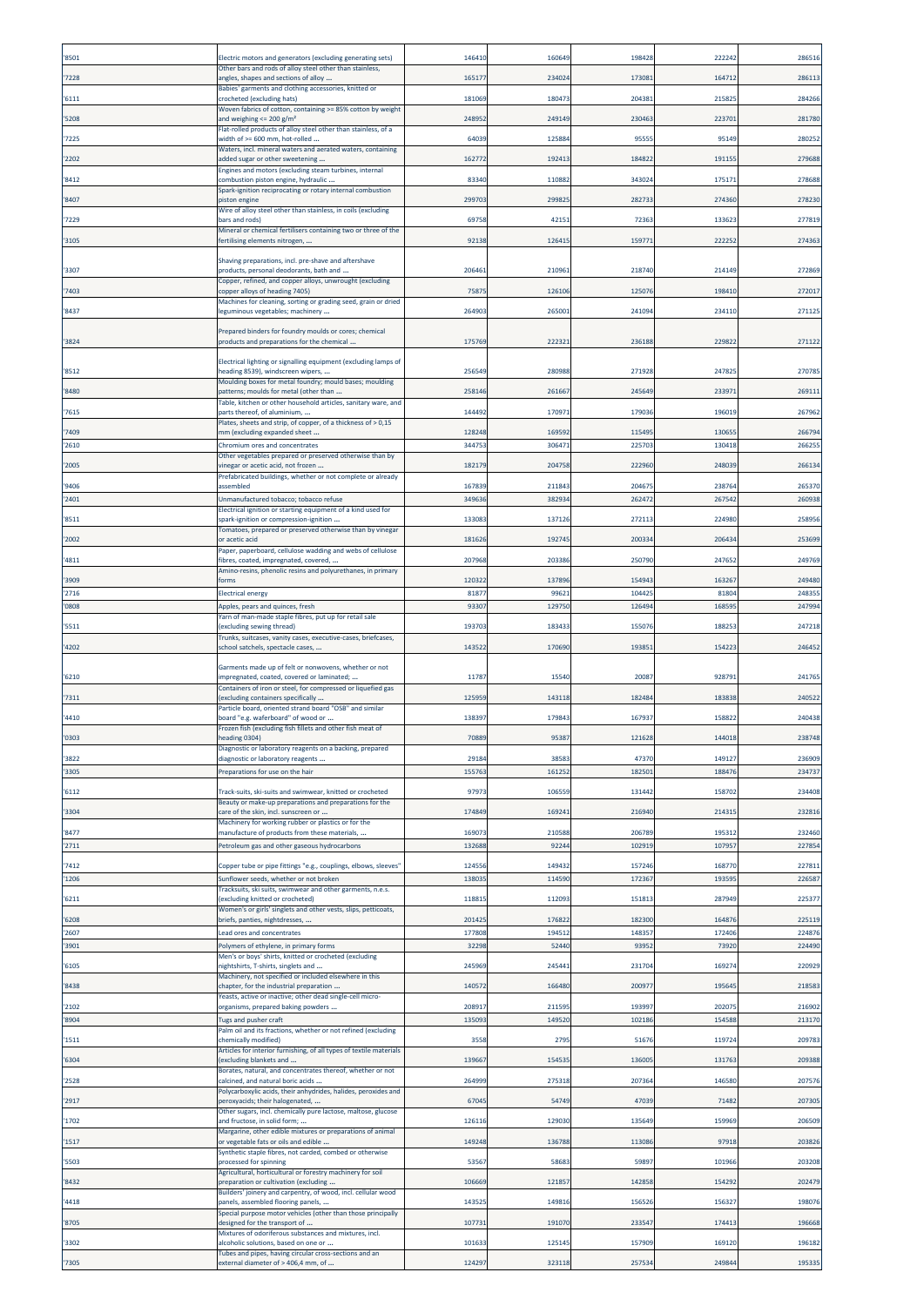| '8501          | Electric motors and generators (excluding generating sets)                                                                                               | 14641            | 160649           | 19842           | 22224           | 28651           |
|----------------|----------------------------------------------------------------------------------------------------------------------------------------------------------|------------------|------------------|-----------------|-----------------|-----------------|
| '7228          | Other bars and rods of alloy steel other than stainless,<br>angles, shapes and sections of alloy                                                         | 165177           | 234024           | 17308           | 16471           | 286113          |
| '6111          | Babies' garments and clothing accessories, knitted or<br>crocheted (excluding hats)                                                                      | 181069           | 180473           | 204381          | 21582           | 284266          |
| '5208          | Woven fabrics of cotton, containing >= 85% cotton by weight<br>and weighing <= 200 g/m <sup>2</sup>                                                      | 248952           | 249149           | 230463          | 22370           | 281780          |
| '7225          | Flat-rolled products of alloy steel other than stainless, of a<br>width of >= 600 mm, hot-rolled                                                         | 64039            | 125884           | 9555            | 95149           | 280252          |
| '2202          | Waters, incl. mineral waters and aerated waters, containing<br>added sugar or other sweetening                                                           | 162772           | 192413           | 184822          | 19115           | 279688          |
| '8412          | Ingines and motors (excluding steam turbines, internal<br>combustion piston engine, hydraulic                                                            | 83340            | 110882           | 34302           | 17517           | 27868           |
|                | Spark-ignition reciprocating or rotary internal combustion                                                                                               |                  |                  |                 |                 |                 |
| '8407          | piston engine<br>Wire of alloy steel other than stainless, in coils (excluding                                                                           | 299703           | 299825           | 28273           | 274360          | 278230          |
| '7229          | bars and rods)<br>Mineral or chemical fertilisers containing two or three of the                                                                         | 69758            | 42151            | 7236            | 13362           | 277819          |
| '3105          | rertilising elements nitrogen,                                                                                                                           | 92138            | 126415           | 159771          | 222252          | 274363          |
| '3307          | Shaving preparations, incl. pre-shave and aftershave<br>products, personal deodorants, bath and                                                          | 206461           | 210961           | 218740          | 214149          | 272869          |
| '7403          | Copper, refined, and copper alloys, unwrought (excluding<br>copper alloys of heading 7405)                                                               | 75875            | 126106           | 12507           | 19841           | 272017          |
| '8437          | Machines for cleaning, sorting or grading seed, grain or dried<br>eguminous vegetables; machinery                                                        | 264903           | 265001           | 24109           | 234110          | 271125          |
|                |                                                                                                                                                          |                  |                  |                 |                 |                 |
| '3824          | Prepared binders for foundry moulds or cores; chemical<br>oroducts and preparations for the chemical                                                     | 175769           | 222321           | 236188          | 22982           | 271122          |
|                | Electrical lighting or signalling equipment (excluding lamps of                                                                                          |                  |                  |                 |                 |                 |
| '8512          | heading 8539), windscreen wipers,<br>Moulding boxes for metal foundry; mould bases; moulding                                                             | 256549           | 280988           | 271928          | 24782           | 270785          |
| '8480          | patterns; moulds for metal (other than<br>Table, kitchen or other household articles, sanitary ware, and                                                 | 258146           | 261667           | 245649          | 23397           | 269111          |
| '7615          | parts thereof, of aluminium,<br>Plates, sheets and strip, of copper, of a thickness of > 0,15                                                            | 144492           | 170971           | 17903           | 19601           | 267962          |
| '7409          | nm (excluding expanded sheet                                                                                                                             | 128248           | 169592           | 115495          | 13065           | 266794          |
| '2610          | Chromium ores and concentrates<br>Other vegetables prepared or preserved otherwise than by                                                               | 344753           | 306471           | 225703          | 130418          | 266255          |
| '2005          | vinegar or acetic acid, not frozen<br>Prefabricated buildings, whether or not complete or already                                                        | 182179           | 204758           | 222960          | 248039          | 266134          |
| '9406<br>'2401 | issembled<br>Unmanufactured tobacco; tobacco refuse                                                                                                      | 167839<br>349636 | 211843<br>382934 | 20467<br>26247  | 23876<br>26754  | 26537<br>26093  |
| '8511          | Electrical ignition or starting equipment of a kind used for<br>spark-ignition or compression-ignition                                                   | 133083           | 137126           | 272113          | 224980          | 25895           |
|                | Tomatoes, prepared or preserved otherwise than by vinegar                                                                                                |                  |                  |                 |                 |                 |
| '2002          | or acetic acid<br>Paper, paperboard, cellulose wadding and webs of cellulose                                                                             | 181626           | 192745           | 20033           | 20643           | 253699          |
| '4811          | fibres, coated, impregnated, covered,<br>Amino-resins, phenolic resins and polyurethanes, in primary                                                     | 207968           | 203386           | 25079           | 24765           | 24976           |
| '3909<br>'2716 | forms<br><b>Electrical energy</b>                                                                                                                        | 120322<br>81877  | 137896<br>9962:  | 15494<br>10442  | 16326<br>8180   | 249480<br>24835 |
| '0808          | Apples, pears and quinces, fresh                                                                                                                         | 93307            | 129750           | 12649           | 16859           | 24799           |
| '5511          | Yarn of man-made staple fibres, put up for retail sale<br>excluding sewing thread)                                                                       | 193703           | 183433           | 15507           | 18825           | 24721           |
| '4202          | Frunks, suitcases, vanity cases, executive-cases, briefcases,<br>school satchels, spectacle cases,                                                       | 143522           | 170690           | 19385           | 15422           | 24645           |
|                | Garments made up of felt or nonwovens, whether or not                                                                                                    |                  |                  |                 |                 |                 |
| '6210          | mpregnated, coated, covered or laminated;                                                                                                                | 11787            | 15540            | 2008            | 92879           | 241765          |
| '7311          | Containers of iron or steel, for compressed or liquefied gas<br>excluding containers specifically                                                        | 125959           | 143118           | 182484          | 183838          | 240522          |
| '4410          | Particle board, oriented strand board "OSB" and similar<br>board "e.g. waferboard" of wood or                                                            | 138397           | 179843           | 16793           | 15882           | 240438          |
| 0303           | Frozen fish (excluding fish fillets and other fish meat of<br>heading 0304)                                                                              | 7088             | 9538             | 12162           | 14401           | 238748          |
| '3822          | Diagnostic or laboratory reagents on a backing, prepared<br>diagnostic or laboratory reagents                                                            | 29184            | 38583            | 47370           | 149127          | 236909          |
| '3305          | Preparations for use on the hair                                                                                                                         | 155763           | 161252           | 182501          | 18847           | 234737          |
| '6112          | Track-suits, ski-suits and swimwear, knitted or crocheted                                                                                                | 97973            | 106559           | 131442          | 158702          | 234408          |
| '3304          | Beauty or make-up preparations and preparations for the<br>care of the skin, incl. sunscreen or                                                          | 174849           | 169241           | 216940          | 21431           | 232816          |
| '8477          | Machinery for working rubber or plastics or for the<br>manufacture of products from these materials,                                                     | 169073           | 210588           | 206789          | 195312          | 232460          |
| '2711          | Petroleum gas and other gaseous hydrocarbons                                                                                                             | 132688           | 92244            | 102919          | 107957          | 227854          |
| 7412           | Copper tube or pipe fittings "e.g., couplings, elbows, sleeves"                                                                                          | 124556           | 149432           | 157246          | 168770          | 227811          |
| '1206          | Sunflower seeds, whether or not broken<br>Tracksuits, ski suits, swimwear and other garments, n.e.s.                                                     | 138035           | 114590           | 172367          | 19359           | 226587          |
|                |                                                                                                                                                          |                  |                  |                 |                 |                 |
| '6211          | excluding knitted or crocheted)<br>Women's or girls' singlets and other vests, slips, petticoats,                                                        | 118815           | 112093           | 151813          | 287949          | 225377          |
| '6208          | briefs, panties, nightdresses,                                                                                                                           | 201425           | 176822           | 182300          | 16487           | 225119          |
| '2607<br>'3901 | ead ores and concentrates<br>Polymers of ethylene, in primary forms                                                                                      | 17780<br>32298   | 194512<br>52440  | 14835<br>9395   | 17240<br>7392   | 22487<br>224490 |
| '6105          | Men's or boys' shirts, knitted or crocheted (excluding                                                                                                   | 245969           | 245441           | 231704          | 169274          | 220929          |
| '8438          | nightshirts, T-shirts, singlets and<br>Machinery, not specified or included elsewhere in this<br>chapter, for the industrial preparation                 | 140572           | 166480           | 20097           | 19564           | 218583          |
|                | Yeasts, active or inactive; other dead single-cell micro-                                                                                                |                  |                  |                 |                 |                 |
| '2102<br>'8904 | organisms, prepared baking powders<br>Tugs and pusher craft                                                                                              | 208917<br>135093 | 211595<br>149520 | 19399<br>102186 | 20207<br>154588 | 21690<br>213170 |
| '1511          | Palm oil and its fractions, whether or not refined (excluding<br>chemically modified)                                                                    | 3558             | 2795             | 51676           | 119724          | 209783          |
| '6304          | Articles for interior furnishing, of all types of textile materials<br>(excluding blankets and                                                           | 139667           | 154535           | 13600           | 13176           | 209388          |
| '2528          | Borates, natural, and concentrates thereof, whether or not<br>calcined, and natural boric acids                                                          | 264999           | 275318           | 207364          | 14658           | 20757           |
| '2917          | Polycarboxylic acids, their anhydrides, halides, peroxides and                                                                                           | 67045            | 54749            | 47039           | 71482           | 207305          |
|                | peroxyacids; their halogenated,<br>Other sugars, incl. chemically pure lactose, maltose, glucose                                                         |                  |                  |                 |                 |                 |
| '1702          | and fructose, in solid form;<br>Margarine, other edible mixtures or preparations of animal                                                               | 126116           | 129030           | 135649          | 159969          | 206509          |
| '1517          | or vegetable fats or oils and edible<br>Synthetic staple fibres, not carded, combed or otherwise                                                         | 149248           | 136788           | 113086          | 97918           | 203826          |
| '5503          | processed for spinning<br>Agricultural, horticultural or forestry machinery for soil                                                                     | 53567            | 58683            | 59897           | 101966          | 203208          |
| '8432          | preparation or cultivation (excluding<br>Builders' joinery and carpentry, of wood, incl. cellular wood                                                   | 106669           | 121857           | 142858          | 154292          | 202479          |
| '4418          | panels, assembled flooring panels,<br>Special purpose motor vehicles (other than those principally                                                       | 14352            | 149816           | 15652           | 15632           | 19807           |
| '8705          | designed for the transport of                                                                                                                            | 107731           | 191070           | 23354           | 17441           | 196668          |
| '3302          | Mixtures of odoriferous substances and mixtures, incl.<br>alcoholic solutions, based on one or<br>Tubes and pipes, having circular cross-sections and an | 101633           | 125145           | 157909          | 169120          | 196182          |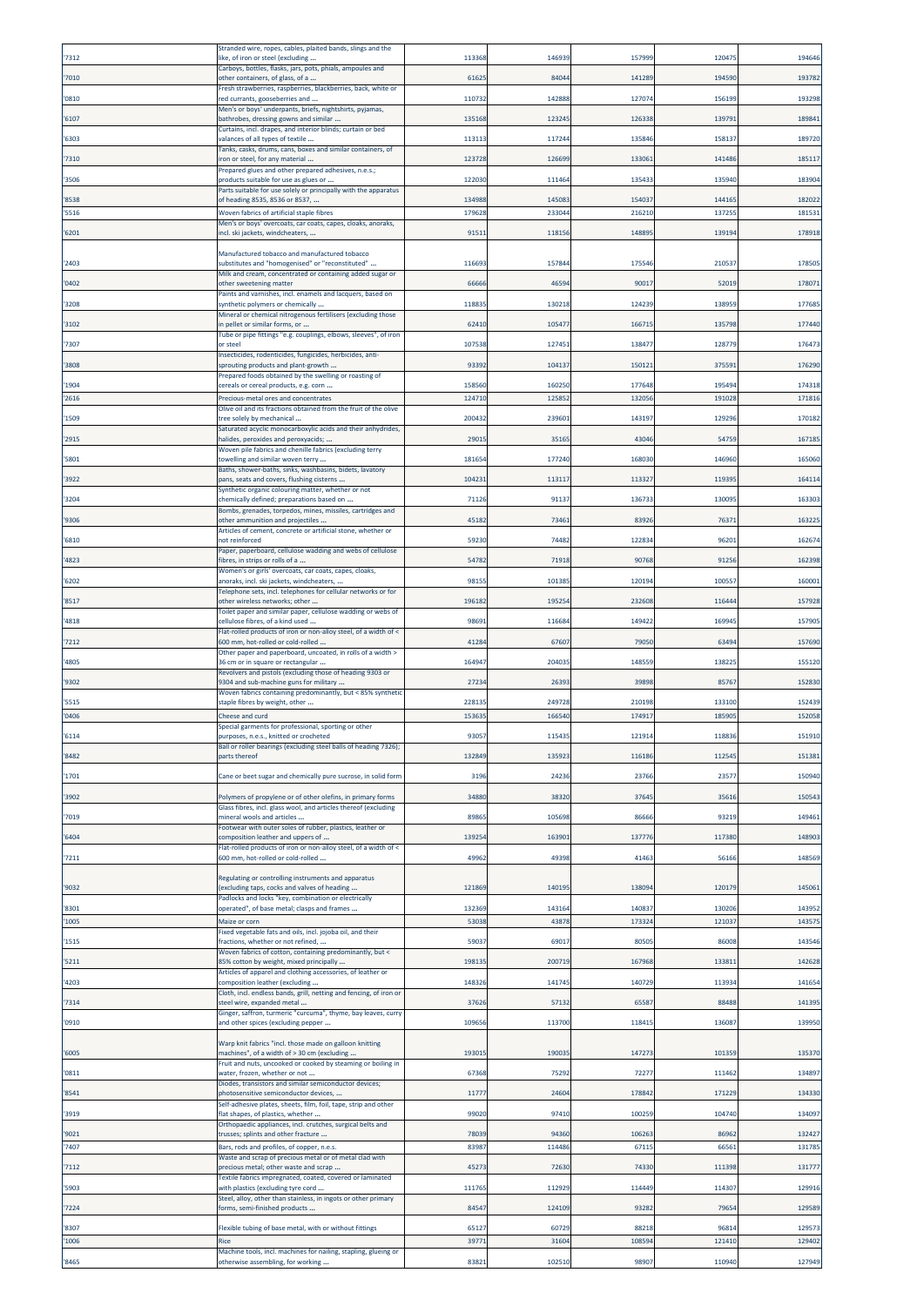| '7312          | Stranded wire, ropes, cables, plaited bands, slings and the<br>like, of iron or steel (excluding                                                                       | 113368           | 146939           | 157999          | 12047          | 194646          |
|----------------|------------------------------------------------------------------------------------------------------------------------------------------------------------------------|------------------|------------------|-----------------|----------------|-----------------|
|                | Carboys, bottles, flasks, jars, pots, phials, ampoules and                                                                                                             |                  |                  |                 |                |                 |
| '7010          | other containers, of glass, of a<br>resh strawberries, raspberries, blackberries, back, white or                                                                       | 6162             | 84044            | 14128           | 194590         | 193782          |
| '0810          | red currants, gooseberries and<br>Men's or boys' underpants, briefs, nightshirts, pyjamas,                                                                             | 110732           | 142888           | 12707           | 15619          | 193298          |
| '6107          | bathrobes, dressing gowns and similar<br>Curtains, incl. drapes, and interior blinds; curtain or bed                                                                   | 135168           | 123245           | 126338          | 13979          | 189841          |
| '6303          | valances of all types of textile                                                                                                                                       | 113113           | 117244           | 135846          | 158137         | 189720          |
| '7310          | Tanks, casks, drums, cans, boxes and similar containers, of<br>iron or steel, for any material                                                                         | 123728           | 126699           | 133061          | 14148          | 185117          |
| '3506          | Prepared glues and other prepared adhesives, n.e.s.;<br>products suitable for use as glues or                                                                          | 122030           | 111464           | 13543           | 13594          | 183904          |
| '8538          | Parts suitable for use solely or principally with the apparatus<br>of heading 8535, 8536 or 8537,                                                                      | 134988           | 145083           | 15403           | 144165         | 182022          |
| 5516           | Woven fabrics of artificial staple fibres                                                                                                                              | 179628           | 233044           | 216210          | 13725          | 181531          |
| '6201          | Men's or boys' overcoats, car coats, capes, cloaks, anoraks,<br>incl. ski jackets, windcheaters,                                                                       | 91511            | 118156           | 14889           | 13919          | 17891           |
|                | Manufactured tobacco and manufactured tobacco                                                                                                                          |                  |                  |                 |                |                 |
| '2403          | substitutes and "homogenised" or "reconstituted"                                                                                                                       | 11669            | 157844           | 17554           | 21053          | 17850           |
| '0402          | Milk and cream, concentrated or containing added sugar or<br>other sweetening matter                                                                                   | 66666            | 46594            | 9001            | 5201           | 178071          |
| '3208          | Paints and varnishes, incl. enamels and lacquers, based on<br>synthetic polymers or chemically                                                                         | 118835           | 130218           | 124239          | 13895          | 177685          |
| '3102          | Mineral or chemical nitrogenous fertilisers (excluding those<br>n pellet or similar forms, or                                                                          | 6241             | 10547            | 16671           | 13579          | 177440          |
| '7307          | Tube or pipe fittings "e.g. couplings, elbows, sleeves", of iron<br>or steel                                                                                           | 107538           | 127451           | 13847           | 12877          | 17647           |
| '3808          | Insecticides, rodenticides, fungicides, herbicides, anti-<br>sprouting products and plant-growth                                                                       | 93392            | 104137           | 15012:          | 37559          | 176290          |
|                | Prepared foods obtained by the swelling or roasting of                                                                                                                 |                  |                  |                 |                |                 |
| '1904<br>'2616 | cereals or cereal products, e.g. corn<br>Precious-metal ores and concentrates                                                                                          | 158560<br>124710 | 160250<br>125852 | 177648<br>13205 | 19549<br>19102 | 17431<br>171816 |
| '1509          | Olive oil and its fractions obtained from the fruit of the olive<br>tree solely by mechanical                                                                          | 200432           | 239601           | 143197          | 12929          | 170182          |
| '2915          | Saturated acyclic monocarboxylic acids and their anhydrides,<br>halides, peroxides and peroxyacids;                                                                    | 29015            | 35165            | 43046           | 5475           | 16718           |
| '5801          | Woven pile fabrics and chenille fabrics (excluding terry                                                                                                               | 18165            | 177240           | 16803           | 14696          | 16506           |
|                | owelling and similar woven terry<br>Baths, shower-baths, sinks, washbasins, bidets, lavatory                                                                           |                  |                  |                 |                |                 |
| '3922          | pans, seats and covers, flushing cisterns<br>Synthetic organic colouring matter, whether or not                                                                        | 104231           | 113117           | 11332           | 11939          | 16411           |
| '3204          | chemically defined; preparations based on<br>Bombs, grenades, torpedos, mines, missiles, cartridges and                                                                | 71126            | 91137            | 136733          | 13009          | 163303          |
| '9306          | other ammunition and projectiles<br>Articles of cement, concrete or artificial stone, whether or                                                                       | 45182            | 73461            | 83926           | 7637           | 16322           |
| '6810          | not reinforced<br>Paper, paperboard, cellulose wadding and webs of cellulose                                                                                           | 59230            | 74482            | 12283           | 9620           | 16267           |
| '4823          | fibres, in strips or rolls of a<br>Women's or girls' overcoats, car coats, capes, cloaks,                                                                              | 54782            | 71918            | 90768           | 9125           | 162398          |
| '6202          | anoraks, incl. ski jackets, windcheaters,<br>Telephone sets, incl. telephones for cellular networks or for                                                             | 9815             | 101385           | 12019           | 10055          | 160001          |
| '8517          | other wireless networks; other<br>Toilet paper and similar paper, cellulose wadding or webs of                                                                         | 196182           | 195254           | 23260           | 11644          | 15792           |
| '4818          | cellulose fibres, of a kind used<br>Flat-rolled products of iron or non-alloy steel, of a width of <                                                                   | 98691            | 116684           | 149422          | 16994          | 157905          |
| '7212          | 600 mm, hot-rolled or cold-rolled                                                                                                                                      | 41284            | 67607            | 79050           | 6349           | 157690          |
| '4805          | Other paper and paperboard, uncoated, in rolls of a width ><br>36 cm or in square or rectangular                                                                       | 164947           | 204035           | 14855           | 13822          | 15512           |
| '9302          | Revolvers and pistols (excluding those of heading 9303 or<br>9304 and sub-machine guns for military                                                                    | 27234            | 26393            | 3989            | 8576           | 15283           |
| '5515          | Woven fabrics containing predominantly, but < 85% synthetic<br>staple fibres by weight, other                                                                          | 228135           | 249728           | 210198          | 13310          | 152439          |
| '0406          | Cheese and curd                                                                                                                                                        | 153635           | 166540           | 17491           | 18590          | 152058          |
| '6114          | Special garments for professional, sporting or other<br>urposes, n.e.s., knitted or crocheted                                                                          | 93057            | 115435           | 121914          | 118836         | 151910          |
| '8482          | Ball or roller bearings (excluding steel balls of heading 7326);<br>parts thereof                                                                                      | 132849           | 135923           | 116186          | 11254          | 151381          |
| '1701          | Cane or beet sugar and chemically pure sucrose, in solid form                                                                                                          | 3196             | 24236            | 23766           | 23577          | 150940          |
| '3902          | Polymers of propylene or of other olefins, in primary forms                                                                                                            | 34880            | 38320            | 3764            | 3561           | 150543          |
|                | Glass fibres, incl. glass wool, and articles thereof (excluding                                                                                                        |                  |                  |                 |                |                 |
| '7019          | mineral wools and articles<br>Footwear with outer soles of rubber, plastics, leather or                                                                                | 89865            | 105698           | 86666           | 93219          | 149461          |
| '6404          | composition leather and uppers of<br>Flat-rolled products of iron or non-alloy steel, of a width of <                                                                  | 139254           | 163901           | 13777           | 11738          | 148903          |
| '7211          | 600 mm, hot-rolled or cold-rolled                                                                                                                                      | 49962            | 49398            | 41463           | 56166          | 148569          |
| '9032          | Regulating or controlling instruments and apparatus<br>excluding taps, cocks and valves of heading                                                                     | 121869           | 140195           | 138094          | 120179         | 145061          |
| '8301          | Padlocks and locks "key, combination or electrically<br>operated", of base metal; clasps and frames                                                                    | 132369           | 143164           | 140837          | 130206         | 143952          |
| '1005          | Maize or corn                                                                                                                                                          | 53038            | 43878            | 173324          | 121037         | 143575          |
| '1515          | Fixed vegetable fats and oils, incl. jojoba oil, and their<br>fractions, whether or not refined,                                                                       | 59037            | 69017            | 80505           | 86008          | 143546          |
| '5211          | Woven fabrics of cotton, containing predominantly, but <<br>35% cotton by weight, mixed principally                                                                    | 198135           | 200719           | 167968          | 13381          | 142628          |
| '4203          | Articles of apparel and clothing accessories, of leather or<br>composition leather (excluding                                                                          | 148326           | 141745           | 140729          | 11393          | 141654          |
| '7314          | Cloth, incl. endless bands, grill, netting and fencing, of iron or<br>steel wire, expanded metal                                                                       | 37626            | 57132            | 65587           | 88488          | 141395          |
| '0910          | Ginger, saffron, turmeric "curcuma", thyme, bay leaves, curry<br>and other spices (excluding pepper                                                                    | 109656           | 113700           | 118415          | 136087         | 13995           |
|                |                                                                                                                                                                        |                  |                  |                 |                |                 |
| '6005          | Warp knit fabrics "incl. those made on galloon knitting<br>machines", of a width of > 30 cm (excluding<br>Fruit and nuts, uncooked or cooked by steaming or boiling in | 193015           | 190035           | 147273          | 101359         | 135370          |
| '0811          | water, frozen, whether or not                                                                                                                                          | 67368            | 75292            | 7227            | 11146          | 134897          |
| '8541          | Diodes, transistors and similar semiconductor devices;<br>photosensitive semiconductor devices,                                                                        | 1177             | 24604            | 17884           | 17122          | 134330          |
| '3919          | Self-adhesive plates, sheets, film, foil, tape, strip and other<br>flat shapes, of plastics, whether                                                                   | 99020            | 97410            | 100259          | 104740         | 134097          |
| '9021          | Orthopaedic appliances, incl. crutches, surgical belts and<br>trusses; splints and other fracture                                                                      | 78039            | 94360            | 106263          | 86962          | 132427          |
| '7407          | Bars, rods and profiles, of copper, n.e.s.                                                                                                                             | 83987            | 114486           | 6711            | 6656           | 131785          |
| '7112          | Waste and scrap of precious metal or of metal clad with<br>orecious metal; other waste and scrap                                                                       | 45273            | 72630            | 74330           | 111398         | 131777          |
| '5903          | Textile fabrics impregnated, coated, covered or laminated<br>with plastics (excluding tyre cord                                                                        | 111765           | 112929           | 114449          | 114307         | 129916          |
| '7224          | Steel, alloy, other than stainless, in ingots or other primary<br>forms, semi-finished products                                                                        | 84547            | 124109           | 93282           | 7965           | 129589          |
| '8307          | Flexible tubing of base metal, with or without fittings                                                                                                                | 65127            | 60729            | 88218           | 9681           | 129573          |
|                |                                                                                                                                                                        |                  |                  |                 |                |                 |
| '1006          | Rice<br>Machine tools, incl. machines for nailing, stapling, glueing or                                                                                                | 39771            | 31604            | 108594          | 121410         | 129402          |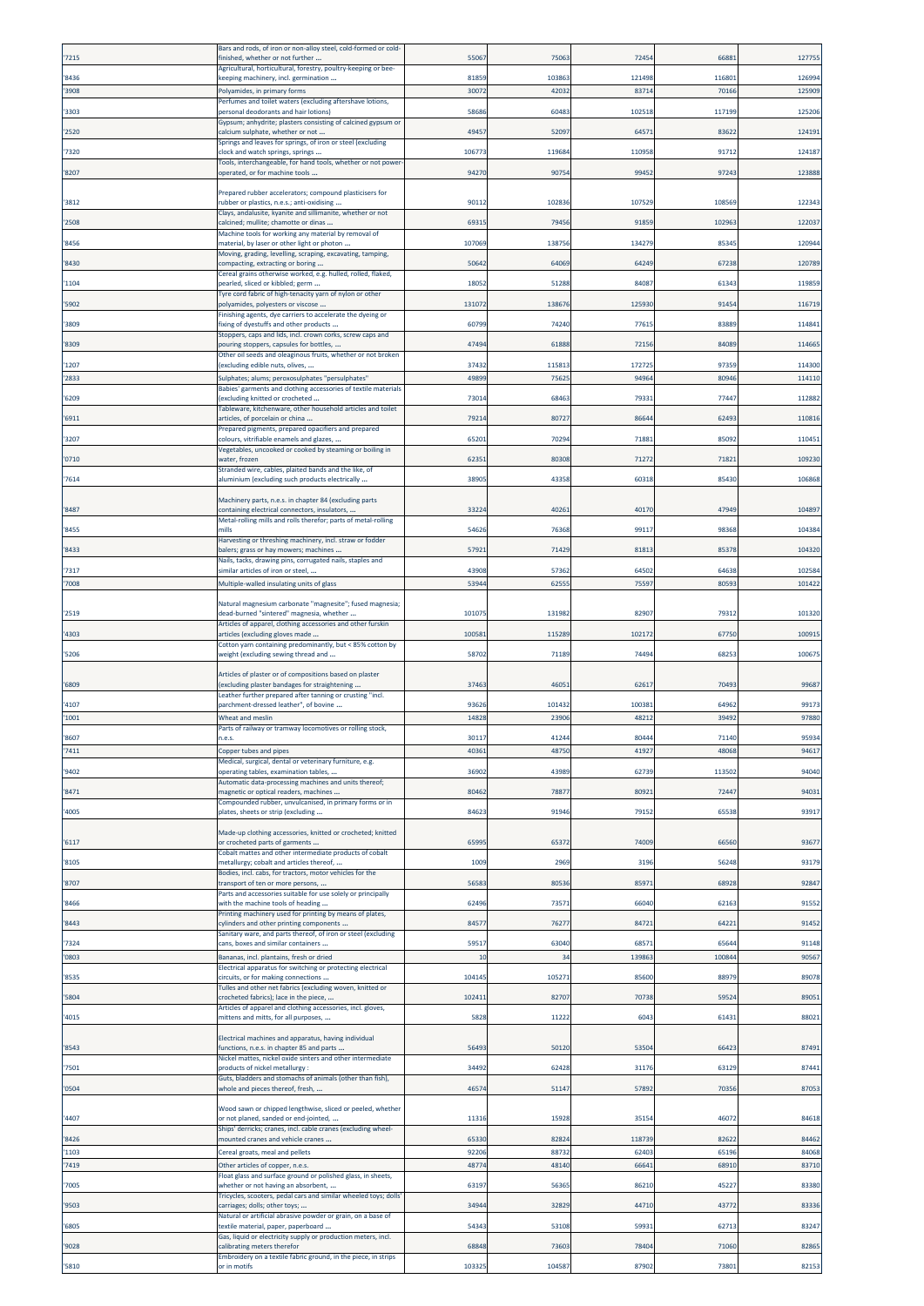|                | Bars and rods, of iron or non-alloy steel, cold-formed or cold-                                           |               |                |               |               |                |
|----------------|-----------------------------------------------------------------------------------------------------------|---------------|----------------|---------------|---------------|----------------|
| '7215          | finished, whether or not further<br>Agricultural, horticultural, forestry, poultry-keeping or bee-        | 5506          | 7506           | 7245          | 6688          | 127755         |
| '8436          | keeping machinery, incl. germination                                                                      | 81859         | 103863         | 121498        | 11680         | 126994         |
| '3908          | Polyamides, in primary forms                                                                              | 30072         | 42032          | 8371          | 70166         | 125909         |
| '3303          | Perfumes and toilet waters (excluding aftershave lotions,<br>personal deodorants and hair lotions)        | 58686         | 60483          | 10251         | 11719         | 125206         |
| '2520          | Gypsum; anhydrite; plasters consisting of calcined gypsum or<br>calcium sulphate, whether or not          | 49457         | 52097          | 6457          | 8362          | 124191         |
|                | Springs and leaves for springs, of iron or steel (excluding                                               |               |                |               |               |                |
| '7320          | clock and watch springs, springs<br>Tools, interchangeable, for hand tools, whether or not power          | 106773        | 119684         | 11095         | 91712         | 124187         |
| '8207          | operated, or for machine tools                                                                            | 94270         | 90754          | 9945          | 9724          | 123888         |
|                | Prepared rubber accelerators; compound plasticisers for                                                   |               |                |               |               |                |
| '3812          | rubber or plastics, n.e.s.; anti-oxidising                                                                | 90112         | 102836         | 10752         | 108569        | 122343         |
| '2508          | Clays, andalusite, kyanite and sillimanite, whether or not<br>calcined; mullite; chamotte or dinas        | 69315         | 79456          | 9185          | 10296         | 12203          |
| '8456          | Machine tools for working any material by removal of                                                      | 107069        | 138756         | 13427         | 8534          | 120944         |
|                | material, by laser or other light or photon<br>Moving, grading, levelling, scraping, excavating, tamping, |               |                |               |               |                |
| '8430          | compacting, extracting or boring<br>Cereal grains otherwise worked, e.g. hulled, rolled, flaked,          | 50642         | 64069          | 6424          | 67238         | 120789         |
| '1104          | pearled, sliced or kibbled; germ                                                                          | 18052         | 51288          | 8408          | 6134          | 119859         |
| '5902          | Tyre cord fabric of high-tenacity yarn of nylon or other<br>polyamides, polyesters or viscose             | 131072        | 138676         | 125930        | 91454         | 116719         |
|                | Finishing agents, dye carriers to accelerate the dyeing or                                                |               |                |               |               |                |
| '3809          | fixing of dyestuffs and other products<br>Stoppers, caps and lids, incl. crown corks, screw caps and      | 60799         | 74240          | 7761          | 83889         | 114841         |
| '8309          | pouring stoppers, capsules for bottles,                                                                   | 47494         | 61888          | 7215          | 84089         | 114665         |
| '1207          | Other oil seeds and oleaginous fruits, whether or not broken<br>excluding edible nuts, olives,            | 37432         | 11581          | 17272         | 97359         | 114300         |
| '2833          | Sulphates; alums; peroxosulphates "persulphates"                                                          | 49899         | 7562           | 9496          | 80946         | 114110         |
| '6209          | Babies' garments and clothing accessories of textile materials<br>excluding knitted or crocheted          | 73014         | 68463          | 7933          | 77447         | 112882         |
|                | Tableware, kitchenware, other household articles and toilet                                               |               |                |               |               |                |
| '6911          | articles, of porcelain or china<br>Prepared pigments, prepared opacifiers and prepared                    | 79214         | 80727          | 8664          | 6249          | 110816         |
| '3207          | colours, vitrifiable enamels and glazes,                                                                  | 65201         | 70294          | 7188          | 8509          | 11045          |
| '0710          | Vegetables, uncooked or cooked by steaming or boiling in<br>water, frozen                                 | 62351         | 80308          | 71272         | 71821         | 109230         |
|                | Stranded wire, cables, plaited bands and the like, of                                                     |               |                |               |               |                |
| '7614          | aluminium (excluding such products electrically                                                           | 38905         | 43358          | 6031          | 85430         | 106868         |
| '8487          | Machinery parts, n.e.s. in chapter 84 (excluding parts<br>containing electrical connectors, insulators,   | 33224         | 40261          | 40170         | 47949         | 104897         |
|                | Metal-rolling mills and rolls therefor; parts of metal-rolling                                            |               |                |               |               |                |
| '8455          | mills<br>Harvesting or threshing machinery, incl. straw or fodder                                         | 54626         | 76368          | 9911          | 98368         | 104384         |
| '8433          | balers; grass or hay mowers; machines                                                                     | 57921         | 71429          | 8181          | 85378         | 104320         |
| '7317          | Nails, tacks, drawing pins, corrugated nails, staples and<br>similar articles of iron or steel,           | 43908         | 57362          | 64502         | 64638         | 102584         |
| '7008          | Multiple-walled insulating units of glass                                                                 | 5394          | 6255           | 7559          | 8059          | 101422         |
|                |                                                                                                           |               |                |               |               |                |
| '2519          | Natural magnesium carbonate "magnesite"; fused magnesia;<br>dead-burned "sintered" magnesia, whether      | 101075        | 131982         | 8290          | 79312         | 101320         |
| '4303          | Articles of apparel, clothing accessories and other furskin<br>articles (excluding gloves made            | 100581        | 115289         | 10217         | 67750         | 100915         |
|                | Cotton yarn containing predominantly, but < 85% cotton by                                                 |               |                |               |               |                |
| '5206          | weight (excluding sewing thread and                                                                       | 58702         | 71189          |               | 6825          | 100675         |
|                |                                                                                                           |               |                | 74494         |               |                |
|                | Articles of plaster or of compositions based on plaster                                                   |               |                |               |               |                |
| '6809          | (excluding plaster bandages for straightening                                                             | 37463         | 46051          | 6261          | 70493         | 99687          |
| '4107          | Leather further prepared after tanning or crusting "incl.<br>parchment-dressed leather", of bovine        | 93626         | 101432         | 10038         | 64962         | 99173          |
| '1001          | Wheat and meslin                                                                                          | 14828         | 23906          | 4821          | 39492         | 97880          |
| 8607           | Parts of railway or tramway locomotives or rolling stock,<br>n.e.s.                                       | 3011          | 4124           | 8044          | 71140         | 95934          |
| '7411          | Copper tubes and pipes                                                                                    | 40361         | 48750          | 4192          | 48068         | 94617          |
|                | Medical, surgical, dental or veterinary furniture, e.g.                                                   |               |                |               |               |                |
| '9402          | operating tables, examination tables,<br>Automatic data-processing machines and units thereof;            | 36902         | 43989          | 6273          | 11350         | 94040          |
| '8471          | magnetic or optical readers, machines                                                                     | 80462         | 78877          | 80921         | 72447         | 94031          |
| '4005          | Compounded rubber, unvulcanised, in primary forms or in<br>plates, sheets or strip (excluding             | 84623         | 91946          | 7915          | 6553          | 93917          |
|                | Made-up clothing accessories, knitted or crocheted; knitted                                               |               |                |               |               |                |
| '6117          | or crocheted parts of garments                                                                            | 65995         | 6537           | 74009         | 66560         | 93677          |
| '8105          | Cobalt mattes and other intermediate products of cobalt<br>metallurgy; cobalt and articles thereof,       | 1009          | 2969           | 3196          | 56248         | 93179          |
|                | Bodies, incl. cabs, for tractors, motor vehicles for the                                                  |               |                |               |               |                |
| '8707          | transport of ten or more persons,<br>Parts and accessories suitable for use solely or principally         | 5658          | 80536          | 8597          | 68928         | 92847          |
| '8466          | with the machine tools of heading<br>Printing machinery used for printing by means of plates,             | 62496         | 73571          | 66040         | 62163         | 91552          |
| '8443          | cylinders and other printing components                                                                   | 84577         | 76277          | 8472          | 6422          | 91452          |
| '7324          | Sanitary ware, and parts thereof, of iron or steel (excluding<br>cans, boxes and similar containers       | 59517         | 63040          | 6857          | 65644         | 91148          |
| '0803          | Bananas, incl. plantains, fresh or dried                                                                  | 10            | 34             | 139863        | 100844        | 90567          |
| '8535          | Electrical apparatus for switching or protecting electrical<br>circuits, or for making connections        | 104145        | 10527          | 85600         | 8897          | 89078          |
|                | Tulles and other net fabrics (excluding woven, knitted or                                                 |               |                |               |               |                |
| '5804          | crocheted fabrics); lace in the piece,<br>Articles of apparel and clothing accessories, incl. gloves,     | 10241         | 82707          | 7073          | 5952          | 89051          |
| '4015          | mittens and mitts, for all purposes,                                                                      | 5828          | 11222          | 604           | 6143          | 88021          |
|                | Electrical machines and apparatus, having individual                                                      |               |                |               |               |                |
| '8543          | functions, n.e.s. in chapter 85 and parts<br>Nickel mattes, nickel oxide sinters and other intermediate   | 56493         | 50120          | 5350          | 6642          | 87491          |
| '7501          | products of nickel metallurgy :                                                                           | 34492         | 62428          | 31176         | 63129         | 87441          |
| '0504          | Guts, bladders and stomachs of animals (other than fish),<br>whole and pieces thereof, fresh,             | 46574         | 51147          | 5789          | 70356         | 87053          |
| '4407          | Wood sawn or chipped lengthwise, sliced or peeled, whether                                                | 11316         | 15928          | 3515          | 4607          | 84618          |
|                | or not planed, sanded or end-jointed,<br>Ships' derricks; cranes, incl. cable cranes (excluding wheel-    |               |                |               |               |                |
| '8426          | mounted cranes and vehicle cranes                                                                         | 65330         | 82824          | 11873         | 82622         | 84462          |
| '1103<br>'7419 | Cereal groats, meal and pellets<br>Other articles of copper, n.e.s.                                       | 92206<br>4877 | 88732<br>48140 | 62403<br>6664 | 65196<br>6891 | 84068<br>83710 |
|                | Float glass and surface ground or polished glass, in sheets,                                              |               |                |               |               |                |
| '7005          | whether or not having an absorbent,<br>Tricycles, scooters, pedal cars and similar wheeled toys; dolls    | 63197         | 56365          | 8621          | 4522          | 83380          |
| '9503          | carriages; dolls; other toys;                                                                             | 34944         | 32829          | 44710         | 43772         | 83336          |
| '6805          | Natural or artificial abrasive powder or grain, on a base of<br>textile material, paper, paperboard       | 54343         | 53108          | 5993          | 6271          | 83247          |
| '9028          | Gas, liquid or electricity supply or production meters, incl.<br>calibrating meters therefor              | 68848         | 73603          | 78404         | 71060         | 82865          |
| '5810          | Embroidery on a textile fabric ground, in the piece, in strips<br>or in motifs                            | 103325        | 104587         | 87902         | 73801         | 82153          |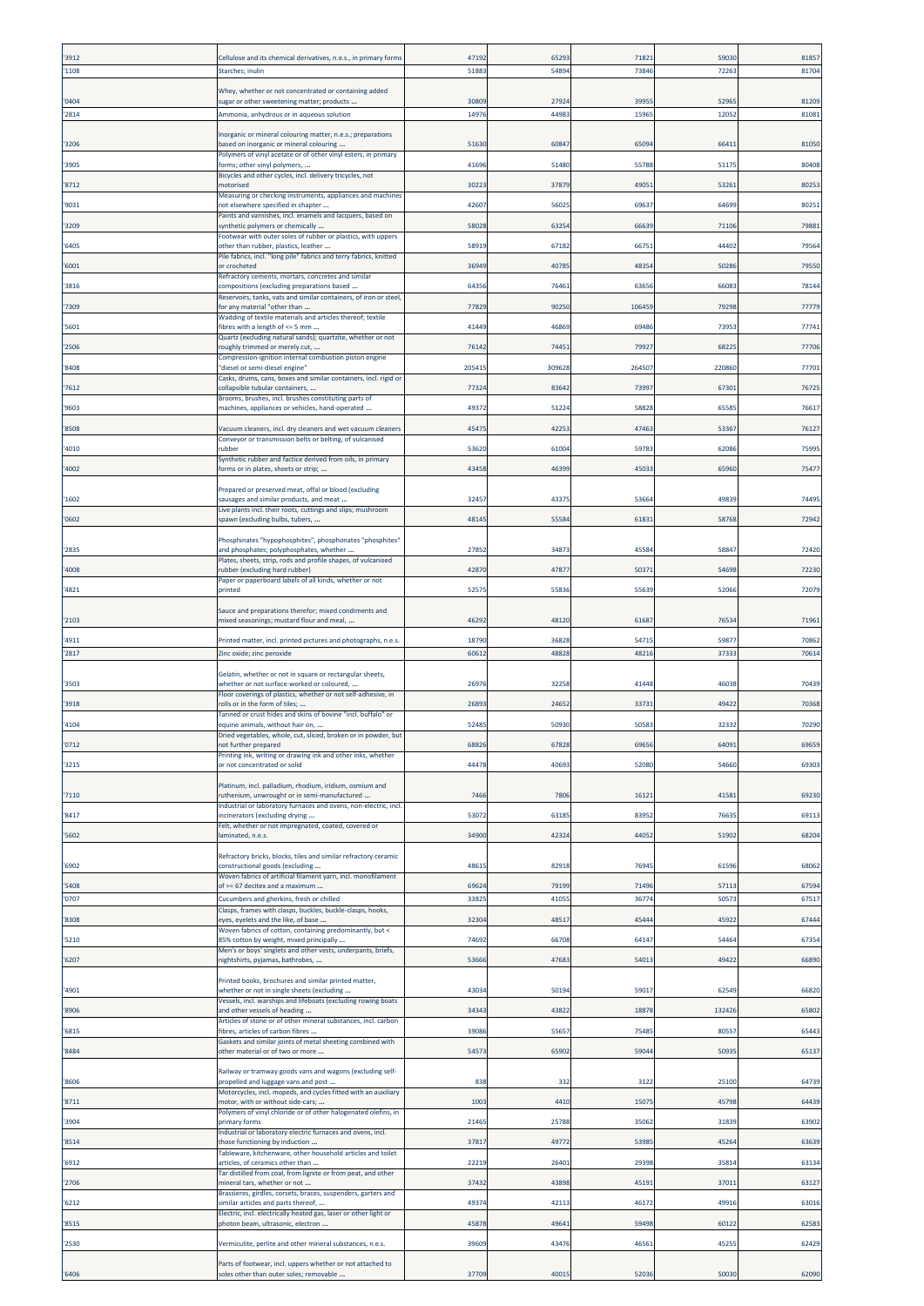| '3912 | Cellulose and its chemical derivatives, n.e.s., in primary forms                                                | 47192  | 6529   | 7182   | 59030  | 81857 |
|-------|-----------------------------------------------------------------------------------------------------------------|--------|--------|--------|--------|-------|
| '1108 | Starches; inulin                                                                                                | 51883  | 54894  | 7384   | 72263  | 81704 |
| '0404 | Whey, whether or not concentrated or containing added<br>ugar or other sweetening matter; products              | 30809  | 27924  | 3995   | 5296   | 81209 |
| '2814 | Ammonia, anhydrous or in aqueous solution                                                                       | 14976  | 44983  | 1596   | 12052  | 81081 |
|       | norganic or mineral colouring matter, n.e.s.; preparations                                                      |        |        |        |        |       |
| '3206 | based on inorganic or mineral colouring                                                                         | 51630  | 60847  | 6509   | 6641   | 81050 |
| '3905 | Polymers of vinyl acetate or of other vinyl esters, in primary<br>forms; other vinyl polymers,                  | 41696  | 51480  | 5578   | 5117   | 80408 |
|       | Bicycles and other cycles, incl. delivery tricycles, not                                                        |        |        |        |        |       |
| '8712 | motorised<br>Measuring or checking instruments, appliances and machines                                         | 3022   | 37879  | 4905   | 5326   | 80253 |
| '9031 | not elsewhere specified in chapter<br>Paints and varnishes, incl. enamels and lacquers, based on                | 42607  | 56025  | 6963   | 64699  | 80251 |
| '3209 | synthetic polymers or chemically                                                                                | 58028  | 63254  | 6663   | 71106  | 79881 |
| '6405 | Footwear with outer soles of rubber or plastics, with uppers<br>other than rubber, plastics, leather            | 58919  | 67182  | 6675   | 44402  | 79564 |
| '6001 | Pile fabrics, incl. "long pile" fabrics and terry fabrics, knitted<br>or crocheted                              | 36949  | 40785  | 4835   | 50286  | 79550 |
|       | Refractory cements, mortars, concretes and similar                                                              |        |        |        |        |       |
| '3816 | compositions (excluding preparations based<br>Reservoirs, tanks, vats and similar containers, of iron or steel, | 64356  | 76461  | 6365   | 6608   | 78144 |
| '7309 | or any material "other than<br>Wadding of textile materials and articles thereof; textile                       | 7782   | 90250  | 10645  | 7929   | 77779 |
| '5601 | fibres with a length of <= 5 mm                                                                                 | 41449  | 46869  | 6948   | 7395   | 77741 |
| '2506 | Quartz (excluding natural sands); quartzite, whether or not<br>roughly trimmed or merely cut,                   | 76142  | 74451  | 7992   | 6822   | 77706 |
| '8408 | Compression-ignition internal combustion piston engine<br>diesel or semi-diesel engine'                         | 205415 | 309628 | 264507 | 220860 | 77701 |
|       | Casks, drums, cans, boxes and similar containers, incl. rigid or                                                |        |        |        |        |       |
| '7612 | collapsible tubular containers,<br>Brooms, brushes, incl. brushes constituting parts of                         | 77324  | 83642  | 7399   | 6730   | 76725 |
| '9603 | machines, appliances or vehicles, hand-operated                                                                 | 49372  | 51224  | 5882   | 65585  | 76617 |
| '8508 | /acuum cleaners, incl. dry cleaners and wet vacuum cleaners                                                     | 45475  | 42253  | 4746   | 53367  | 76127 |
| '4010 | Conveyor or transmission belts or belting, of vulcanised<br>rubber                                              | 53620  | 61004  | 5978   | 62086  | 75995 |
| '4002 | Synthetic rubber and factice derived from oils, in primary<br>forms or in plates, sheets or strip;              | 43458  | 46399  | 4503   | 65960  | 75477 |
|       |                                                                                                                 |        |        |        |        |       |
| '1602 | Prepared or preserved meat, offal or blood (excluding<br>sausages and similar products, and meat                | 32457  | 43375  | 5366   | 4983   | 74495 |
| '0602 | Live plants incl. their roots, cuttings and slips; mushroom<br>spawn (excluding bulbs, tubers,                  | 48145  | 55584  | 6183   | 58768  | 72942 |
|       |                                                                                                                 |        |        |        |        |       |
| '2835 | Phosphinates "hypophosphites", phosphonates "phosphites"<br>and phosphates; polyphosphates, whether             | 27852  | 34873  | 4558   | 58847  | 72420 |
| '4008 | Plates, sheets, strip, rods and profile shapes, of vulcanised<br>rubber (excluding hard rubber)                 | 42870  | 47877  | 5037   | 54698  | 72230 |
|       | Paper or paperboard labels of all kinds, whether or not                                                         |        |        |        |        |       |
| '4821 | printed                                                                                                         | 5257   | 55836  | 5563   | 52066  | 72079 |
| '2103 | Sauce and preparations therefor; mixed condiments and<br>mixed seasonings; mustard flour and meal,              | 46292  | 48120  | 6168   | 7653   | 71961 |
| '4911 |                                                                                                                 | 18790  | 36828  | 5471   | 59877  | 70862 |
| '2817 | Printed matter, incl. printed pictures and photographs, n.e.s.<br>Zinc oxide; zinc peroxide                     | 60612  | 48828  | 4821   | 37333  | 70614 |
|       | Gelatin, whether or not in square or rectangular sheets,                                                        |        |        |        |        |       |
| '3503 | whether or not surface-worked or coloured,                                                                      | 26976  | 32258  | 41448  | 46038  | 70439 |
| '3918 | Floor coverings of plastics, whether or not self-adhesive, in<br>rolls or in the form of tiles;                 | 2689   | 24652  | 3373   | 49422  | 70368 |
| '4104 | Tanned or crust hides and skins of bovine "incl. buffalo" or<br>equine animals, without hair on,                | 52485  | 50930  | 5058   | 32332  | 70290 |
|       | iried vegetables, whole, cut, sliced, broken or in powder, bu                                                   |        |        |        |        |       |
| '0712 | not further prepared<br>Printing ink, writing or drawing ink and other inks, whether                            | 6882   | 67828  | 6965   | 6409   | 69659 |
| '3215 | or not concentrated or solid                                                                                    | 44478  | 40693  | 52080  | 54660  | 69303 |
|       | Platinum, incl. palladium, rhodium, iridium, osmium and                                                         |        |        |        |        |       |
| '7110 | uthenium, unwrought or in semi-manufactured<br>ndustrial or laboratory furnaces and ovens, non-electric, incl.  | 7466   | 7806   | 1612   | 4158   | 69230 |
| '8417 | ncinerators (excluding drying<br>Felt, whether or not impregnated, coated, covered or                           | 53072  | 63185  | 8395   | 76635  | 69113 |
| '5602 | aminated, n.e.s.                                                                                                | 34900  | 42324  | 44052  | 51902  | 68204 |
|       | Refractory bricks, blocks, tiles and similar refractory ceramic                                                 |        |        |        |        |       |
| '6902 | constructional goods (excluding<br>Woven fabrics of artificial filament yarn, incl. monofilament                | 48615  | 82918  | 7694   | 61596  | 68062 |
| '5408 | of >= 67 decitex and a maximum                                                                                  | 69624  | 79199  | 71496  | 57113  | 67594 |
| '0707 | Cucumbers and gherkins, fresh or chilled<br>Clasps, frames with clasps, buckles, buckle-clasps, hooks,          | 33825  | 41055  | 3677   | 5057   | 67517 |
| '8308 | eyes, eyelets and the like, of base                                                                             | 32304  | 48517  | 4544   | 45922  | 67444 |
| '5210 | Woven fabrics of cotton, containing predominantly, but <<br>35% cotton by weight, mixed principally             | 74692  | 66708  | 6414   | 54464  | 67354 |
| '6207 | Men's or boys' singlets and other vests, underpants, briefs,<br>nightshirts, pyjamas, bathrobes,                | 53666  | 47683  | 5401   | 49422  | 66890 |
|       | Printed books, brochures and similar printed matter,                                                            |        |        |        |        |       |
| '4901 | whether or not in single sheets (excluding                                                                      | 43034  | 50194  | 5901   | 62549  | 66820 |
| '8906 | Vessels, incl. warships and lifeboats (excluding rowing boats<br>and other vessels of heading                   | 34343  | 43822  | 1887   | 132426 | 65802 |
| '6815 | Articles of stone or of other mineral substances, incl. carbon<br>fibres, articles of carbon fibres             | 39086  | 55657  | 7548   | 8055   | 65443 |
|       | Gaskets and similar joints of metal sheeting combined with                                                      |        |        |        |        |       |
| '8484 | other material or of two or more                                                                                | 5457   | 65902  | 5904   | 5093   | 65137 |
| '8606 | Railway or tramway goods vans and wagons (excluding self-<br>propelled and luggage vans and post                | 838    | 332    | 3122   | 25100  | 64739 |
|       | Motorcycles, incl. mopeds, and cycles fitted with an auxiliary                                                  |        |        |        |        |       |
| '8711 | motor, with or without side-cars;<br>Polymers of vinyl chloride or of other halogenated olefins, in             | 1003   | 4410   | 1507   | 45798  | 64439 |
| '3904 | primary forms<br>Industrial or laboratory electric furnaces and ovens, incl.                                    | 21465  | 25788  | 35062  | 31839  | 63902 |
| '8514 | those functioning by induction                                                                                  | 37817  | 49772  | 5398   | 45264  | 63639 |
| '6912 | Tableware, kitchenware, other household articles and toilet<br>articles, of ceramics other than                 | 22219  | 26401  | 2939   | 3581   | 63134 |
| '2706 | Tar distilled from coal, from lignite or from peat, and other<br>mineral tars, whether or not                   | 37432  | 43898  | 4519   | 3701   | 63127 |
|       | Brassieres, girdles, corsets, braces, suspenders, garters and                                                   | 49374  | 42113  | 46172  | 49916  |       |
| '6212 | similar articles and parts thereof,<br>Electric, incl. electrically heated gas, laser or other light or         |        |        |        |        | 63016 |
| '8515 | ohoton beam, ultrasonic, electron                                                                               | 45878  | 49641  | 59498  | 60122  | 62583 |
| '2530 | Vermiculite, perlite and other mineral substances, n.e.s.                                                       | 39609  | 43476  | 4656   | 4525   | 62429 |
|       | Parts of footwear, incl. uppers whether or not attached to                                                      |        |        |        |        |       |
| '6406 | oles other than outer soles; removable                                                                          | 37709  | 40015  | 52036  | 50030  | 62090 |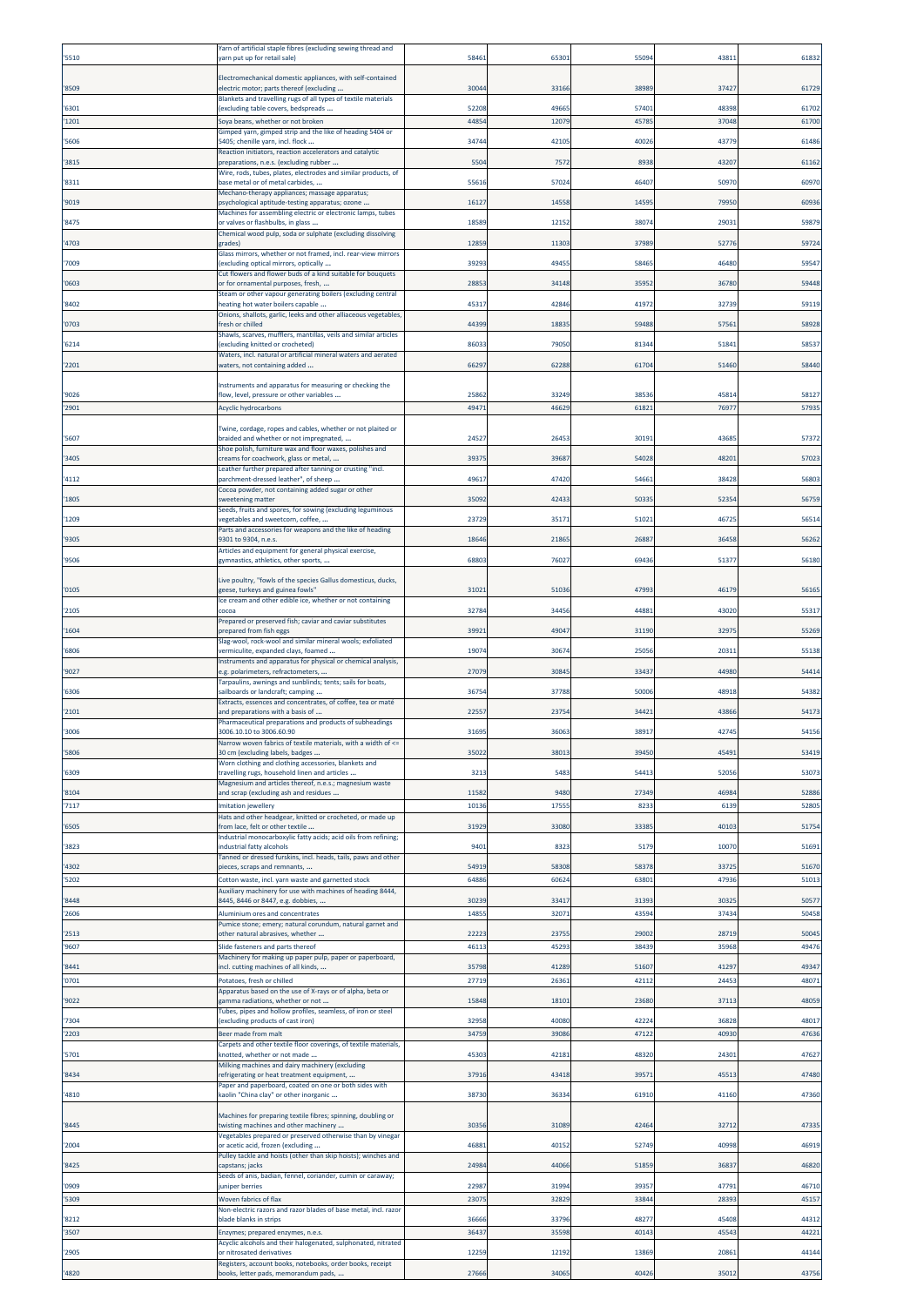| '5510          | Yarn of artificial staple fibres (excluding sewing thread and<br>yarn put up for retail sale)           | 58461          | 6530           | 5509          | 4381           | 61832          |
|----------------|---------------------------------------------------------------------------------------------------------|----------------|----------------|---------------|----------------|----------------|
| '8509          | Electromechanical domestic appliances, with self-contained<br>electric motor; parts thereof (excluding  | 30044          | 33166          | 3898          | 37427          | 61729          |
| '6301          | Blankets and travelling rugs of all types of textile materials<br>excluding table covers, bedspreads    | 52208          | 49665          | 5740          | 48398          | 61702          |
| '1201          | Soya beans, whether or not broken                                                                       | 44854          | 12079          | 4578          | 37048          | 61700          |
| '5606          | Simped yarn, gimped strip and the like of heading 5404 or<br>5405; chenille yarn, incl. flock           | 34744          | 42105          | 4002          | 43779          | 61486          |
| '3815          | Reaction initiators, reaction accelerators and catalytic<br>preparations, n.e.s. (excluding rubber      | 5504           | 7572           | 8938          | 43207          | 61162          |
| '8311          | Wire, rods, tubes, plates, electrodes and similar products, of<br>base metal or of metal carbides,      | 55616          | 57024          | 46407         | 50970          | 60970          |
| '9019          | Mechano-therapy appliances; massage apparatus;<br>psychological aptitude-testing apparatus; ozone       | 16127          | 14558          | 1459          | 79950          | 60936          |
| '8475          | Machines for assembling electric or electronic lamps, tubes<br>or valves or flashbulbs, in glass        | 18589          | 12152          | 3807          | 29031          | 59879          |
| '4703          | Chemical wood pulp, soda or sulphate (excluding dissolving<br>(rades                                    | 12859          | 11303          | 3798          | 52776          | 59724          |
| '7009          | Glass mirrors, whether or not framed, incl. rear-view mirrors<br>(excluding optical mirrors, optically  | 39293          | 49455          | 5846          | 46480          | 59547          |
| '0603          | Cut flowers and flower buds of a kind suitable for bouquets<br>or for ornamental purposes, fresh,       | 28853          | 34148          | 3595          | 36780          | 59448          |
|                | Steam or other vapour generating boilers (excluding central                                             |                |                |               |                |                |
| '8402          | neating hot water boilers capable<br>Onions, shallots, garlic, leeks and other alliaceous vegetables,   | 45317          | 42846          | 4197          | 32739          | 59119          |
| '0703          | fresh or chilled<br>Shawls, scarves, mufflers, mantillas, veils and similar articles                    | 44399          | 18835          | 5948          | 5756           | 58928          |
| '6214          | excluding knitted or crocheted)<br>Waters, incl. natural or artificial mineral waters and aerated       | 86033          | 79050          | 8134          | 5184           | 58537          |
| '2201          | waters, not containing added                                                                            | 66297          | 62288          | $6170-$       | 51460          | 58440          |
| '9026          | Instruments and apparatus for measuring or checking the<br>flow, level, pressure or other variables     | 25862          | 33249          | 3853          | 4581           | 58127          |
| '2901          | Acyclic hydrocarbons                                                                                    | 49471          | 46629          | 6182          | 7697           | 57935          |
|                | Twine, cordage, ropes and cables, whether or not plaited or                                             |                | 26453          |               | 4368           |                |
| '5607          | braided and whether or not impregnated,<br>Shoe polish, furniture wax and floor waxes, polishes and     | 24527          |                | 3019          |                | 57372          |
| '3405          | :reams for coachwork, glass or metal,<br>Leather further prepared after tanning or crusting "incl.      | 39375          | 39687          | 54028         | 48201          | 57023          |
| '4112          | parchment-dressed leather", of sheep<br>Cocoa powder, not containing added sugar or other               | 49617          | 47420          | 5466          | 38428          | 56803          |
| '1805          | weetening matter<br>Seeds, fruits and spores, for sowing (excluding leguminous                          | 35092          | 42433          | 5033          | 52354          | 56759          |
| '1209          | vegetables and sweetcorn, coffee,<br>Parts and accessories for weapons and the like of heading          | 23729          | 35171          | 5102          | 4672           | 56514          |
| '9305          | 9301 to 9304, n.e.s.<br>Articles and equipment for general physical exercise,                           | 18646          | 21865          | 2688          | 36458          | 56262          |
| '9506          | gymnastics, athletics, other sports,                                                                    | 68803          | 76027          | 6943          | 5137           | 56180          |
| '0105          | Live poultry, "fowls of the species Gallus domesticus, ducks,<br>geese, turkeys and guinea fowls"       | 31021          | 51036          | 4799          | 46179          | 56165          |
| '2105          | Ice cream and other edible ice, whether or not containing<br>cocoa                                      | 32784          | 34456          | 4488          | 43020          | 55317          |
| '1604          | Prepared or preserved fish; caviar and caviar substitutes<br>prepared from fish eggs                    | 39921          | 49047          | 31190         | 3297           | 55269          |
| '6806          | Slag-wool, rock-wool and similar mineral wools; exfoliated                                              | 19074          | 30674          | 2505          | 2031:          | 55138          |
|                | vermiculite, expanded clays, foamed<br>Instruments and apparatus for physical or chemical analysis,     |                |                |               |                |                |
| '9027          | .g. polarimeters, refractometers,<br>Tarpaulins, awnings and sunblinds; tents; sails for boats,         | 27079          | 30845          | 3343          | 44980          | 54414          |
| '6306          | sailboards or landcraft; camping<br>Extracts, essences and concentrates, of coffee, tea or maté         | 36754          | 37788          | 5000          | 48918          | 54382          |
| '2101          | and preparations with a basis of<br>Pharmaceutical preparations and products of subheadings             | 2255           | 23754          | 3442          | 43866          | 54173          |
| '3006          | 3006.10.10 to 3006.60.90<br>Narrow woven fabrics of textile materials, with a width of <=               | 31695          | 36063          | 38917         | 42745          | 54156          |
| '5806          | 30 cm (excluding labels, badges<br>Worn clothing and clothing accessories, blankets and                 | 35022          | 38013          | 3945          | 4549           | 53419          |
| '6309          | ravelling rugs, household linen and articles<br>Magnesium and articles thereof, n.e.s.; magnesium waste | 3213           | 5483           | 5441          | 52056          | 53073          |
| '8104          | and scrap (excluding ash and residues                                                                   | 11582          | 9480           | 27349         | 46984          | 52886          |
| '7117          | mitation jewellery<br>Hats and other headgear, knitted or crocheted, or made up                         | 10136          | 17555          | 823           | 6139           | 52805          |
| '6505          | from lace, felt or other textile<br>Industrial monocarboxylic fatty acids; acid oils from refining;     | 31929          | 33080          | 3338          | 40103          | 51754          |
| '3823          | industrial fatty alcohols<br>Fanned or dressed furskins, incl. heads, tails, paws and other             | 9401           | 8323           | 5179          | 10070          | 51691          |
| '4302<br>'5202 | bieces, scraps and remnants,<br>Cotton waste, incl. yarn waste and garnetted stock                      | 54919<br>64886 | 58308<br>60624 | 5837<br>6380  | 3372<br>47936  | 51670<br>51013 |
| '8448          | Auxiliary machinery for use with machines of heading 8444,<br>8445, 8446 or 8447, e.g. dobbies,         | 30239          | 33417          | 3139          | 30325          | 50577          |
| '2606          | Aluminium ores and concentrates                                                                         | 1485           | 3207           | 4359          | 37434          | 50458          |
| '2513          | Pumice stone; emery; natural corundum, natural garnet and<br>other natural abrasives, whether           | 22223          | 23755          | 2900          | 28719          | 50045          |
| '9607          | Slide fasteners and parts thereof<br>Machinery for making up paper pulp, paper or paperboard,           | 46113          | 45293          | 38439         | 35968          | 49476          |
| '8441<br>'0701 | ncl. cutting machines of all kinds,<br>Potatoes, fresh or chilled                                       | 35798<br>27719 | 41289<br>26361 | 5160<br>42112 | 41297<br>24453 | 49347<br>48071 |
|                | Apparatus based on the use of X-rays or of alpha, beta or                                               |                |                |               |                |                |
| '9022          | gamma radiations, whether or not<br>Tubes, pipes and hollow profiles, seamless, of iron or steel        | 15848          | 18101          | 23680         | 37113          | 48059          |
| '7304<br>'2203 | excluding products of cast iron)<br>Beer made from malt                                                 | 32958<br>34759 | 40080<br>39086 | 4222<br>4712  | 36828<br>40930 | 48017<br>47636 |
| '5701          | Carpets and other textile floor coverings, of textile materials,<br>knotted, whether or not made        | 45303          | 4218:          | 4832          | 2430:          | 47627          |
| '8434          | Milking machines and dairy machinery (excluding<br>refrigerating or heat treatment equipment,           | 3791           | 43418          | 3957          | 4551           | 47480          |
| '4810          | Paper and paperboard, coated on one or both sides with<br>kaolin "China clay" or other inorganic        | 38730          | 36334          | 61910         | 41160          | 47360          |
| '8445          | Machines for preparing textile fibres; spinning, doubling or<br>wisting machines and other machinery    | 30356          | 31089          | 4246          | 32712          | 47335          |
| '2004          | Vegetables prepared or preserved otherwise than by vinegar<br>or acetic acid, frozen (excluding         | 46881          | 40152          | 5274          | 40998          | 46919          |
| '8425          | Pulley tackle and hoists (other than skip hoists); winches and<br>apstans; jacks:                       | 24984          | 44066          | 51859         | 36837          | 46820          |
| '0909          | Seeds of anis, badian, fennel, coriander, cumin or caraway;<br>uniper berries                           | 22987          | 31994          | 3935          | 4779:          | 46710          |
| '5309          | Woven fabrics of flax                                                                                   | 23075          | 32829          | 33844         | 28393          | 45157          |
| '8212          | Non-electric razors and razor blades of base metal, incl. razor<br>blade blanks in strips               | 36666          | 33796          | 4827          | 45408          | 44312          |
| '3507          | Enzymes; prepared enzymes, n.e.s.<br>Acyclic alcohols and their halogenated, sulphonated, nitrated      | 36437          | 35598          | 4014          | 4554           | 44221          |
| '2905          | or nitrosated derivatives<br>Registers, account books, notebooks, order books, receipt                  | 12259          | 12192          | 1386          | 2086           | 44144          |
| '4820          | books, letter pads, memorandum pads,                                                                    | 27666          | 34065          | 4042          | 35012          | 43756          |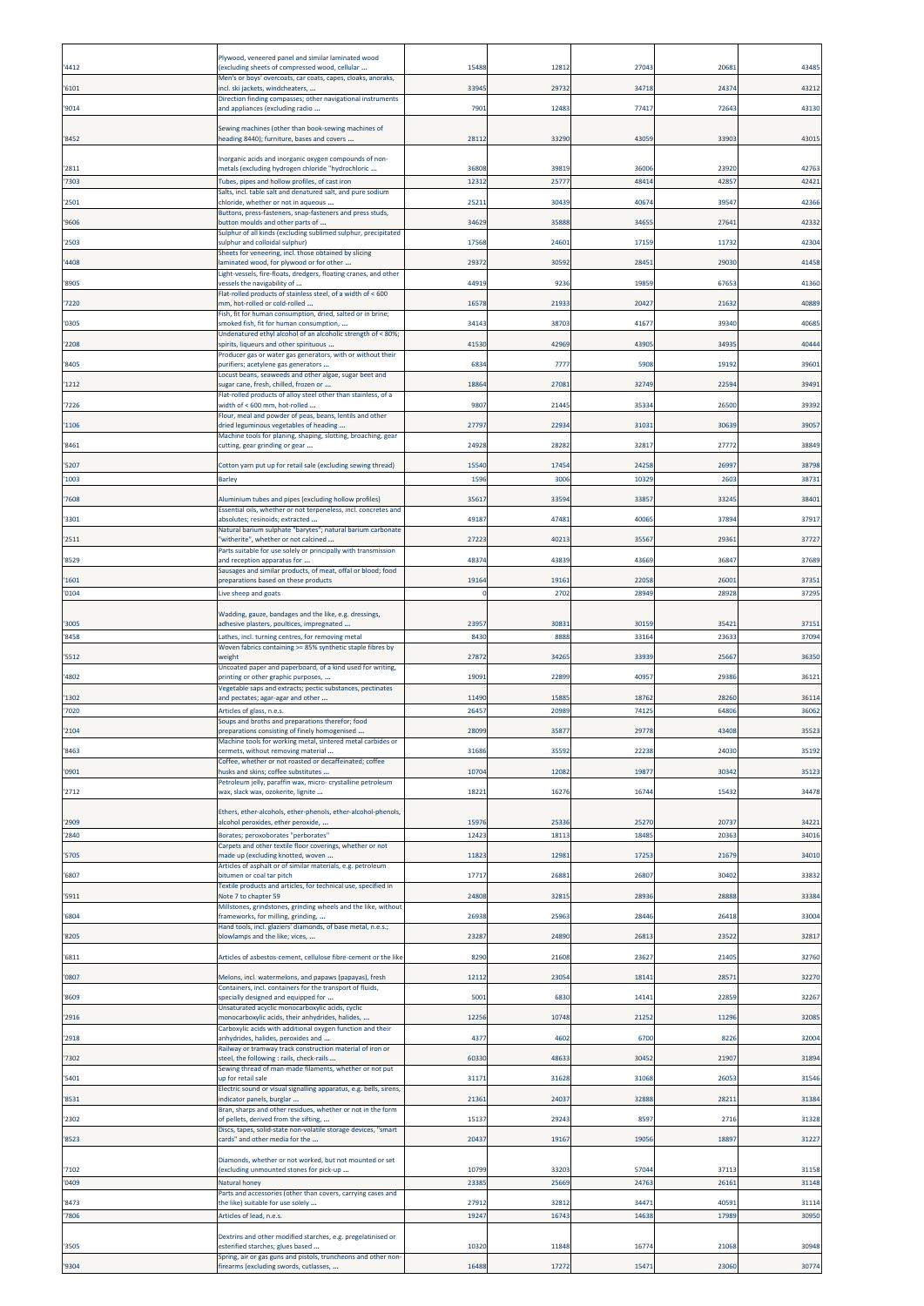| '4412          | <sup>9</sup> lywood, veneered panel and similar laminated wood<br>excluding sheets of compressed wood, cellular          | 15488                   | 1281           | 2704         | 2068           | 43485          |
|----------------|--------------------------------------------------------------------------------------------------------------------------|-------------------------|----------------|--------------|----------------|----------------|
| '6101          | Men's or boys' overcoats, car coats, capes, cloaks, anoraks,<br>incl. ski jackets, windcheaters,                         | 33945                   | 29732          | 34718        | 24374          | 43212          |
| '9014          | Direction finding compasses; other navigational instruments<br>and appliances (excluding radio                           | 7901                    | 12483          | 7741         | 7264           | 43130          |
| '8452          | Sewing machines (other than book-sewing machines of<br>heading 8440); furniture, bases and covers                        | 28112                   | 33290          | 4305         | 3390           | 43015          |
| '2811          | Inorganic acids and inorganic oxygen compounds of non-<br>metals (excluding hydrogen chloride "hydrochloric              | 36808                   | 39819          | 36006        | 23920          | 42763          |
| '7303          | Tubes, pipes and hollow profiles, of cast iron<br>Salts, incl. table salt and denatured salt, and pure sodium            | 12312                   | 2577           | 4841         | 42857          | 42421          |
| '2501          | chloride, whether or not in aqueous<br>Buttons, press-fasteners, snap-fasteners and press studs,                         | 25211                   | 30439          | 4067         | 3954           | 42366          |
| '9606          | button moulds and other parts of<br>Sulphur of all kinds (excluding sublimed sulphur, precipitated                       | 34629                   | 35888          | 3465         | 2764           | 42332          |
| '2503          | sulphur and colloidal sulphur)<br>Sheets for veneering, incl. those obtained by slicing                                  | 17568                   | 24601          | 17159        | 1173           | 42304          |
| '4408          | laminated wood, for plywood or for other<br>Light-vessels, fire-floats, dredgers, floating cranes, and other             | 29372                   | 30592          | 2845         | 29030          | 41458          |
| '8905          | vessels the navigability of<br>Flat-rolled products of stainless steel, of a width of < 600                              | 44919                   | 9236           | 1985         | 6765           | 41360          |
| '7220          | mm, hot-rolled or cold-rolled<br>Fish, fit for human consumption, dried, salted or in brine;                             | 16578                   | 21933          | 2042         | 2163           | 40889          |
| '0305          | smoked fish, fit for human consumption,<br>Undenatured ethyl alcohol of an alcoholic strength of < 80%;                  | 34143                   | 38703          | 4167         | 39340          | 40685          |
| '2208          | spirits, liqueurs and other spirituous<br>Producer gas or water gas generators, with or without their                    | 41530                   | 42969          | 4390         | 3493           | 40444          |
| '8405          | purifiers; acetylene gas generators<br>Locust beans, seaweeds and other algae, sugar beet and                            | 683                     | 777            | 590          | 1919           | 39601          |
| '1212          | sugar cane, fresh, chilled, frozen or<br>Flat-rolled products of alloy steel other than stainless, of a                  | 18864                   | 27081          | 3274         | 22594          | 39491          |
| '7226          | width of < 600 mm, hot-rolled<br>Flour, meal and powder of peas, beans, lentils and other                                | 9807                    | 21445          | 3533         | 26500          | 39392          |
| '1106          | dried leguminous vegetables of heading<br>Machine tools for planing, shaping, slotting, broaching, gear                  | 27797                   | 22934          | 3103         | 3063           | 39057          |
| '8461          | cutting, gear grinding or gear                                                                                           | 24928                   | 28282          | 3281         | 2777           | 38849          |
| '5207          | Cotton yarn put up for retail sale (excluding sewing thread)                                                             | 15540                   | 17454          | 2425         | 2699           | 38798          |
| '1003          | <b>Barley</b>                                                                                                            | 1596                    | 3006           | 10329        | 2603           | 38731          |
| '7608          | Aluminium tubes and pipes (excluding hollow profiles)<br>Essential oils, whether or not terpeneless, incl. concretes and | 35617                   | 33594          | 3385         | 33245          | 38401          |
| '3301          | absolutes; resinoids; extracted<br>Natural barium sulphate "barytes"; natural barium carbonate                           | 49187                   | 47481          | 40065        | 37894          | 37917          |
| '2511          | "witherite", whether or not calcined<br>Parts suitable for use solely or principally with transmission                   | 27223                   | 4021           | 3556         | 2936           | 37727          |
| '8529          | and reception apparatus for<br>Sausages and similar products, of meat, offal or blood; food                              | 4837                    | 43839          | 4366         | 3684           | 37689          |
| '1601<br>'0104 | preparations based on these products<br>Live sheep and goats                                                             | 19164<br>$\overline{0}$ | 19161<br>2702  | 2205<br>2894 | 2600<br>2892   | 37351<br>37295 |
|                | Wadding, gauze, bandages and the like, e.g. dressings,                                                                   |                         |                |              |                |                |
| '3005          | adhesive plasters, poultices, impregnated                                                                                | 23957                   | 3083           | 3015         | 3542           | 37151          |
| '8458          | Lathes, incl. turning centres, for removing metal<br>Woven fabrics containing >= 85% synthetic staple fibres by          | 8430                    | 8888           | 3316         | 2363           | 37094          |
| '5512          | weight<br>Uncoated paper and paperboard, of a kind used for writing,                                                     | 27872                   | 34265          | 33939        | 25667          | 36350          |
| '4802          | printing or other graphic purposes,<br>Vegetable saps and extracts; pectic substances, pectinates                        | 19091                   | 22899          | 4095         | 29386          | 36121          |
| '1302<br>7020  | and pectates; agar-agar and other<br>Articles of glass, n.e.s.                                                           | 11490<br>26457          | 15885<br>20989 | 1876<br>7412 | 28260<br>64806 | 36114<br>36062 |
| '2104          | Soups and broths and preparations therefor; food<br>preparations consisting of finely homogenised                        | 28099                   | 35877          | 29778        | 43408          | 35523          |
| '8463          | Machine tools for working metal, sintered metal carbides or<br>cermets, without removing material                        | 31686                   | 35592          | 2223         | 24030          | 35192          |
| '0901          | Coffee, whether or not roasted or decaffeinated; coffee<br>husks and skins; coffee substitutes                           | 10704                   | 12082          | 1987         | 30342          | 35123          |
| '2712          | Petroleum jelly, paraffin wax, micro- crystalline petroleum<br>wax, slack wax, ozokerite, lignite                        | 18221                   | 16276          | 16744        | 15432          | 34478          |
|                | Ethers, ether-alcohols, ether-phenols, ether-alcohol-phenols,                                                            |                         |                |              |                |                |
| '2909          | alcohol peroxides, ether peroxide,                                                                                       | 15976                   | 25336          | 2527         | 20737          | 34221          |
| '2840          | Borates; peroxoborates "perborates"<br>Carpets and other textile floor coverings, whether or not                         | 12423                   | 18113          | 1848         | 2036           | 34016          |
| '5705          | made up (excluding knotted, woven<br>Articles of asphalt or of similar materials, e.g. petroleum                         | 1182                    | 12981          | 1725         | 21679          | 34010          |
| '6807          | bitumen or coal tar pitch<br>Textile products and articles, for technical use, specified in                              | 17717                   | 26881          | 26807        | 30402          | 33832          |
| '5911          | Note 7 to chapter 59<br>Millstones, grindstones, grinding wheels and the like, without                                   | 24808                   | 32815          | 28936        | 28888          | 33384          |
| '6804          | frameworks, for milling, grinding,<br>Hand tools, incl. glaziers' diamonds, of base metal, n.e.s.;                       | 26938                   | 25963          | 2844         | 26418          | 33004          |
| '8205          | blowlamps and the like; vices,                                                                                           | 23287                   | 24890          | 2681         | 23522          | 32817          |
| '6811          | Articles of asbestos-cement, cellulose fibre-cement or the like                                                          | 8290                    | 21608          | 23627        | 21405          | 32760          |
| '0807          | Melons, incl. watermelons, and papaws (papayas), fresh<br>Containers, incl. containers for the transport of fluids,      | 1211                    | 23054          | 1814         | 2857           | 32270          |
| '8609          | specially designed and equipped for<br>Unsaturated acyclic monocarboxylic acids, cyclic                                  | 5001                    | 6830           | 1414         | 22859          | 32267          |
| '2916          | monocarboxylic acids, their anhydrides, halides,<br>Carboxylic acids with additional oxygen function and their           | 12256                   | 10748          | 2125         | 11296          | 32085          |
| '2918          | anhydrides, halides, peroxides and<br>Railway or tramway track construction material of iron or                          | 4377                    | 4602           | 6700         | 8226           | 32004          |
| '7302          | steel, the following : rails, check-rails<br>Sewing thread of man-made filaments, whether or not put                     | 60330                   | 48633          | 30452        | 21907          | 31894          |
| '5401          | up for retail sale<br>Electric sound or visual signalling apparatus, e.g. bells, sirens,                                 | 31171                   | 31628          | 31068        | 2605           | 31546          |
| '8531          | indicator panels, burglar<br>Bran, sharps and other residues, whether or not in the form                                 | 21361                   | 24037          | 32888        | 2821           | 31384          |
| '2302          | of pellets, derived from the sifting,<br>Discs, tapes, solid-state non-volatile storage devices, "smart                  | 15137                   | 29243          | 8597         | 2716           | 31328          |
| '8523          | cards" and other media for the                                                                                           | 20437                   | 19167          | 19056        | 18897          | 31227          |
| '7102          | Diamonds, whether or not worked, but not mounted or set<br>(excluding unmounted stones for pick-up                       | 10799                   | 33203          | 5704         | 3711           | 31158          |
| '0409          | Natural honey                                                                                                            | 2338                    | 25669          | 2476         | 2616           | 31148          |
| '8473          | Parts and accessories (other than covers, carrying cases and<br>the like) suitable for use solely                        | 27912                   | 32812          | 3447         | 4059           | 31114          |
| '7806          | Articles of lead, n.e.s.                                                                                                 | 1924                    | 1674           | 1463         | 17989          | 30950          |
| '3505          | Dextrins and other modified starches, e.g. pregelatinised or<br>esterified starches; glues based                         | 10320                   | 11848          | 1677         | 21068          | 30948          |
| '9304          | Spring, air or gas guns and pistols, truncheons and other non-<br>firearms (excluding swords, cutlasses,                 | 16488                   | 17272          | 15471        | 23060          | 30774          |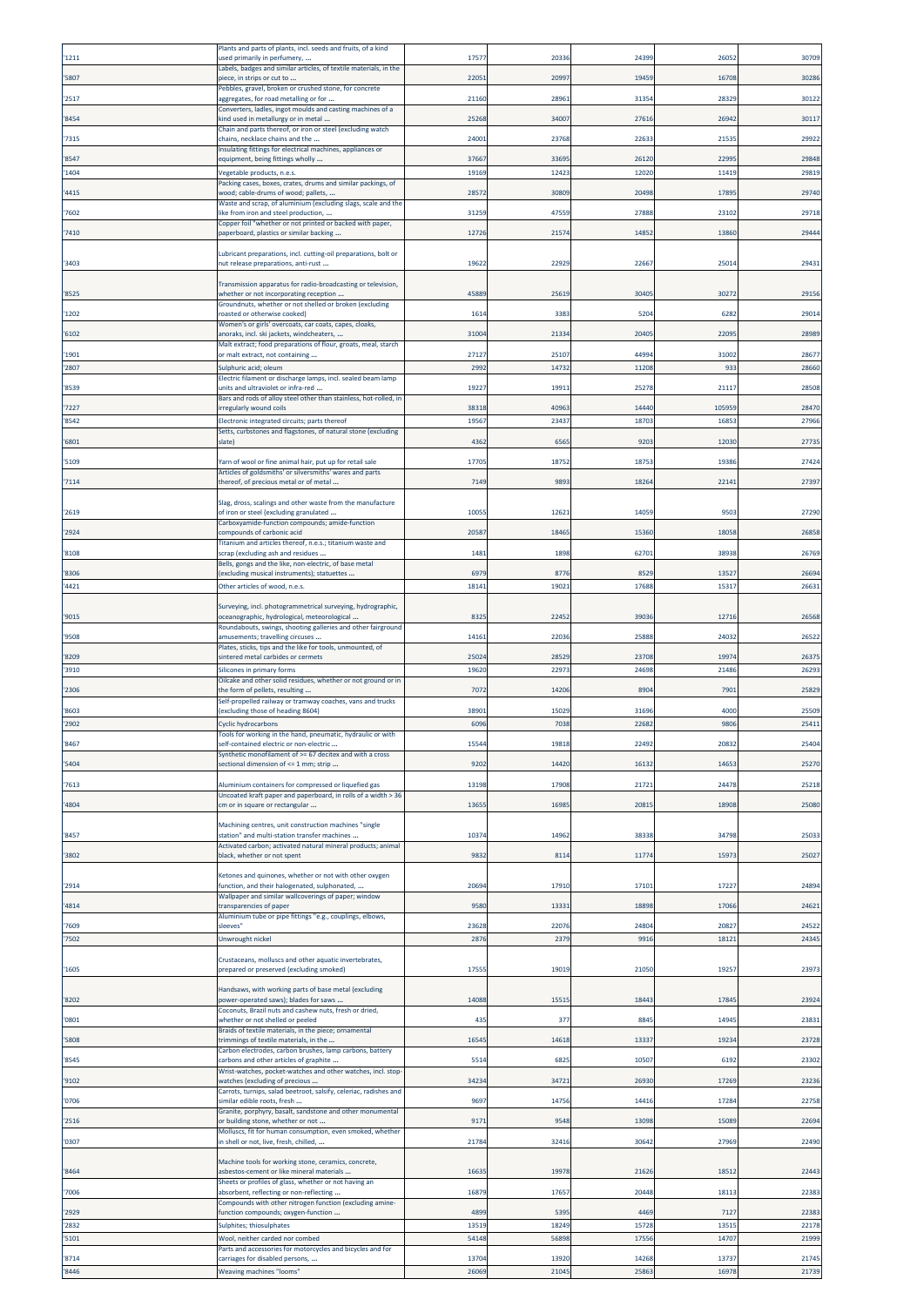|                | Plants and parts of plants, incl. seeds and fruits, of a kind                                                        |              |               |              |             |                |
|----------------|----------------------------------------------------------------------------------------------------------------------|--------------|---------------|--------------|-------------|----------------|
| '1211          | used primarily in perfumery,                                                                                         | 1757         | 20336         | 2439         | 2605        | 30709          |
| '5807          | Labels, badges and similar articles, of textile materials, in the<br>piece, in strips or cut to                      | 22051        | 2099          | 1945         | 16708       | 30286          |
|                | Pebbles, gravel, broken or crushed stone, for concrete                                                               |              |               |              |             |                |
| '2517          | aggregates, for road metalling or for                                                                                | 21160        | 28961         | 3135         | 28329       | 30122          |
| '8454          | Converters, ladles, ingot moulds and casting machines of a<br>kind used in metallurgy or in metal                    | 25268        | 34007         | 2761         | 26942       | 30117          |
|                | Chain and parts thereof, or iron or steel (excluding watch                                                           |              |               |              |             |                |
| '7315          | chains, necklace chains and the<br>Insulating fittings for electrical machines, appliances or                        | 24001        | 23768         | 2263         | 2153        | 29922          |
| '8547          | equipment, being fittings wholly                                                                                     | 37667        | 33695         | 2612         | 22995       | 29848          |
| '1404          | Vegetable products, n.e.s.                                                                                           | 19169        | 12423         | 1202         | 11419       | 29819          |
|                | Packing cases, boxes, crates, drums and similar packings, of                                                         |              |               |              |             |                |
| '4415          | vood; cable-drums of wood; pallets,<br>Waste and scrap, of aluminium (excluding slags, scale and the                 | 28572        | 30809         | 20498        | 1789        | 29740          |
| '7602          | like from iron and steel production,                                                                                 | 31259        | 47559         | 2788         | 23102       | 29718          |
| 7410           | Copper foil "whether or not printed or backed with paper,<br>paperboard, plastics or similar backing                 | 12726        | 21574         | 1485         | 13860       | 29444          |
|                |                                                                                                                      |              |               |              |             |                |
| '3403          | Lubricant preparations, incl. cutting-oil preparations, bolt or                                                      | 19622        | 22929         | 22667        | 25014       | 29431          |
|                | nut release preparations, anti-rust                                                                                  |              |               |              |             |                |
|                | Transmission apparatus for radio-broadcasting or television,                                                         |              |               |              |             |                |
| '8525          | whether or not incorporating reception<br>Groundnuts, whether or not shelled or broken (excluding                    | 45889        | 25619         | 3040         | 30272       | 29156          |
| '1202          | oasted or otherwise cooked)                                                                                          | 1614         | 3383          | 5204         | 6282        | 29014          |
|                | Women's or girls' overcoats, car coats, capes, cloaks,                                                               |              | 21334         | 2040         | 2209        |                |
| '6102          | anoraks, incl. ski jackets, windcheaters,<br>Malt extract; food preparations of flour, groats, meal, starch          | 31004        |               |              |             | 28989          |
| '1901          | or malt extract, not containing                                                                                      | 27127        | 25107         | 4499         | 31002       | 28677          |
| '2807          | Sulphuric acid; oleum                                                                                                | 2992         | 14732         | 1120         | 933         | 28660          |
| '8539          | Electric filament or discharge lamps, incl. sealed beam lamp<br>units and ultraviolet or infra-red                   | 19227        | 19911         | 2527         | 2111        | 28508          |
|                | Bars and rods of alloy steel other than stainless, hot-rolled, in                                                    |              |               |              |             |                |
| '7227          | rregularly wound coils                                                                                               | 38318        | 40963         | 14440        | 105959      | 28470          |
| '8542          | Electronic integrated circuits; parts thereof                                                                        | 19567        | 23437         | 1870         | 1685        | 27966          |
| '6801          | Setts, curbstones and flagstones, of natural stone (excluding<br>slate)                                              | 4362         | 6565          | 920          | 12030       | 27735          |
|                |                                                                                                                      |              |               |              |             |                |
| '5109          | Yarn of wool or fine animal hair, put up for retail sale<br>Articles of goldsmiths' or silversmiths' wares and parts | 17705        | 18752         | 1875         | 19386       | 27424          |
| '7114          | thereof, of precious metal or of metal                                                                               | 7149         | 9893          | 18264        | 22141       | 27397          |
|                |                                                                                                                      |              |               |              |             |                |
| '2619          | Slag, dross, scalings and other waste from the manufacture<br>of iron or steel (excluding granulated                 | 10055        | 12621         | 14059        | 9503        | 27290          |
|                | Carboxyamide-function compounds; amide-function                                                                      |              |               |              |             |                |
| '2924          | compounds of carbonic acid                                                                                           | 2058         | 18465         | 15360        | 18058       | 26858          |
| '8108          | Titanium and articles thereof, n.e.s.; titanium waste and<br>scrap (excluding ash and residues                       | 1481         | 1898          | 6270         | 3893        | 26769          |
|                | Bells, gongs and the like, non-electric, of base metal                                                               |              |               |              |             |                |
| '8306          | (excluding musical instruments); statuettes                                                                          | 6979         | 8776          | 8529         | 13527       | 26694          |
| '4421          | Other articles of wood, n.e.s.                                                                                       | 18141        | 19021         | 1768         | 15317       | 26631          |
|                | Surveying, incl. photogrammetrical surveying, hydrographic,                                                          |              |               |              |             |                |
| '9015          | oceanographic, hydrological, meteorological                                                                          | 8325         | 22452         | 3903         | 12716       | 26568          |
| '9508          | Roundabouts, swings, shooting galleries and other fairground<br>amusements; travelling circuses                      | 14161        | 22036         | 25888        | 24032       | 26522          |
|                | Plates, sticks, tips and the like for tools, unmounted, of                                                           |              |               |              |             |                |
| '8209          | sintered metal carbides or cermets                                                                                   | 25024        | 28529         | 23708        | 19974       | 26375          |
| '3910          | Silicones in primary forms<br>Oilcake and other solid residues, whether or not ground or in                          | 19620        | 22973         | 2469         | 21486       | 26293          |
| '2306          | the form of pellets, resulting                                                                                       | 7072         | 14206         | 890          | 7901        | 25829          |
|                | Self-propelled railway or tramway coaches, vans and trucks                                                           |              |               |              |             |                |
| '8603<br>'2902 | excluding those of heading 8604)<br><b>Cyclic hydrocarbons</b>                                                       | 3890<br>6096 | 15029<br>7038 | 3169<br>2268 | 4000<br>980 | 25509<br>25411 |
|                | Tools for working in the hand, pneumatic, hydraulic or with                                                          |              |               |              |             |                |
| '8467          | self-contained electric or non-electric                                                                              | 15544        | 19818         | 22492        | 20832       | 25404          |
| '5404          | Synthetic monofilament of >= 67 decitex and with a cross<br>sectional dimension of <= 1 mm; strip                    | 9202         | 14420         | 1613         | 14653       | 25270          |
|                |                                                                                                                      |              |               |              |             |                |
| '7613          | Aluminium containers for compressed or liquefied gas                                                                 | 13198        | 17908         | 21721        | 24478       | 25218          |
| '4804          | Uncoated kraft paper and paperboard, in rolls of a width > 36<br>cm or in square or rectangular                      | 13655        | 16985         | 2081         | 18908       | 25080          |
|                |                                                                                                                      |              |               |              |             |                |
|                | Machining centres, unit construction machines "single                                                                |              |               |              |             |                |
| '8457          | station" and multi-station transfer machines<br>Activated carbon; activated natural mineral products; animal         | 10374        | 14962         | 3833         | 34798       | 25033          |
| '3802          | black, whether or not spent                                                                                          | 9832         | 8114          | 1177         | 1597        | 25027          |
|                | Ketones and quinones, whether or not with other oxygen                                                               |              |               |              |             |                |
| '2914          | function, and their halogenated, sulphonated,                                                                        | 20694        | 17910         | 1710         | 17227       | 24894          |
| '4814          | Wallpaper and similar wallcoverings of paper; window<br>ransparencies of paper                                       | 9580         | 13331         | 18898        | 17066       | 24621          |
|                | Aluminium tube or pipe fittings "e.g., couplings, elbows,                                                            |              |               |              |             |                |
| '7609          | sleeves'                                                                                                             | 23628        | 22076         | 2480         | 20827       | 24522          |
| '7502          | Unwrought nickel                                                                                                     | 2876         | 2379          | 9916         | 18121       | 24345          |
|                | Crustaceans, molluscs and other aquatic invertebrates,                                                               |              |               |              |             |                |
| '1605          | prepared or preserved (excluding smoked)                                                                             | 1755         | 19019         | 2105         | 1925        | 23973          |
|                | Handsaws, with working parts of base metal (excluding                                                                |              |               |              |             |                |
| '8202          | oower-operated saws); blades for saws                                                                                | 14088        | 1551          | 1844         | 1784        | 23924          |
| '0801          | Coconuts, Brazil nuts and cashew nuts, fresh or dried,<br>whether or not shelled or peeled                           | 435          | 377           | 8845         | 14945       | 23831          |
|                | Braids of textile materials, in the piece; ornamental                                                                |              |               |              |             |                |
| '5808          | rimmings of textile materials, in the                                                                                | 16545        | 14618         | 1333         | 19234       | 23728          |
| '8545          | Carbon electrodes, carbon brushes, lamp carbons, battery<br>carbons and other articles of graphite                   | 5514         | 6825          | 1050         | 6192        | 23302          |
|                | Wrist-watches, pocket-watches and other watches, incl. stop-                                                         |              |               |              |             |                |
| '9102          | watches (excluding of precious                                                                                       | 34234        | 34721         | 2693         | 17269       | 23236          |
| '0706          | Carrots, turnips, salad beetroot, salsify, celeriac, radishes and<br>similar edible roots, fresh                     | 9697         | 14756         | 14416        | 17284       | 22758          |
|                | Granite, porphyry, basalt, sandstone and other monumental                                                            |              |               |              |             |                |
| '2516          | or building stone, whether or not                                                                                    | 9171         | 9548          | 1309         | 15089       | 22694          |
| '0307          | Molluscs, fit for human consumption, even smoked, whether<br>n shell or not, live, fresh, chilled,                   | 21784        | 32416         | 3064         | 27969       | 22490          |
|                |                                                                                                                      |              |               |              |             |                |
| '8464          | Machine tools for working stone, ceramics, concrete,<br>asbestos-cement or like mineral materials                    | 1663         | 19978         | 2162         | 18512       | 22443          |
|                | Sheets or profiles of glass, whether or not having an                                                                |              |               |              |             |                |
| '7006          | absorbent, reflecting or non-reflecting<br>Compounds with other nitrogen function (excluding amine-                  | 16879        | 17657         | 20448        | 18113       | 22383          |
| '2929          | unction compounds; oxygen-function                                                                                   | 4899         | 5395          | 4469         | 7127        | 22383          |
| '2832          | Sulphites; thiosulphates                                                                                             | 13519        | 18249         | 1572         | 1351        | 22178          |
| '5101          | Nool, neither carded nor combed                                                                                      | 54148        | 56898         | 1755         | 14707       | 21999          |
| '8714          | Parts and accessories for motorcycles and bicycles and for<br>carriages for disabled persons,                        | 13704        | 13920         | 1426         | 13737       | 21745          |
| '8446          | Weaving machines "looms"                                                                                             | 26069        | 21045         | 2586         | 16978       | 21739          |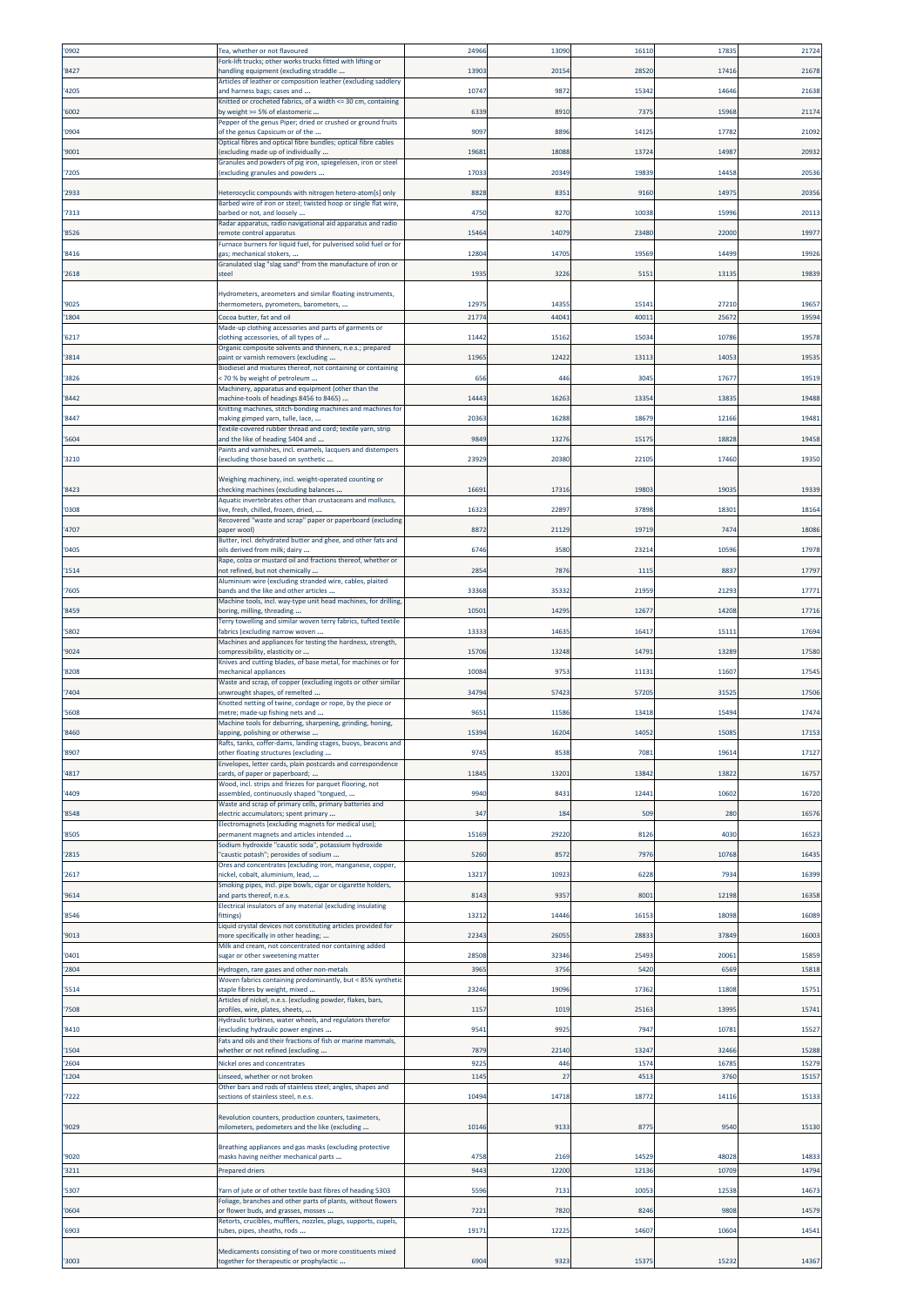| '0902          | Tea, whether or not flavoured                                                                            | 2496         | 13090        | 1611         | 1783          | 21724          |
|----------------|----------------------------------------------------------------------------------------------------------|--------------|--------------|--------------|---------------|----------------|
|                | Fork-lift trucks; other works trucks fitted with lifting or                                              |              |              |              |               |                |
| '8427          | handling equipment (excluding straddle<br>Articles of leather or composition leather (excluding saddlery | 13903        | 20154        | 2852         | 17416         | 21678          |
| '4205          | and harness bags; cases and<br>Knitted or crocheted fabrics, of a width <= 30 cm, containing             | 10747        | 9872         | 15342        | 14646         | 21638          |
| '6002          | by weight >= 5% of elastomeric                                                                           | 6339         | 8910         | 737          | 15968         | 21174          |
| '0904          | Pepper of the genus Piper; dried or crushed or ground fruits<br>of the genus Capsicum or of the          | 9097         | 8896         | 1412         | 1778          | 21092          |
|                | Optical fibres and optical fibre bundles; optical fibre cables                                           |              | 18088        | 1372         | 14987         |                |
| '9001          | excluding made up of individually<br>Granules and powders of pig iron, spiegeleisen, iron or steel       | 19681        |              |              |               | 20932          |
| '7205          | excluding granules and powders                                                                           | 17033        | 20349        | 19839        | 14458         | 20536          |
| '2933          | Heterocyclic compounds with nitrogen hetero-atom[s] only                                                 | 8828         | 8351         | 9160         | 1497          | 2035           |
| '7313          | Barbed wire of iron or steel; twisted hoop or single flat wire,<br>barbed or not, and loosely            | 4750         | 8270         | 10038        | 1599          | 2011           |
|                | Radar apparatus, radio navigational aid apparatus and radio                                              |              |              |              |               |                |
| '8526          | emote control apparatus<br>Furnace burners for liquid fuel, for pulverised solid fuel or for             | 15464        | 14079        | 2348         | 22000         | 1997           |
| '8416          | gas; mechanical stokers,                                                                                 | 12804        | 14705        | 19569        | 14499         | 19926          |
| '2618          | Granulated slag "slag sand" from the manufacture of iron or<br>steel                                     | 193          | 3226         | 515          | 1313          | 19839          |
|                | Hydrometers, areometers and similar floating instruments,                                                |              |              |              |               |                |
| '9025          | thermometers, pyrometers, barometers,                                                                    | 12975        | 14355        | 1514         | 27210         | 1965           |
| '1804          | Cocoa butter, fat and oil                                                                                | 21774        | 44041        | 40011        | 2567          | 19594          |
| '6217          | Made-up clothing accessories and parts of garments or<br>clothing accessories, of all types of           | 11442        | 15162        | 1503         | 10786         | 19578          |
| '3814          | Organic composite solvents and thinners, n.e.s.; prepared<br>paint or varnish removers (excluding        | 11965        | 12422        | 1311         | 1405          | 19535          |
|                | Biodiesel and mixtures thereof, not containing or containing                                             |              |              |              |               |                |
| '3826          | < 70 % by weight of petroleum<br>Machinery, apparatus and equipment (other than the                      | 656          | 446          | 3045         | 1767          | 19519          |
| '8442          | machine-tools of headings 8456 to 8465)                                                                  | 14443        | 16263        | 13354        | 1383          | 19488          |
| '8447          | Knitting machines, stitch-bonding machines and machines for<br>making gimped yarn, tulle, lace,          | 20363        | 16288        | 1867         | 12166         | 19481          |
|                | Textile-covered rubber thread and cord; textile yarn, strip                                              |              |              |              |               |                |
| '5604          | and the like of heading 5404 and<br>Paints and varnishes, incl. enamels, lacquers and distempers         | 9849         | 13276        | 1517         | 18828         | 19458          |
| '3210          | (excluding those based on synthetic                                                                      | 23929        | 20380        | 2210         | 17460         | 19350          |
|                | Weighing machinery, incl. weight-operated counting or                                                    |              |              |              |               |                |
| '8423          | checking machines (excluding balances<br>Aquatic invertebrates other than crustaceans and molluscs,      | 16691        | 17316        | 1980         | 1903          | 19339          |
| '0308          | live, fresh, chilled, frozen, dried,                                                                     | 1632         | 22897        | 37898        | 18301         | 18164          |
| '4707          | Recovered "waste and scrap" paper or paperboard (excluding<br>paper wool)                                | 8872         | 21129        | 19719        | 7474          | 18086          |
|                | Butter, incl. dehydrated butter and ghee, and other fats and                                             |              |              |              |               |                |
| '0405          | oils derived from milk; dairy<br>Rape, colza or mustard oil and fractions thereof, whether or            | 6746         | 3580         | 2321         | 1059          | 17978          |
| '1514          | not refined, but not chemically<br>Aluminium wire (excluding stranded wire, cables, plaited              | 285          | 7876         | 1115         | 8837          | 17797          |
| '7605          | bands and the like and other articles                                                                    | 33368        | 35332        | 2195         | 2129          | 17771          |
| '8459          | Machine tools, incl. way-type unit head machines, for drilling,<br>boring, milling, threading            | 10501        | 14295        | 1267         | 14208         | 17716          |
|                | Terry towelling and similar woven terry fabrics, tufted textile                                          |              |              |              |               |                |
| '5802          | fabrics (excluding narrow woven<br>Machines and appliances for testing the hardness, strength,           | 13333        | 14635        | 16417        | 1511          | 17694          |
| '9024          | compressibility, elasticity or                                                                           | 15706        | 13248        | 14791        | 13289         | 17580          |
| '8208          | Knives and cutting blades, of base metal, for machines or for<br>mechanical appliances                   | 10084        | 9753         | 1113         | 11607         | 17545          |
| '7404          | Waste and scrap, of copper (excluding ingots or other similar<br>inwrought shapes, of remelted           | 3479         | 57423        | 5720         | 3152          | 17506          |
|                | Knotted netting of twine, cordage or rope, by the piece or                                               |              |              |              |               |                |
| '5608          | metre; made-up fishing nets and<br>Machine tools for deburring, sharpening, grinding, honing,            | 965          | 11586        | 1341         | 1549          | 17474          |
| '8460          | lapping, polishing or otherwise                                                                          | 15394        | 16204        | 14052        | 15085         | 17153          |
| '8907          | Rafts, tanks, coffer-dams, landing stages, buoys, beacons and<br>other floating structures (excluding    | 9745         | 8538         | 7081         | 19614         | 17127          |
| '4817          | Envelopes, letter cards, plain postcards and correspondence<br>cards, of paper or paperboard;            | 11845        | 13201        | 13842        | 1382          | 16757          |
|                | Wood, incl. strips and friezes for parquet flooring, not                                                 |              |              |              |               |                |
| '4409          | assembled, continuously shaped "tongued,<br>Waste and scrap of primary cells, primary batteries and      | 9940         | 8431         | 12441        | 10602         | 16720          |
| '8548          | electric accumulators; spent primary                                                                     | 347          | 184          | 509          | 280           | 16576          |
| '8505          | Electromagnets (excluding magnets for medical use);<br>permanent magnets and articles intended           | 15169        | 29220        | 8126         | 4030          | 16523          |
|                | Sodium hydroxide "caustic soda", potassium hydroxide                                                     |              |              |              |               |                |
| '2815          | caustic potash"; peroxides of sodium<br>Ores and concentrates (excluding iron, manganese, copper,        | 5260         | 8572         | 7976         | 10768         | 16435          |
| '2617          | nickel, cobalt, aluminium, lead,                                                                         | 13217        | 10923        | 6228         | 7934          | 16399          |
| '9614          | Smoking pipes, incl. pipe bowls, cigar or cigarette holders,<br>and parts thereof, n.e.s.                | 8143         | 9357         | 800          | 12198         | 16358          |
| '8546          | Electrical insulators of any material (excluding insulating<br>fittings)                                 | 13212        | 14446        | 1615         | 18098         | 16089          |
|                | Liquid crystal devices not constituting articles provided for                                            |              |              |              |               |                |
| '9013          | more specifically in other heading;<br>Milk and cream, not concentrated nor containing added             | 22343        | 26055        | 2883         | 37849         | 16003          |
| '0401          | sugar or other sweetening matter                                                                         | 28508        | 32346        | 2549         | 2006:         | 15859          |
| '2804          | Hydrogen, rare gases and other non-metals<br>Woven fabrics containing predominantly, but < 85% synthetic | 3965         | 3756         | 5420         | 6569          | 15818          |
| '5514          | staple fibres by weight, mixed                                                                           | 23246        | 19096        | 1736         | 11808         | 15751          |
| '7508          | Articles of nickel, n.e.s. (excluding powder, flakes, bars,<br>profiles, wire, plates, sheets,           | 1157         | 1019         | 25163        | 1399          | 15741          |
| '8410          | Hydraulic turbines, water wheels, and regulators therefor<br>excluding hydraulic power engines           | 9541         | 9925         | 7947         | 1078          | 15527          |
|                | Fats and oils and their fractions of fish or marine mammals,                                             |              |              |              |               |                |
| '1504<br>'2604 | whether or not refined (excluding<br>Nickel ores and concentrates                                        | 7879<br>9225 | 22140<br>446 | 13247<br>157 | 32466<br>1678 | 15288<br>15279 |
| '1204          | Linseed, whether or not broken                                                                           | 1145         | 27           | 451          | 3760          | 15157          |
|                | Other bars and rods of stainless steel; angles, shapes and                                               |              |              |              |               |                |
| '7222          | sections of stainless steel, n.e.s.                                                                      | 1049         | 14718        | 18772        | 1411          | 15133          |
| '9029          | Revolution counters, production counters, taximeters,<br>milometers, pedometers and the like (excluding  | 10146        | 9133         | 8775         | 954           | 15130          |
|                |                                                                                                          |              |              |              |               |                |
| '9020          | Breathing appliances and gas masks (excluding protective<br>masks having neither mechanical parts        | 4758         | 2169         | 1452         | 48028         | 14833          |
| '3211          | <b>Prepared driers</b>                                                                                   | 9443         | 12200        | 12136        | 10709         | 14794          |
| 5307           | arn of jute or of other textile bast fibres of heading 5303                                              | 5596         | 7131         | 1005         | 12538         | 1467           |
|                | Foliage, branches and other parts of plants, without flowers                                             |              |              |              |               |                |
| '0604          | or flower buds, and grasses, mosses<br>Retorts, crucibles, mufflers, nozzles, plugs, supports, cupels,   | 7221         | 7820         | 8246         | 9808          | 14579          |
| '6903          | tubes, pipes, sheaths, rods                                                                              | 19171        | 12225        | 1460         | 10604         | 14541          |
|                | Medicaments consisting of two or more constituents mixed                                                 |              |              |              |               |                |
| '3003          | ogether for therapeutic or prophylactic                                                                  | 6904         | 9323         | 15375        | 15232         | 14367          |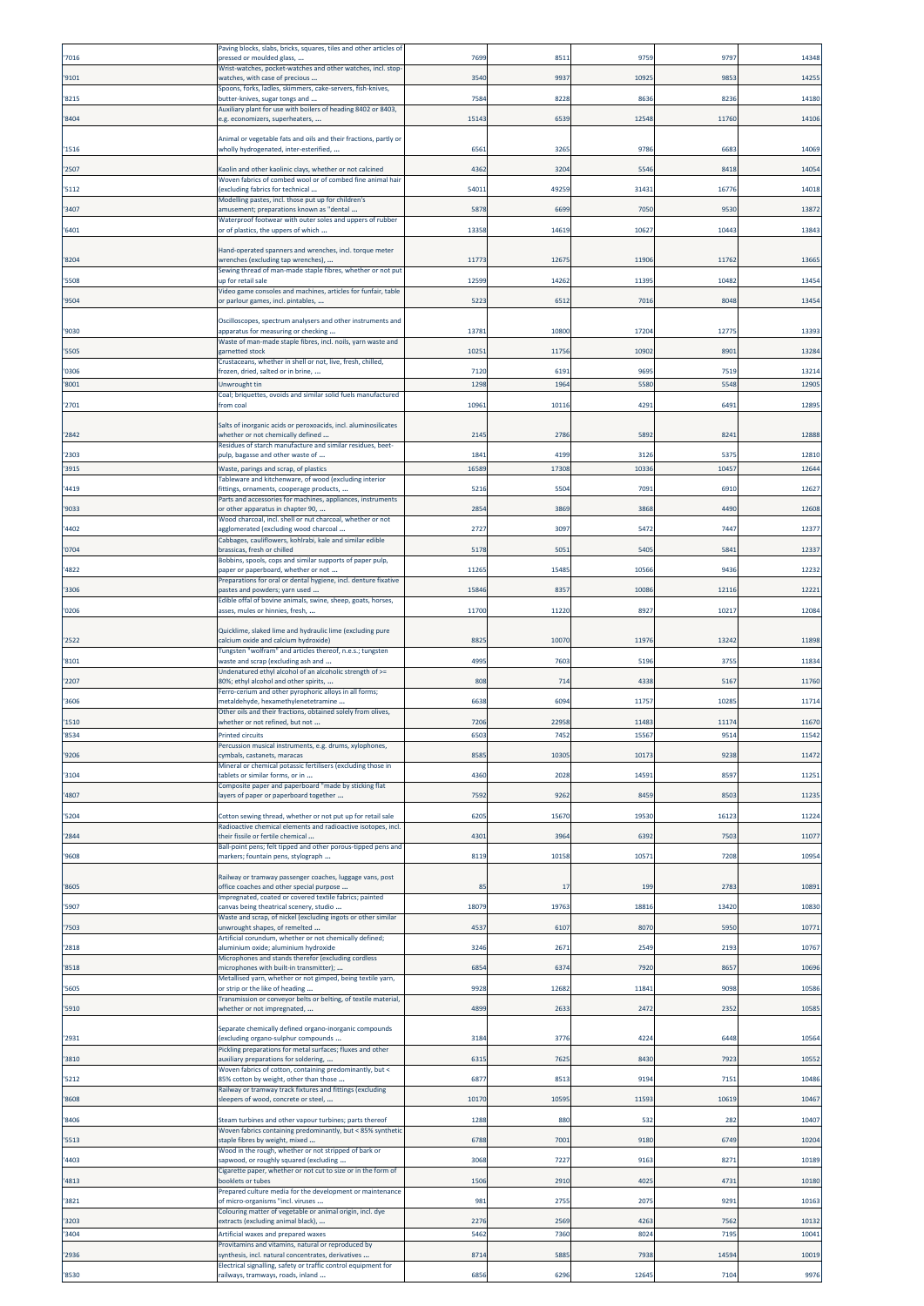|       | Paving blocks, slabs, bricks, squares, tiles and other articles of                                                     |       |       |         |       |       |
|-------|------------------------------------------------------------------------------------------------------------------------|-------|-------|---------|-------|-------|
| '7016 | pressed or moulded glass,                                                                                              | 769   | 851   | 975     | 9797  | 14348 |
| '9101 | Wrist-watches, pocket-watches and other watches, incl. stop-<br>watches, with case of precious                         | 354   | 9937  | 1092    | 985   | 14255 |
|       | Spoons, forks, ladles, skimmers, cake-servers, fish-knives,                                                            |       |       |         |       |       |
| '8215 | butter-knives, sugar tongs and<br>Auxiliary plant for use with boilers of heading 8402 or 8403,                        | 7584  | 8228  | 8636    | 8236  | 14180 |
| '8404 | e.g. economizers, superheaters,                                                                                        | 1514  | 6539  | 12548   | 11760 | 14106 |
|       | Animal or vegetable fats and oils and their fractions, partly or                                                       |       |       |         |       |       |
| '1516 | wholly hydrogenated, inter-esterified,                                                                                 | 6561  | 3265  | 9786    | 6683  | 14069 |
| '2507 | Kaolin and other kaolinic clays, whether or not calcined                                                               | 4362  | 3204  | 5546    | 841   | 14054 |
| '5112 | Woven fabrics of combed wool or of combed fine animal hair<br>(excluding fabrics for technical                         | 5401  | 49259 | 31431   | 1677  | 14018 |
|       | Modelling pastes, incl. those put up for children's                                                                    |       |       |         |       |       |
| '3407 | amusement; preparations known as "dental<br>Waterproof footwear with outer soles and uppers of rubber                  | 5878  | 6699  | 7050    | 9530  | 1387  |
| '6401 | or of plastics, the uppers of which                                                                                    | 13358 | 14619 | 1062    | 1044  | 13843 |
|       | Hand-operated spanners and wrenches, incl. torque meter                                                                |       |       |         |       |       |
| '8204 | wrenches (excluding tap wrenches),                                                                                     | 1177  | 12675 | 11906   | 1176  | 13665 |
| '5508 | Sewing thread of man-made staple fibres, whether or not put<br>up for retail sale                                      | 12599 | 14262 | 1139    | 1048  | 13454 |
|       | Video game consoles and machines, articles for funfair, table                                                          |       |       |         |       |       |
| '9504 | or parlour games, incl. pintables,                                                                                     | 5223  | 6512  | 7016    | 8048  | 13454 |
|       | Oscilloscopes, spectrum analysers and other instruments and                                                            |       |       |         |       |       |
| '9030 | apparatus for measuring or checking<br>Waste of man-made staple fibres, incl. noils, yarn waste and                    | 13781 | 10800 | 1720    | 1277  | 13393 |
| '5505 | garnetted stock                                                                                                        | 10251 | 11756 | 10902   | 890   | 13284 |
| '0306 | Crustaceans, whether in shell or not, live, fresh, chilled,<br>frozen, dried, salted or in brine,                      | 7120  | 619   | 969     | 7519  | 13214 |
| '8001 | Unwrought tin                                                                                                          | 1298  | 1964  | 5580    | 5548  | 12905 |
| '2701 | Coal; briquettes, ovoids and similar solid fuels manufactured<br>from coal                                             | 10961 | 10116 | 4291    | 6491  | 12895 |
|       |                                                                                                                        |       |       |         |       |       |
| '2842 | Salts of inorganic acids or peroxoacids, incl. aluminosilicates<br>whether or not chemically defined                   | 2145  | 2786  | 589     | 824   | 12888 |
|       | Residues of starch manufacture and similar residues, beet-                                                             |       |       |         |       |       |
| '2303 | pulp, bagasse and other waste of                                                                                       | 1841  | 4199  | 3126    | 537   | 12810 |
| '3915 | Waste, parings and scrap, of plastics<br>Tableware and kitchenware, of wood (excluding interior                        | 16589 | 17308 | 10336   | 10457 | 12644 |
| '4419 | fittings, ornaments, cooperage products,                                                                               | 521   | 5504  | 709     | 691   | 12627 |
| '9033 | Parts and accessories for machines, appliances, instruments<br>or other apparatus in chapter 90,                       | 285   | 3869  | 3868    | 4490  | 12608 |
| '4402 | Wood charcoal, incl. shell or nut charcoal, whether or not<br>agglomerated (excluding wood charcoal                    | 2727  | 3097  | 5472    | 7447  | 12377 |
|       | Cabbages, cauliflowers, kohlrabi, kale and similar edible                                                              |       |       |         |       |       |
| '0704 | brassicas, fresh or chilled                                                                                            | 5178  | 5051  | 5405    | 584   | 12337 |
| '4822 | Bobbins, spools, cops and similar supports of paper pulp,<br>paper or paperboard, whether or not                       | 11265 | 15485 | 10566   | 9436  | 12232 |
| '3306 | Preparations for oral or dental hygiene, incl. denture fixative<br>pastes and powders; yarn used.                      | 15846 | 8357  | 10086   | 12116 | 12221 |
|       | Edible offal of bovine animals, swine, sheep, goats, horses,                                                           |       |       |         |       |       |
| '0206 | asses, mules or hinnies, fresh,                                                                                        | 11700 | 11220 | 8927    | 10217 | 12084 |
|       | Quicklime, slaked lime and hydraulic lime (excluding pure                                                              |       |       |         |       |       |
| '2522 | calcium oxide and calcium hydroxide)<br>Tungsten "wolfram" and articles thereof, n.e.s.; tungsten                      | 8825  | 10070 | 11976   | 13242 | 11898 |
| '8101 | waste and scrap (excluding ash and                                                                                     | 4995  | 7603  | 519     | 375   | 11834 |
| '2207 | Undenatured ethyl alcohol of an alcoholic strength of >=<br>80%; ethyl alcohol and other spirits,                      | 808   | 714   | 4338    | 5167  | 11760 |
|       | Ferro-cerium and other pyrophoric alloys in all forms;                                                                 |       |       |         |       |       |
| '3606 | metaldehyde, hexamethylenetetramine<br>Other oils and their fractions, obtained solely from olives,                    | 6638  | 6094  | 11757   | 1028  | 11714 |
| '1510 | whether or not refined, but not                                                                                        | 7206  | 22958 | 11483   | 1117  | 11670 |
| '8534 | <b>Printed circuits</b>                                                                                                | 650   | 7452  | 15567   | 9514  | 11542 |
| '9206 | Percussion musical instruments, e.g. drums, xylophones,<br>cymbals, castanets, maracas                                 | 8585  | 10305 | 1017    | 9238  | 11472 |
| '3104 | Mineral or chemical potassic fertilisers (excluding those in<br>tablets or similar forms, or in                        | 4360  | 2028  | 14591   | 8597  | 11251 |
|       | Composite paper and paperboard "made by sticking flat                                                                  |       |       |         |       |       |
| '4807 | ayers of paper or paperboard together                                                                                  | 7592  | 9262  | 8459    | 8503  | 11235 |
| '5204 | Cotton sewing thread, whether or not put up for retail sale                                                            | 620   | 15670 | 19530   | 1612  | 11224 |
| '2844 | Radioactive chemical elements and radioactive isotopes, incl.<br>their fissile or fertile chemical                     | 4301  | 3964  | 6392    | 7503  | 11077 |
|       | Ball-point pens; felt tipped and other porous-tipped pens and                                                          |       |       |         |       |       |
| '9608 | markers; fountain pens, stylograph                                                                                     | 8119  | 10158 | 10571   | 7208  | 10954 |
|       | Railway or tramway passenger coaches, luggage vans, post                                                               |       |       |         |       |       |
| '8605 | office coaches and other special purpose<br>Impregnated, coated or covered textile fabrics; painted                    | 85    | 17    | 199     | 2783  | 10891 |
| '5907 | canvas being theatrical scenery, studio                                                                                | 18079 | 19763 | 18816   | 13420 | 10830 |
| '7503 | Waste and scrap, of nickel (excluding ingots or other similar<br>unwrought shapes, of remelted                         | 453   | 6107  | 8070    | 5950  | 10771 |
|       | Artificial corundum, whether or not chemically defined;                                                                |       |       |         |       |       |
| '2818 | aluminium oxide; aluminium hydroxide<br>Microphones and stands therefor (excluding cordless                            | 3246  | 2671  | 2549    | 2193  | 10767 |
| '8518 | microphones with built-in transmitter);                                                                                | 685   | 6374  | 7920    | 8657  | 10696 |
| '5605 | Metallised yarn, whether or not gimped, being textile yarn,<br>or strip or the like of heading                         | 9928  | 12682 | 1184    | 9098  | 10586 |
|       | Transmission or conveyor belts or belting, of textile material,                                                        |       |       |         |       |       |
| '5910 | whether or not impregnated,                                                                                            | 4899  | 2633  | 2472    | 235   | 10585 |
|       | Separate chemically defined organo-inorganic compounds                                                                 |       |       |         |       |       |
| '2931 | (excluding organo-sulphur compounds<br>Pickling preparations for metal surfaces; fluxes and other                      | 3184  | 3776  | 422     | 6448  | 10564 |
| '3810 | auxiliary preparations for soldering,                                                                                  | 6315  | 7625  | 8430    | 7923  | 10552 |
| '5212 | Woven fabrics of cotton, containing predominantly, but <<br>85% cotton by weight, other than those                     | 687   | 8513  | 9194    | 7151  | 10486 |
| '8608 | Railway or tramway track fixtures and fittings (excluding                                                              | 10170 | 10595 | 11593   | 10619 | 10467 |
|       | sleepers of wood, concrete or steel,                                                                                   |       |       |         |       |       |
| '8406 | Steam turbines and other vapour turbines; parts thereof<br>Woven fabrics containing predominantly, but < 85% synthetic | 1288  | 880   | 532     | 282   | 10407 |
| '5513 | staple fibres by weight, mixed                                                                                         | 6788  | 7001  | 9180    | 6749  | 10204 |
| '4403 | Wood in the rough, whether or not stripped of bark or<br>apwood, or roughly squared (excluding                         | 3068  | 7227  | 9163    | 827   | 10189 |
|       | Cigarette paper, whether or not cut to size or in the form of                                                          |       |       |         |       |       |
| '4813 | booklets or tubes<br>Prepared culture media for the development or maintenance                                         | 1506  | 2910  | 4025    | 473   | 10180 |
| '3821 | of micro-organisms "incl. viruses                                                                                      | 981   | 2755  | 2075    | 9291  | 10163 |
| '3203 | Colouring matter of vegetable or animal origin, incl. dye<br>extracts (excluding animal black),                        | 227   | 2569  | 426     | 7562  | 10132 |
| '3404 | Artificial waxes and prepared waxes                                                                                    | 5462  | 7360  | $802 -$ | 719   | 10041 |
| '2936 | Provitamins and vitamins, natural or reproduced by<br>synthesis, incl. natural concentrates, derivatives               | 8714  | 5885  | 7938    | 14594 | 10019 |
|       | Electrical signalling, safety or traffic control equipment for                                                         |       |       |         |       |       |
| '8530 | railways, tramways, roads, inland                                                                                      | 6856  | 6296  | 12645   | 7104  | 9976  |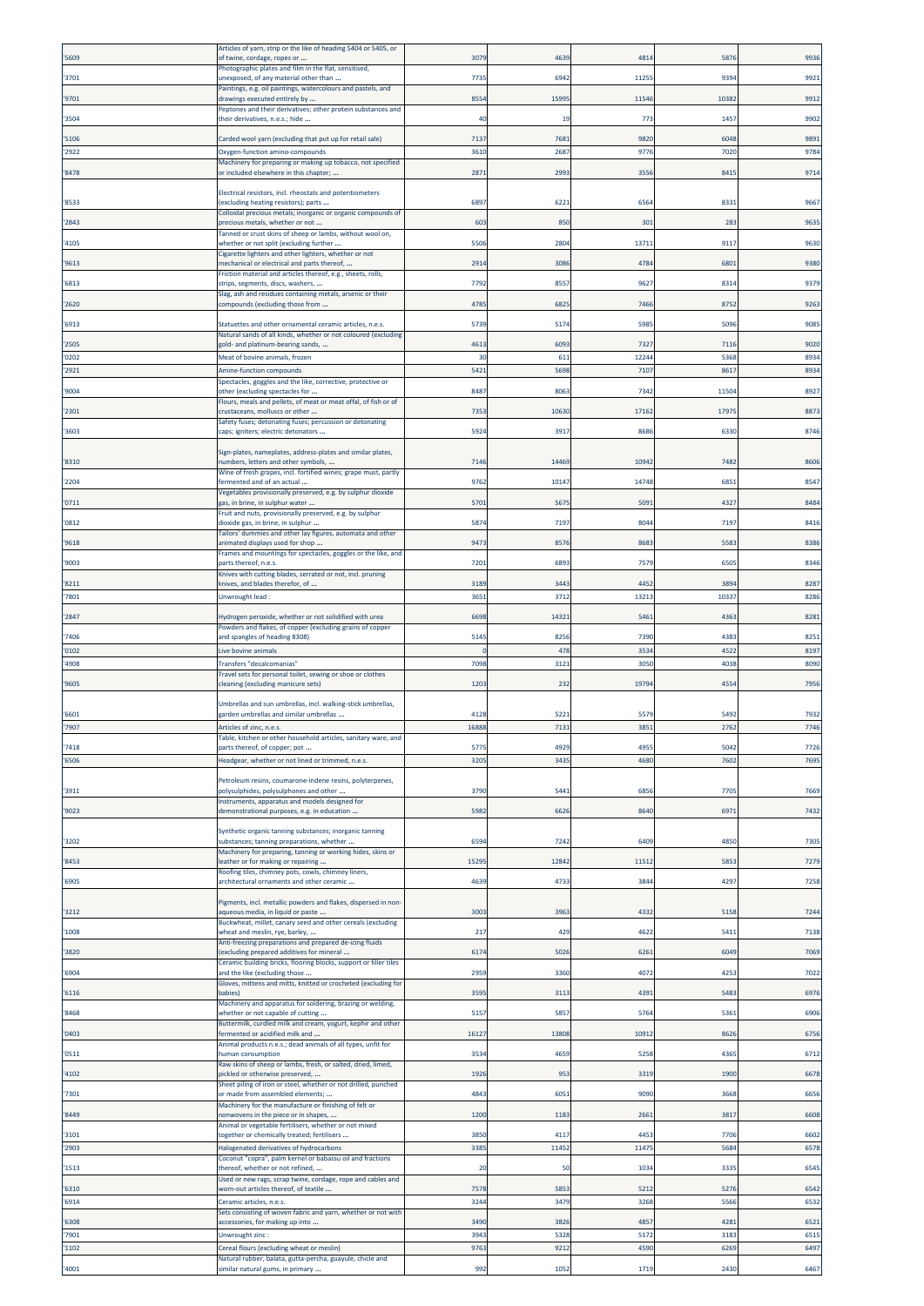|                | Articles of yarn, strip or the like of heading 5404 or 5405, or                                                     |            |              |              |              |              |
|----------------|---------------------------------------------------------------------------------------------------------------------|------------|--------------|--------------|--------------|--------------|
| '5609          | of twine, cordage, ropes or                                                                                         | 307        | 4639         | 481          | 5876         | 9936         |
| '3701          | Photographic plates and film in the flat, sensitised,<br>unexposed, of any material other than                      | 7735       | 6942         | 1125         | 939          | 9921         |
| '9701          | Paintings, e.g. oil paintings, watercolours and pastels, and<br>drawings executed entirely by                       | 8554       | 15995        | 1154         | 10382        | 9912         |
|                | Peptones and their derivatives; other protein substances and                                                        |            |              |              |              |              |
| '3504          | their derivatives, n.e.s.; hide                                                                                     | 40         | 19           | 773          | 1457         | 9902         |
| '5106          | Carded wool yarn (excluding that put up for retail sale)                                                            | 7137       | 7681         | 9820         | 6048         | 9891         |
| '2922          | Oxygen-function amino-compounds<br>Machinery for preparing or making up tobacco, not specified                      | 3610       | 2687         | 977          | 7020         | 9784         |
| '8478          | or included elsewhere in this chapter;                                                                              | 2871       | 2993         | 355          | 8415         | 9714         |
|                | Electrical resistors, incl. rheostats and potentiometers                                                            |            |              |              |              |              |
| '8533          | excluding heating resistors); parts                                                                                 | 689        | 6221         | 656          | 8331         | 9667         |
| '2843          | Colloidal precious metals; inorganic or organic compounds of<br>precious metals, whether or not                     | 603        | 850          | 301          | 283          | 9635         |
|                | Tanned or crust skins of sheep or lambs, without wool on,                                                           | 5506       | 2804         | 1371         | 9117         | 9630         |
| '4105          | whether or not split (excluding further<br>Cigarette lighters and other lighters, whether or not                    |            |              |              |              |              |
| '9613          | mechanical or electrical and parts thereof,<br>Friction material and articles thereof, e.g., sheets, rolls,         | 2914       | 3086         | 4784         | 6801         | 9380         |
| '6813          | strips, segments, discs, washers,                                                                                   | 7792       | 8557         | 962          | 8314         | 9379         |
| '2620          | Slag, ash and residues containing metals, arsenic or their<br>compounds (excluding those from                       | 4785       | 6825         | 746          | 8752         | 9263         |
| '6913          | Statuettes and other ornamental ceramic articles, n.e.s.                                                            | 5739       | 5174         | 5985         | 5096         | 9085         |
|                | Natural sands of all kinds, whether or not coloured (excluding                                                      |            |              |              |              |              |
| '2505          | gold- and platinum-bearing sands,                                                                                   | 4613       | 6093         | 732          | 7116         | 9020         |
| '0202<br>'2921 | Meat of bovine animals, frozen<br>Amine-function compounds                                                          | 30<br>5421 | 611<br>5698  | 1224<br>7107 | 5368<br>8617 | 8934<br>8934 |
|                | Spectacles, goggles and the like, corrective, protective or                                                         |            |              |              |              |              |
| '9004          | other (excluding spectacles for<br>Flours, meals and pellets, of meat or meat offal, of fish or of                  | 8487       | 8063         | 734          | 11504        | 8927         |
| '2301          | trustaceans, molluscs or other                                                                                      | 7353       | 10630        | 17162        | 1797         | 8873         |
| '3603          | Safety fuses; detonating fuses; percussion or detonating<br>caps; igniters; electric detonators                     | 5924       | 3917         | 8686         | 6330         | 8746         |
|                | Sign-plates, nameplates, address-plates and similar plates,                                                         |            |              |              |              |              |
| '8310          | numbers, letters and other symbols,                                                                                 | 7146       | 14469        | 1094         | 7482         | 8606         |
| '2204          | Wine of fresh grapes, incl. fortified wines; grape must, partly<br>fermented and of an actual                       | 9762       | 10147        | 14748        | 6851         | 8547         |
|                | Vegetables provisionally preserved, e.g. by sulphur dioxide                                                         |            |              |              |              |              |
| '0711          | gas, in brine, in sulphur water<br>Fruit and nuts, provisionally preserved, e.g. by sulphur                         | 5701       | 5675         | 509          | 4327         | 8484         |
| '0812          | dioxide gas, in brine, in sulphur                                                                                   | 5874       | 7197         | 804          | 7197         | 8416         |
| '9618          | Tailors' dummies and other lay figures, automata and other<br>animated displays used for shop                       | 9473       | 8576         | 8683         | 5583         | 8386         |
| '9003          | Frames and mountings for spectacles, goggles or the like, and<br>parts thereof, n.e.s.                              | 7201       | 6893         | 757          | 6505         | 8346         |
|                | Knives with cutting blades, serrated or not, incl. pruning                                                          |            |              |              |              |              |
| '8211          | knives, and blades therefor, of                                                                                     | 3189       | 3443<br>3712 | 4452<br>1321 | 3894<br>1033 | 8287<br>8286 |
| '7801          | Unwrought lead:                                                                                                     | 365        |              |              |              |              |
| '2847          | Hydrogen peroxide, whether or not solidified with urea<br>Powders and flakes, of copper (excluding grains of copper | 6698       | 14321        | 5461         | 4363         | 8281         |
| '7406          | and spangles of heading 8308)                                                                                       | 5145       | 8256         | 7390         | 4383         | 8251         |
| '0102          | Live bovine animals                                                                                                 | $\sqrt{a}$ | 478          | $353 -$      | 4522         | 8197         |
| '4908          | Transfers "decalcomanias"<br>Travel sets for personal toilet, sewing or shoe or clothes                             | 7098       | 3121         | 3050         | 4038         | 8090         |
| '9605          | cleaning (excluding manicure sets)                                                                                  | 1203       | 232          | 1979         | 4554         | 7956         |
|                | Umbrellas and sun umbrellas, incl. walking-stick umbrellas,                                                         |            |              |              |              |              |
| '6601          | garden umbrellas and similar umbrellas                                                                              | 412        | 5221         | 557          | 5492         | 7932         |
| '7907          | Articles of zinc, n.e.s.<br>able, kitchen or other household articles, sanitary ware, and                           | 1688       | 7131         | 385          | 2762         | 7746         |
| '7418          | parts thereof, of copper; pot                                                                                       | 577        | 4929         | 495          | 5042         | 7726         |
| '6506          | Headgear, whether or not lined or trimmed, n.e.s.                                                                   | 320        | 3435         | 4680         | 7602         | 7695         |
|                | Petroleum resins, coumarone-indene resins, polyterpenes,                                                            |            |              |              |              |              |
| '3911          | polysulphides, polysulphones and other<br>Instruments, apparatus and models designed for                            | 3790       | 5441         | 6856         | 7705         | 7669         |
| '9023          | demonstrational purposes, e.g. in education                                                                         | 5982       | 6626         | 8640         | 6971         | 7432         |
|                | Synthetic organic tanning substances; inorganic tanning                                                             |            |              |              |              |              |
| '3202          | substances; tanning preparations, whether<br>Machinery for preparing, tanning or working hides, skins or            | 659        | 7242         | 640          | 4850         | 7305         |
| '8453          | leather or for making or repairing                                                                                  | 15295      | 12842        | 1151         | 5853         | 7279         |
| '6905          | Roofing tiles, chimney pots, cowls, chimney liners,<br>architectural ornaments and other ceramic                    | 4639       | 4733         | 3844         | 4297         | 7258         |
|                |                                                                                                                     |            |              |              |              |              |
| '3212          | Pigments, incl. metallic powders and flakes, dispersed in non-<br>aqueous media, in liquid or paste                 | 3003       | 3963         | 433          | 5158         | 7244         |
| '1008          | Buckwheat, millet, canary seed and other cereals (excluding<br>wheat and meslin, rye, barley,                       | 217        | 429          | 4622         | 5411         | 7138         |
|                | Anti-freezing preparations and prepared de-icing fluids                                                             |            |              |              |              |              |
| '3820          | excluding prepared additives for mineral<br>Ceramic building bricks, flooring blocks, support or filler tiles       | 6174       | 5026         | 6261         | 6049         | 7069         |
| '6904          | and the like (excluding those<br>Gloves, mittens and mitts, knitted or crocheted (excluding for                     | 2959       | 3360         | 4072         | 4253         | 7022         |
| '6116          | babies)                                                                                                             | 3595       | 3113         | 4391         | 5483         | 6976         |
| '8468          | Machinery and apparatus for soldering, brazing or welding,<br>whether or not capable of cutting                     | 5157       | 5857         | 576          | 5361         | 6906         |
|                | Buttermilk, curdled milk and cream, yogurt, kephir and other                                                        |            |              |              |              |              |
| '0403          | fermented or acidified milk and<br>Animal products n.e.s.; dead animals of all types, unfit for                     | 16127      | 13808        | 1091         | 8626         | 6756         |
| '0511          | human consumption                                                                                                   | 3534       | 4659         | 525          | 4365         | 6712         |
| '4102          | Raw skins of sheep or lambs, fresh, or salted, dried, limed,<br>pickled or otherwise preserved,                     | 1926       | 953          | 3319         | 1900         | 6678         |
| '7301          | Sheet piling of iron or steel, whether or not drilled, punched<br>or made from assembled elements;                  | 4843       | 605          | 9090         | 3668         | 6656         |
|                | Machinery for the manufacture or finishing of felt or                                                               |            |              |              |              |              |
| '8449          | nonwovens in the piece or in shapes,<br>Animal or vegetable fertilisers, whether or not mixed                       | 1200       | 1183         | 2661         | 3817         | 6608         |
| '3101          | together or chemically treated; fertilisers                                                                         | 3850       | 4117         | 445          | 7706         | 6602         |
| '2903          | Halogenated derivatives of hydrocarbons<br>Coconut "copra", palm kernel or babassu oil and fractions                | 3385       | 11452        | 11475        | 5684         | 6578         |
| '1513          | thereof, whether or not refined,                                                                                    | 20         | 50           | 1034         | 3335         | 6545         |
| '6310          | Used or new rags, scrap twine, cordage, rope and cables and<br>worn-out articles thereof, of textile                | 7578       | 5853         | 521          | 5276         | 6542         |
| '6914          | Ceramic articles, n.e.s.                                                                                            | 3244       | 3479         | 3268         | 5566         | 6532         |
| '6308          | Sets consisting of woven fabric and yarn, whether or not with<br>accessories, for making up into                    | 3490       | 3826         | 4857         | 4281         | 6521         |
| '7901          | Unwrought zinc:                                                                                                     | 3943       | 5328         | 517          | 3183         | 6515         |
| '1102          | Cereal flours (excluding wheat or meslin)                                                                           | 9763       | 9212         | 4590         | 6269         | 6497         |
| '4001          | Natural rubber, balata, gutta-percha, guayule, chicle and<br>similar natural gums, in primary                       | 992        | 1052         | 1719         | 2430         | 6467         |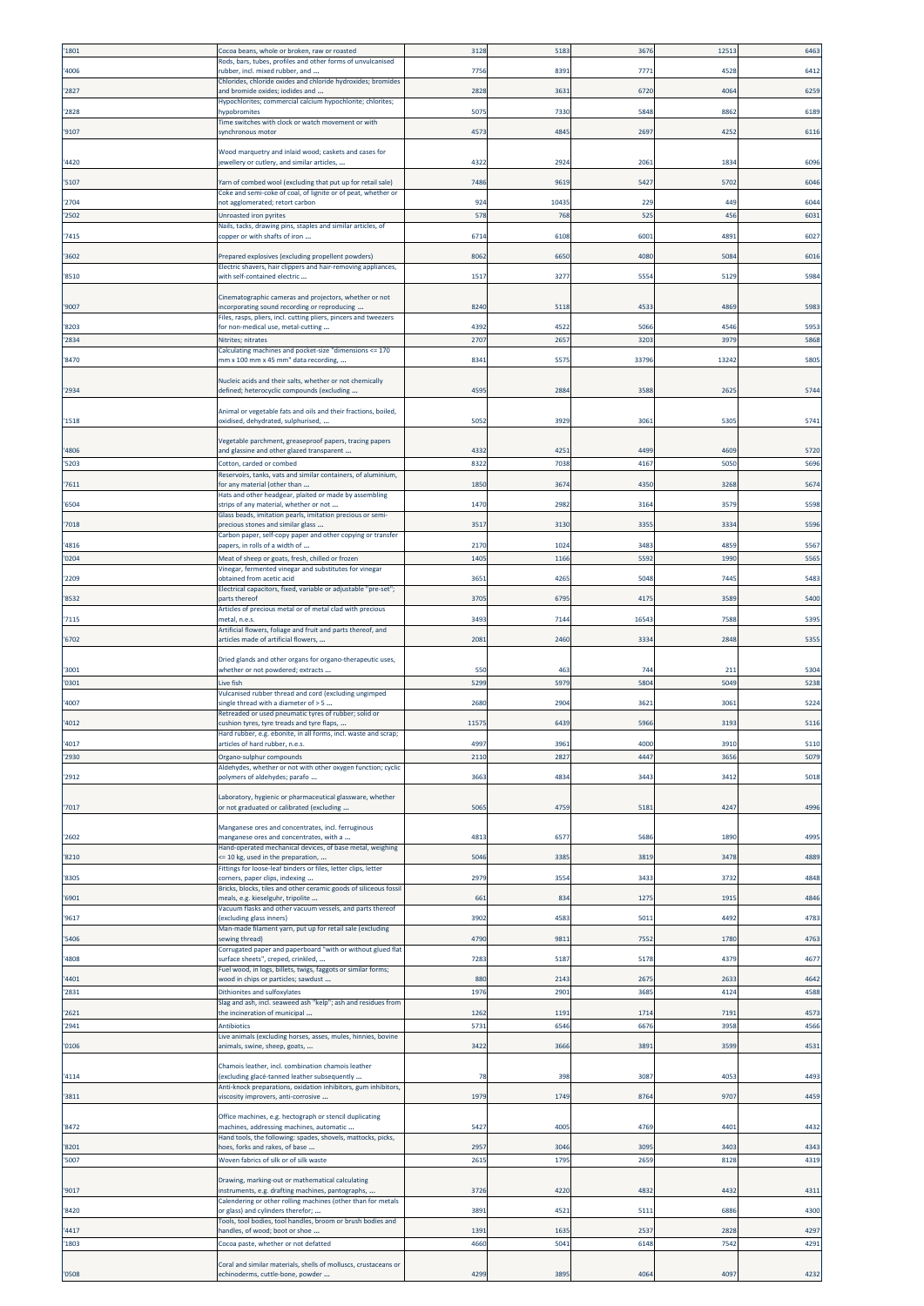| '1801 | Cocoa beans, whole or broken, raw or roasted                                                                    | 3128 | 5183  | 367     | 12513  | 6463 |
|-------|-----------------------------------------------------------------------------------------------------------------|------|-------|---------|--------|------|
|       | Rods, bars, tubes, profiles and other forms of unvulcanised                                                     |      |       |         |        |      |
| '4006 | rubber, incl. mixed rubber, and<br>Chlorides, chloride oxides and chloride hydroxides; bromides                 | 7756 | 8391  | 777     | 4528   | 6412 |
| '2827 | and bromide oxides; iodides and                                                                                 | 2828 | 3631  | 6720    | 4064   | 6259 |
|       | Hypochlorites; commercial calcium hypochlorite; chlorites;                                                      |      |       |         |        |      |
| '2828 | hypobromites<br>Time switches with clock or watch movement or with                                              | 507  | 7330  | 5848    | 8862   | 6189 |
| '9107 | synchronous motor                                                                                               | 457  | 4845  | 269     | 4252   | 6116 |
|       | Wood marquetry and inlaid wood; caskets and cases for                                                           |      |       |         |        |      |
| '4420 | ewellery or cutlery, and similar articles,                                                                      | 432  | 2924  | 206     | $183-$ | 6096 |
|       |                                                                                                                 |      |       |         |        |      |
| '5107 | Yarn of combed wool (excluding that put up for retail sale)                                                     | 7486 | 9619  | 5427    | 5702   | 6046 |
| '2704 | Coke and semi-coke of coal, of lignite or of peat, whether or<br>not agglomerated; retort carbon                | 924  | 10435 | 229     | 449    | 6044 |
| '2502 | Unroasted iron pyrites                                                                                          | 578  | 768   | 525     | 456    | 6031 |
|       | Nails, tacks, drawing pins, staples and similar articles, of                                                    |      |       |         |        |      |
| '7415 | copper or with shafts of iron                                                                                   | 6714 | 6108  | 600     | 4891   | 6027 |
| '3602 | Prepared explosives (excluding propellent powders)                                                              | 8062 | 6650  | 4080    | 5084   | 6016 |
| '8510 | Electric shavers, hair clippers and hair-removing appliances,<br>with self-contained electric                   | 1517 | 3277  | 555     | 5129   | 5984 |
|       |                                                                                                                 |      |       |         |        |      |
|       | Cinematographic cameras and projectors, whether or not                                                          |      |       |         |        |      |
| '9007 | ncorporating sound recording or reproducing<br>Files, rasps, pliers, incl. cutting pliers, pincers and tweezers | 8240 | 5118  | 453     | 4869   | 5983 |
| '8203 | for non-medical use, metal-cutting                                                                              | 439  | 4522  | 506     | 4546   | 5953 |
| '2834 | Nitrites; nitrates                                                                                              | 2707 | 2657  | 320     | 3979   | 5868 |
| '8470 | Calculating machines and pocket-size "dimensions <= 170<br>mm x 100 mm x 45 mm" data recording,                 | 8341 | 5575  | 3379    | 13242  | 5805 |
|       |                                                                                                                 |      |       |         |        |      |
|       | Nucleic acids and their salts, whether or not chemically                                                        |      |       |         |        |      |
| '2934 | defined; heterocyclic compounds (excluding                                                                      | 459  | 2884  | 3588    | 2625   | 5744 |
|       | Animal or vegetable fats and oils and their fractions, boiled,                                                  |      |       |         |        |      |
| '1518 | oxidised, dehydrated, sulphurised,                                                                              | 5052 | 3929  | 306     | 5305   | 5741 |
|       | Vegetable parchment, greaseproof papers, tracing papers                                                         |      |       |         |        |      |
| '4806 | and glassine and other glazed transparent                                                                       | 4332 | 4253  | 449     | 4609   | 5720 |
| '5203 | Cotton, carded or combed                                                                                        | 8322 | 7038  | 4167    | 5050   | 5696 |
| '7611 | Reservoirs, tanks, vats and similar containers, of aluminium,<br>for any material (other than                   | 1850 | 3674  | 4350    | 3268   | 5674 |
|       | Hats and other headgear, plaited or made by assembling                                                          |      |       |         |        |      |
| '6504 | strips of any material, whether or not<br>Glass beads, imitation pearls, imitation precious or semi-            | 1470 | 2982  | $316 -$ | 3579   | 5598 |
| '7018 | precious stones and similar glass                                                                               | 3517 | 3130  | 335     | 3334   | 5596 |
|       | Carbon paper, self-copy paper and other copying or transfer                                                     |      |       |         |        |      |
| '4816 | papers, in rolls of a width of                                                                                  | 2170 | 1024  | 3483    | 4859   | 5567 |
| '0204 | Meat of sheep or goats, fresh, chilled or frozen<br>Vinegar, fermented vinegar and substitutes for vinegar      | 1405 | 1166  | 559     | 1990   | 5565 |
| '2209 | obtained from acetic acid                                                                                       | 365  | 4265  | 504     | 7445   | 5483 |
| '8532 | Electrical capacitors, fixed, variable or adjustable "pre-set";<br>parts thereof                                | 3705 | 6795  | 4175    | 3589   | 5400 |
|       | Articles of precious metal or of metal clad with precious                                                       |      |       |         |        |      |
| '7115 | metal, n.e.s                                                                                                    | 3493 | 7144  | 1654    | 7588   | 5395 |
| '6702 | Artificial flowers, foliage and fruit and parts thereof, and<br>articles made of artificial flowers,            | 208  | 2460  | 333     | 2848   | 5355 |
|       |                                                                                                                 |      |       |         |        |      |
| '3001 | Dried glands and other organs for organo-therapeutic uses,<br>whether or not powdered; extracts                 | 550  | 463   | 744     | 21     | 5304 |
| '0301 | Live fish                                                                                                       | 5299 | 5979  | 5804    | 5049   | 5238 |
|       | Vulcanised rubber thread and cord (excluding ungimped                                                           |      |       |         |        |      |
| '4007 | single thread with a diameter of > 5<br>Retreaded or used pneumatic tyres of rubber; solid or                   | 2680 | 2904  | 362     | 3061   | 5224 |
| '4012 | cushion tyres, tyre treads and tyre flaps,                                                                      | 1157 | 6439  | 5966    | 3193   | 5116 |
|       | Hard rubber, e.g. ebonite, in all forms, incl. waste and scrap;                                                 |      |       |         |        |      |
| '4017 | articles of hard rubber, n.e.s.                                                                                 | 4997 | 3963  | 4000    | 3910   | 5110 |
| '2930 | Organo-sulphur compounds<br>Aldehydes, whether or not with other oxygen function; cyclic                        | 2110 | 2827  | 4447    | 3656   | 5079 |
| '2912 | polymers of aldehydes; parafo                                                                                   | 3663 | 4834  | 3443    | 3412   | 5018 |
|       | Laboratory, hygienic or pharmaceutical glassware, whether                                                       |      |       |         |        |      |
| '7017 | or not graduated or calibrated (excluding                                                                       | 5065 | 4759  | 5181    | 4247   | 4996 |
|       |                                                                                                                 |      |       |         |        |      |
| '2602 | Manganese ores and concentrates, incl. ferruginous<br>manganese ores and concentrates, with a                   | 481  | 6577  | 5686    | 1890   | 4995 |
|       | Hand-operated mechanical devices, of base metal, weighing                                                       |      |       |         |        |      |
| '8210 | <= 10 kg, used in the preparation,<br>Fittings for loose-leaf binders or files, letter clips, letter            | 5046 | 3385  | 3819    | 3478   | 4889 |
| '8305 | corners, paper clips, indexing                                                                                  | 2979 | 3554  | 3433    | 3732   | 4848 |
|       | Bricks, blocks, tiles and other ceramic goods of siliceous fossil                                               |      |       |         |        |      |
| '6901 | meals, e.g. kieselguhr, tripolite<br>Vacuum flasks and other vacuum vessels, and parts thereof                  | 661  | 834   | 127     | 1915   | 4846 |
| '9617 | excluding glass inners)                                                                                         | 3902 | 4583  | 5011    | 4492   | 4783 |
| '5406 | Man-made filament yarn, put up for retail sale (excluding<br>sewing thread)                                     | 4790 | 9811  | 7552    | 1780   | 4763 |
|       | Corrugated paper and paperboard "with or without glued flat                                                     |      |       |         |        |      |
| '4808 | surface sheets", creped, crinkled,                                                                              | 7283 | 5187  | 5178    | 4379   | 4677 |
| '4401 | uel wood, in logs, billets, twigs, faggots or similar forms;<br>wood in chips or particles; sawdust             | 880  | 2143  | 267     | 2633   | 4642 |
| '2831 | Dithionites and sulfoxylates                                                                                    | 1976 | 2901  | 3685    | 4124   | 4588 |
| '2621 | Slag and ash, incl. seaweed ash "kelp"; ash and residues from<br>the incineration of municipal                  | 1262 | 1191  | 1714    | 7191   | 4573 |
| '2941 | <b>Antibiotics</b>                                                                                              | 5731 | 6546  | 667     | 3958   | 4566 |
|       | Live animals (excluding horses, asses, mules, hinnies, bovine                                                   |      |       |         |        |      |
| '0106 | animals, swine, sheep, goats,                                                                                   | 3422 | 3666  | 389     | 3599   | 4531 |
|       | Chamois leather, incl. combination chamois leather                                                              |      |       |         |        |      |
| '4114 | (excluding glacé-tanned leather subsequently                                                                    | 78   | 398   | 3087    | 4053   | 4493 |
| '3811 | Anti-knock preparations, oxidation inhibitors, gum inhibitors,<br>viscosity improvers, anti-corrosive           | 1979 | 1749  | 8764    | 9707   | 4459 |
|       |                                                                                                                 |      |       |         |        |      |
| '8472 | Office machines, e.g. hectograph or stencil duplicating<br>machines, addressing machines, automatic             | 5427 | 4005  | 4769    | 4401   | 4432 |
|       | Hand tools, the following: spades, shovels, mattocks, picks,                                                    |      |       |         |        |      |
| '8201 | noes, forks and rakes, of base                                                                                  | 2957 | 3046  | 3095    | 3403   | 4343 |
| '5007 | Woven fabrics of silk or of silk waste                                                                          | 261  | 1795  | 265     | 8128   | 4319 |
|       | Drawing, marking-out or mathematical calculating                                                                |      |       |         |        |      |
| '9017 | nstruments, e.g. drafting machines, pantographs,                                                                | 372  | 4220  | 483     | 4432   | 4311 |
| '8420 | Calendering or other rolling machines (other than for metals<br>or glass) and cylinders therefor;               | 3891 | 4521  | 5111    | 6886   | 4300 |
|       | Tools, tool bodies, tool handles, broom or brush bodies and                                                     |      |       |         |        |      |
| '4417 | nandles, of wood; boot or shoe                                                                                  | 1391 | 1635  | 253     | 2828   | 4297 |
| '1803 | Cocoa paste, whether or not defatted                                                                            | 4660 | 5041  | 6148    | 7542   | 4291 |
|       | Coral and similar materials, shells of molluscs, crustaceans or                                                 |      |       |         |        |      |
| '0508 | echinoderms, cuttle-bone, powder                                                                                | 4299 | 3895  | 4064    | 4097   | 4232 |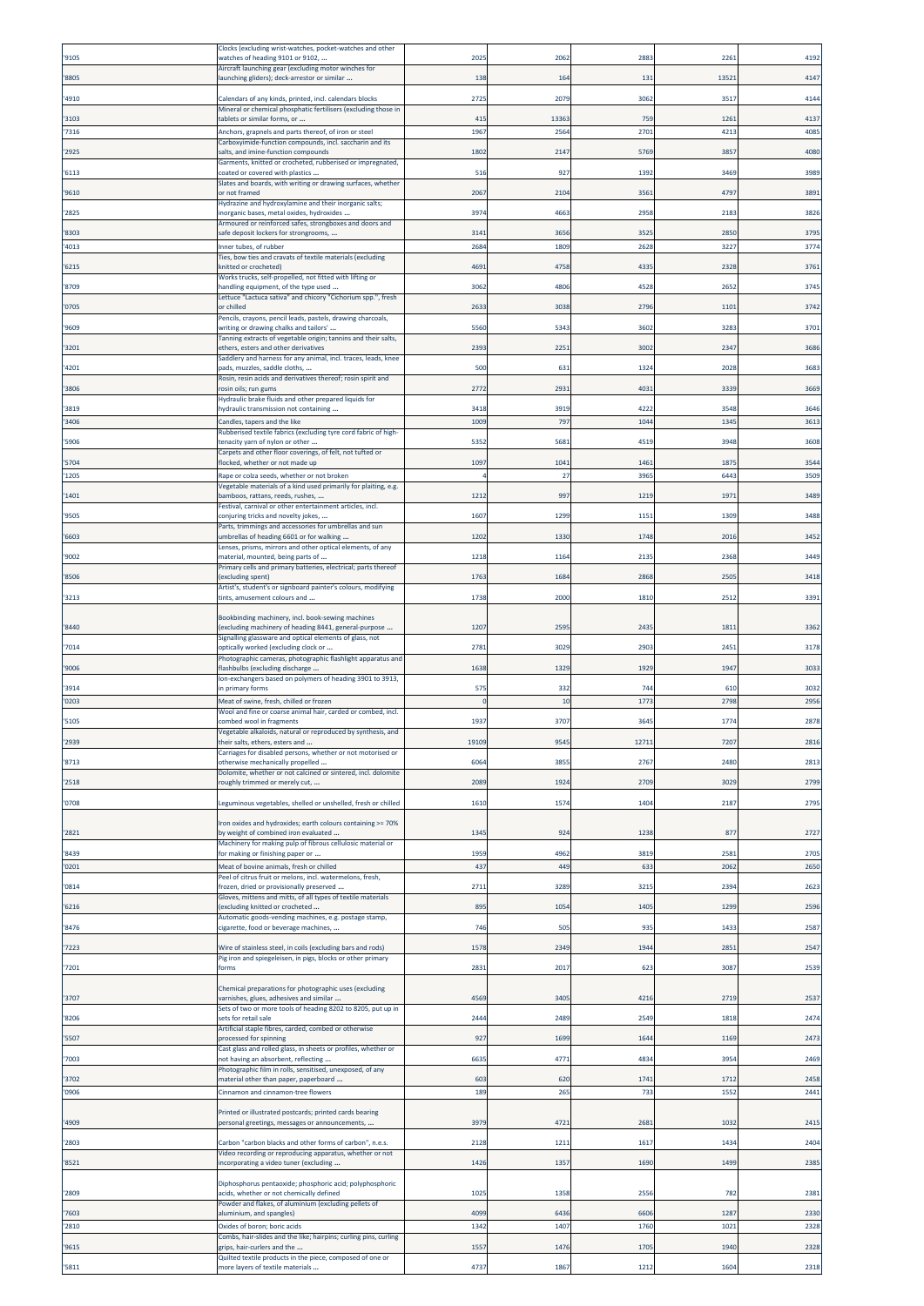|                | Clocks (excluding wrist-watches, pocket-watches and other                                                                  |              |               |              |              |              |
|----------------|----------------------------------------------------------------------------------------------------------------------------|--------------|---------------|--------------|--------------|--------------|
| '9105          | watches of heading 9101 or 9102,<br>Aircraft launching gear (excluding motor winches for                                   | 2025         | 2062          | 288          | 226          | 4192         |
| '8805          | launching gliders); deck-arrestor or similar                                                                               | 138          | 164           | 131          | 1352         | 4147         |
| '4910          | Calendars of any kinds, printed, incl. calendars blocks                                                                    | 2725         | 2079          | 3062         | 3517         | 4144         |
|                | Mineral or chemical phosphatic fertilisers (excluding those in                                                             |              |               |              |              |              |
| 3103           | tablets or similar forms, or                                                                                               | 415          | 13363<br>2564 | 759<br>2701  | 1261<br>4213 | 4137         |
| '7316          | Anchors, grapnels and parts thereof, of iron or steel<br>Carboxyimide-function compounds, incl. saccharin and its          | 1967         |               |              |              | 4085         |
| '2925          | salts, and imine-function compounds                                                                                        | 1802         | 2147          | 5769         | 3857         | 4080         |
| '6113          | Garments, knitted or crocheted, rubberised or impregnated,<br>coated or covered with plastics                              | 516          | 927           | 139          | 3469         | 3989         |
|                | Slates and boards, with writing or drawing surfaces, whether                                                               |              |               |              | 4797         |              |
| '9610          | or not framed<br>Hydrazine and hydroxylamine and their inorganic salts;                                                    | 2067         | 2104          | 3561         |              | 3891         |
| '2825          | inorganic bases, metal oxides, hydroxides<br>Armoured or reinforced safes, strongboxes and doors and                       | 397          | 4663          | 2958         | 2183         | 3826         |
| '8303          | safe deposit lockers for strongrooms,                                                                                      | 314          | 3656          | 352          | 2850         | 3795         |
| '4013          | Inner tubes, of rubber                                                                                                     | 2684         | 1809          | 2628         | 3227         | 3774         |
| '6215          | Ties, bow ties and cravats of textile materials (excluding<br>knitted or crocheted)                                        | 4691         | 4758          | 4335         | 2328         | 3761         |
|                | Works trucks, self-propelled, not fitted with lifting or                                                                   |              |               |              |              |              |
| '8709          | handling equipment, of the type used<br>Lettuce "Lactuca sativa" and chicory "Cichorium spp.", fresh                       | 3062         | 4806          | 4528         | 2652         | 3745         |
| '0705          | or chilled                                                                                                                 | 263          | 3038          | 2796         | 1101         | 3742         |
| '9609          | Pencils, crayons, pencil leads, pastels, drawing charcoals,<br>writing or drawing chalks and tailors'                      | 5560         | 5343          | 3602         | 3283         | 3701         |
|                | Tanning extracts of vegetable origin; tannins and their salts,                                                             |              |               |              |              |              |
| '3201          | ethers, esters and other derivatives<br>Saddlery and harness for any animal, incl. traces, leads, knee                     | 2393         | 2251          | 300          | 2347         | 3686         |
| '4201          | pads, muzzles, saddle cloths,                                                                                              | 500          | 631           | 1324         | 2028         | 3683         |
| '3806          | Rosin, resin acids and derivatives thereof; rosin spirit and<br>rosin oils; run gums                                       | 2772         | 2931          | 4031         | 3339         | 3669         |
|                | Hydraulic brake fluids and other prepared liquids for                                                                      |              |               |              |              |              |
| '3819<br>'3406 | hydraulic transmission not containing<br>Candles, tapers and the like                                                      | 3418<br>1009 | 3919<br>797   | 4222<br>1044 | 3548<br>1345 | 3646<br>3613 |
|                | Rubberised textile fabrics (excluding tyre cord fabric of high-                                                            |              |               |              |              |              |
| '5906          | tenacity yarn of nylon or other<br>Carpets and other floor coverings, of felt, not tufted or                               | 5352         | 5681          | 451          | 3948         | 3608         |
| '5704          | flocked, whether or not made up                                                                                            | 1097         | 1041          | 1461         | 1875         | 3544         |
| '1205          | Rape or colza seeds, whether or not broken                                                                                 |              | 27            | 3965         | 6443         | 3509         |
| '1401          | Vegetable materials of a kind used primarily for plaiting, e.g.<br>bamboos, rattans, reeds, rushes,                        | 1212         | 997           | 121          | 1971         | 3489         |
|                | Festival, carnival or other entertainment articles, incl.                                                                  |              |               |              |              |              |
| '9505          | conjuring tricks and novelty jokes,<br>Parts, trimmings and accessories for umbrellas and sun                              | 1607         | 1299          | 1151         | 1309         | 3488         |
| '6603          | umbrellas of heading 6601 or for walking                                                                                   | 1202         | 1330          | 174          | 2016         | 3452         |
| '9002          | Lenses, prisms, mirrors and other optical elements, of any<br>material, mounted, being parts of                            | 1218         | 1164          | 2135         | 2368         | 3449         |
|                | Primary cells and primary batteries, electrical; parts thereof                                                             |              |               |              |              |              |
| '8506          | (excluding spent)<br>Artist's, student's or signboard painter's colours, modifying                                         | 1763         | 1684          | 2868         | 2505         | 3418         |
| '3213          | tints, amusement colours and                                                                                               | 1738         | 2000          | 1810         | 2512         | 3391         |
|                | Bookbinding machinery, incl. book-sewing machines                                                                          |              |               |              |              |              |
| '8440          | (excluding machinery of heading 8441, general-purpose<br>Signalling glassware and optical elements of glass, not           | 1207         | 259           | 2435         | 181          | 3362         |
| '7014          | optically worked (excluding clock or                                                                                       | 2781         | 3029          | 2903         | 2451         | 3178         |
| '9006          | Photographic cameras, photographic flashlight apparatus and<br>flashbulbs (excluding discharge                             | 1638         | 1329          | 1929         | 1947         | 3033         |
|                | Ion-exchangers based on polymers of heading 3901 to 3913,                                                                  |              |               |              |              |              |
| '3914          | in primary forms                                                                                                           | 575          | 332           | 744          | 610          | 3032         |
| '0203          | Meat of swine, fresh, chilled or frozen<br>Wool and fine or coarse animal hair, carded or combed, incl.                    | $\Omega$     | 10            | 1773         | 2798         | 2956         |
| '5105          | combed wool in fragments                                                                                                   | 1937         | 3707          | 3645         | 1774         | 2878         |
| '2939          | Vegetable alkaloids, natural or reproduced by synthesis, and<br>their salts, ethers, esters and                            | 19109        | 9545          | 12711        | 7207         | 2816         |
|                | Carriages for disabled persons, whether or not motorised or                                                                |              |               |              |              |              |
| '8713          | otherwise mechanically propelled<br>Dolomite, whether or not calcined or sintered, incl. dolomite                          | 6064         | 3855          | 2767         | 2480         | 2813         |
| '2518          | roughly trimmed or merely cut,                                                                                             | 2089         | 1924          | 2709         | 3029         | 2799         |
| '0708          | Leguminous vegetables, shelled or unshelled, fresh or chilled                                                              | 1610         | 1574          | 1404         | 2187         | 2795         |
|                |                                                                                                                            |              |               |              |              |              |
| '2821          | Iron oxides and hydroxides; earth colours containing >= 70%<br>by weight of combined iron evaluated                        | 1345         | 924           | 1238         | 877          | 2727         |
|                | Machinery for making pulp of fibrous cellulosic material or                                                                |              |               |              | 2581         | 2705         |
| '8439<br>'0201 | for making or finishing paper or<br>Meat of bovine animals, fresh or chilled                                               | 1959<br>437  | 4962<br>449   | 3819<br>633  | 2062         | 2650         |
|                | Peel of citrus fruit or melons, incl. watermelons, fresh,                                                                  |              |               |              |              |              |
| '0814          | rozen, dried or provisionally preserved<br>Gloves, mittens and mitts, of all types of textile materials                    | 2711         | 3289          | 3215         | 2394         | 2623         |
| '6216          | (excluding knitted or crocheted                                                                                            | 895          | 1054          | 1405         | 1299         | 2596         |
| '8476          | Automatic goods-vending machines, e.g. postage stamp,<br>cigarette, food or beverage machines,                             | 746          | 505           | 935          | 1433         | 2587         |
|                |                                                                                                                            |              |               |              |              |              |
| '7223          | Wire of stainless steel, in coils (excluding bars and rods)<br>Pig iron and spiegeleisen, in pigs, blocks or other primary | 1578         | 2349          | 1944         | 2851         | 2547         |
| '7201          | forms                                                                                                                      | 2831         | 2017          | 623          | 3087         | 2539         |
|                | Chemical preparations for photographic uses (excluding                                                                     |              |               |              |              |              |
| '3707          | varnishes, glues, adhesives and similar<br>Sets of two or more tools of heading 8202 to 8205, put up in                    | 4569         | 3405          | 4216         | 2719         | 2537         |
| '8206          | sets for retail sale                                                                                                       | 2444         | 2489          | 2549         | 1818         | 2474         |
| '5507          | Artificial staple fibres, carded, combed or otherwise<br>processed for spinning                                            | 927          | 1699          | 1644         | 1169         | 2473         |
|                | Cast glass and rolled glass, in sheets or profiles, whether or                                                             |              |               |              |              |              |
| 7003           | not having an absorbent, reflecting                                                                                        | 6635         | 4771          | 4834         | 3954         | 2469         |
| '3702          | Photographic film in rolls, sensitised, unexposed, of any<br>material other than paper, paperboard                         | 603          | 620           | 1741         | 1712         | 2458         |
| '0906          | Cinnamon and cinnamon-tree flowers                                                                                         | 189          | 265           | 733          | 1552         | 2441         |
|                | Printed or illustrated postcards; printed cards bearing                                                                    |              |               |              |              |              |
| '4909          | personal greetings, messages or announcements,                                                                             | 3979         | 4721          | 268          | 1032         | 2415         |
| '2803          | Carbon "carbon blacks and other forms of carbon", n.e.s.                                                                   | 2128         | 1211          | 1617         | 1434         | 2404         |
|                | Video recording or reproducing apparatus, whether or not<br>incorporating a video tuner (excluding                         |              |               |              |              |              |
| '8521          |                                                                                                                            | 1426         | 1357          | 1690         | 1499         | 2385         |
| '2809          | Diphosphorus pentaoxide; phosphoric acid; polyphosphoric<br>acids, whether or not chemically defined                       | 1025         | 1358          | 2556         | 782          | 2381         |
|                | Powder and flakes, of aluminium (excluding pellets of                                                                      |              |               |              |              |              |
| '7603          | aluminium, and spangles)                                                                                                   | 4099         | 6436          | 6606         | 1287         | 2330         |
| '2810          | Oxides of boron; boric acids<br>Combs, hair-slides and the like; hairpins; curling pins, curling                           | 1342         | 1407          | 1760         | 1021         | 2328         |
| '9615          | grips, hair-curlers and the                                                                                                | 1557         | 1476          | 1705         | 1940         | 2328         |
| '5811          | Quilted textile products in the piece, composed of one or<br>more layers of textile materials                              | 4737         | 1867          | 1212         | 1604         | 2318         |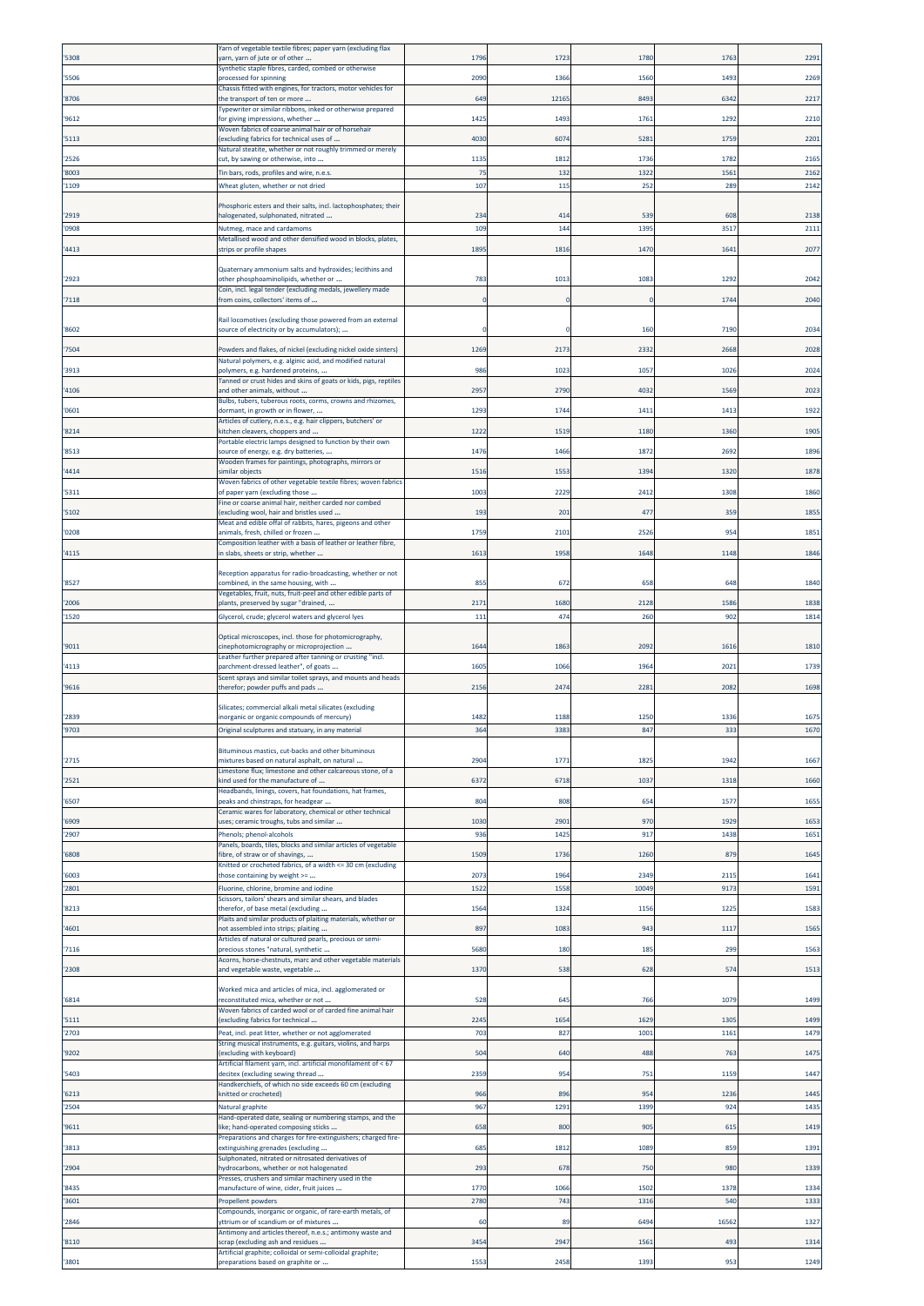|                | Yarn of vegetable textile fibres; paper yarn (excluding flax                                                         |            |              |               |              |              |
|----------------|----------------------------------------------------------------------------------------------------------------------|------------|--------------|---------------|--------------|--------------|
| '5308          | yarn, yarn of jute or of other<br>Synthetic staple fibres, carded, combed or otherwise                               | 179        | 1723         | 178           | 176          | 2291         |
| '5506          | processed for spinning                                                                                               | 2090       | 1366         | 1560          | 1493         | 2269         |
| '8706          | Chassis fitted with engines, for tractors, motor vehicles for<br>the transport of ten or more                        | 649        | 12165        | 849           | 6342         | 2217         |
|                | Typewriter or similar ribbons, inked or otherwise prepared<br>for giving impressions, whether                        |            |              |               |              | 2210         |
| '9612          | Woven fabrics of coarse animal hair or of horsehair                                                                  | 142        | 1493         | 1761          | 1292         |              |
| '5113          | (excluding fabrics for technical uses of<br>Natural steatite, whether or not roughly trimmed or merely               | 4030       | 6074         | 528           | 1759         | 2201         |
| '2526          | cut, by sawing or otherwise, into                                                                                    | 1135       | 1812         | 173           | 1782         | 2165         |
| '8003          | Tin bars, rods, profiles and wire, n.e.s.                                                                            | 75         | 132          | 1322          | 1561         | 2162         |
| '1109          | Wheat gluten, whether or not dried                                                                                   | 107        | 115          | 252           | 289          | 2142         |
| '2919          | Phosphoric esters and their salts, incl. lactophosphates; their<br>halogenated, sulphonated, nitrated                | 234        | 414          | 539           | 608          | 2138         |
| '0908          | Nutmeg, mace and cardamoms                                                                                           | 109        | 144          | 139           | 3517         | 2111         |
|                | Metallised wood and other densified wood in blocks, plates,                                                          |            |              |               |              |              |
| '4413          | strips or profile shapes                                                                                             | 1895       | 1816         | 1470          | 164          | 2077         |
| '2923          | Quaternary ammonium salts and hydroxides; lecithins and                                                              | 783        | 1013         | 108           | 1292         | 2042         |
|                | other phosphoaminolipids, whether or<br>Coin, incl. legal tender (excluding medals, jewellery made                   |            |              |               |              |              |
| 7118           | from coins, collectors' items of                                                                                     | $\sqrt{ }$ | $\Omega$     |               | 1744         | 2040         |
|                | Rail locomotives (excluding those powered from an external                                                           |            |              |               |              |              |
| '8602          | source of electricity or by accumulators);                                                                           |            |              | 160           | 7190         | 2034         |
| '7504          | Powders and flakes, of nickel (excluding nickel oxide sinters)                                                       | 1269       | 2173         | 233           | 2668         | 2028         |
| '3913          | Natural polymers, e.g. alginic acid, and modified natural<br>polymers, e.g. hardened proteins,                       | 986        | 1023         | 1057          | 1026         | 2024         |
| '4106          | Tanned or crust hides and skins of goats or kids, pigs, reptiles<br>and other animals, without                       | 2957       | 2790         | 4032          | 1569         | 2023         |
|                | Bulbs, tubers, tuberous roots, corms, crowns and rhizomes,                                                           |            |              |               |              |              |
| '0601          | dormant, in growth or in flower,<br>Articles of cutlery, n.e.s., e.g. hair clippers, butchers' or                    | 1293       | 1744         | 1411          | 1413         | 1922         |
| '8214          | «itchen cleavers, choppers and                                                                                       | 1222       | 1519         | 1180          | 1360         | 1905         |
| '8513          | Portable electric lamps designed to function by their own<br>source of energy, e.g. dry batteries,                   | 1476       | 1466         | 1872          | 2692         | 1896         |
| '4414          | Wooden frames for paintings, photographs, mirrors or<br>similar objects                                              | 151        | 1553         | 139           | 1320         | 1878         |
|                | Woven fabrics of other vegetable textile fibres; woven fabrics                                                       |            |              |               |              |              |
| '5311          | of paper yarn (excluding those<br>Fine or coarse animal hair, neither carded nor combed                              | 1003       | 2229         | 2412          | 1308         | 1860         |
| '5102          | (excluding wool, hair and bristles used                                                                              | 193        | 201          | 47            | 359          | 1855         |
| '0208          | Meat and edible offal of rabbits, hares, pigeons and other<br>animals, fresh, chilled or frozen                      | 1759       | 2101         | 2526          | 954          | 1851         |
| '4115          | Composition leather with a basis of leather or leather fibre,<br>n slabs, sheets or strip, whether                   | 1613       | 1958         | 1648          | 1148         | 1846         |
|                |                                                                                                                      |            |              |               |              |              |
| '8527          | Reception apparatus for radio-broadcasting, whether or not<br>combined, in the same housing, with                    | 855        | 672          | 658           | 648          | 1840         |
|                | Vegetables, fruit, nuts, fruit-peel and other edible parts of                                                        |            |              |               |              |              |
| '2006          | plants, preserved by sugar "drained,                                                                                 | 2171       | 1680<br>474  | 2128          | 1586         | 1838<br>1814 |
| '1520          | Glycerol, crude; glycerol waters and glycerol lyes                                                                   | 111        |              | 260           | 902          |              |
| '9011          | Optical microscopes, incl. those for photomicrography,<br>cinephotomicrography or microprojection                    | 1644       | 1863         | 209           | 1616         | 1810         |
|                | Leather further prepared after tanning or crusting "incl.                                                            |            |              |               |              |              |
| '4113          | parchment-dressed leather", of goats<br>Scent sprays and similar toilet sprays, and mounts and heads                 | 1605       | 1066         | 1964          | 2021         | 1739         |
| '9616          | therefor; powder puffs and pads                                                                                      | 2156       | 2474         | 2281          | 2082         | 1698         |
|                | Silicates; commercial alkali metal silicates (excluding                                                              |            |              |               |              |              |
| '2839          | inorganic or organic compounds of mercury)                                                                           | 1482       | 1188         | 125           | 1336         | 1675         |
| '9703          | Original sculptures and statuary, in any material                                                                    | 364        | 3383         | 847           | 333          | 1670         |
|                | Bituminous mastics, cut-backs and other bituminous                                                                   |            |              |               |              |              |
| '2715          | mixtures based on natural asphalt, on natural<br>Limestone flux; limestone and other calcareous stone, of a          | 2904       | 1771         | 182           | 1942         | 1667         |
| '2521          | kind used for the manufacture of<br>Headbands, linings, covers, hat foundations, hat frames,                         | 6372       | 6718         | 1037          | 1318         | 1660         |
| '6507          | peaks and chinstraps, for headgear                                                                                   | 804        | 808          | 654           | 1577         | 1655         |
| '6909          | Ceramic wares for laboratory, chemical or other technical<br>uses; ceramic troughs, tubs and similar                 | 1030       | 290          | 970           | 1929         | 1653         |
| '2907          | Phenols; phenol-alcohols                                                                                             | 936        | 1425         | 917           | 1438         | 1651         |
| '6808          | Panels, boards, tiles, blocks and similar articles of vegetable<br>fibre, of straw or of shavings,                   | 1509       | 1736         | 1260          | 879          | 1645         |
|                | Knitted or crocheted fabrics, of a width <= 30 cm (excluding                                                         |            |              |               |              |              |
| '6003<br>'2801 | those containing by weight >=                                                                                        | 207<br>152 | 1964<br>1558 | 2349<br>10049 | 2115<br>9173 | 1641         |
|                | Fluorine, chlorine, bromine and iodine<br>Scissors, tailors' shears and similar shears, and blades                   |            |              |               |              | 1591         |
| '8213          | therefor, of base metal (excluding<br>Plaits and similar products of plaiting materials, whether or                  | 1564       | 1324         | 1156          | 1225         | 1583         |
| '4601          | not assembled into strips; plaiting                                                                                  | 897        | 1083         | 943           | 1117         | 1565         |
| '7116          | Articles of natural or cultured pearls, precious or semi-<br>precious stones "natural, synthetic                     | 5680       | 180          | 185           | 299          | 1563         |
|                | Acorns, horse-chestnuts, marc and other vegetable materials                                                          |            |              |               |              |              |
| '2308          | and vegetable waste, vegetable                                                                                       | 1370       | 538          | 628           | 574          | 1513         |
| '6814          | Worked mica and articles of mica, incl. agglomerated or<br>reconstituted mica, whether or not                        | 528        | 645          | 76            | 1079         | 1499         |
|                | Woven fabrics of carded wool or of carded fine animal hair                                                           |            |              |               |              |              |
| '5111          | excluding fabrics for technical                                                                                      | 2245       | 1654         | 1629          | 1305         | 1499         |
| '2703          | Peat, incl. peat litter, whether or not agglomerated<br>String musical instruments, e.g. guitars, violins, and harps | 703        | 827          | 1001          | 1161         | 1479         |
| '9202          | excluding with keyboard)<br>Artificial filament yarn, incl. artificial monofilament of < 67                          | 504        | 640          | 488           | 763          | 1475         |
| '5403          | decitex (excluding sewing thread                                                                                     | 2359       | 954          | 751           | 1159         | 1447         |
| '6213          | Handkerchiefs, of which no side exceeds 60 cm (excluding<br>knitted or crocheted)                                    | 966        | 896          | $95 -$        | 1236         | 1445         |
| '2504          | Natural graphite                                                                                                     | 967        | 1291         | 1399          | 924          | 1435         |
| '9611          | Hand-operated date, sealing or numbering stamps, and the<br>ike; hand-operated composing sticks                      | 658        | 800          | 905           | 615          | 1419         |
|                | Preparations and charges for fire-extinguishers; charged fire-                                                       |            |              |               |              |              |
| '3813          | extinguishing grenades (excluding<br>Sulphonated, nitrated or nitrosated derivatives of                              | 685        | 1812         | 1089          | 859          | 1391         |
| '2904          | hydrocarbons, whether or not halogenated                                                                             | 293        | 678          | 750           | 980          | 1339         |
| '8435          | Presses, crushers and similar machinery used in the<br>manufacture of wine, cider, fruit juices                      | 1770       | 1066         | 150           | 1378         | 1334         |
| '3601          | Propellent powders                                                                                                   | 2780       | 743          | 131           | 540          | 1333         |
| '2846          | Compounds, inorganic or organic, of rare-earth metals, of<br>ttrium or of scandium or of mixtures                    | 60         | 89           | 6494          | 1656         | 1327         |
| '8110          | Antimony and articles thereof, n.e.s.; antimony waste and<br>scrap (excluding ash and residues                       | 3454       | 2947         | 156           | 493          | 1314         |
|                | Artificial graphite; colloidal or semi-colloidal graphite;                                                           |            |              |               |              |              |
| '3801          | preparations based on graphite or                                                                                    | 1553       | 2458         | 1393          | 953          | 1249         |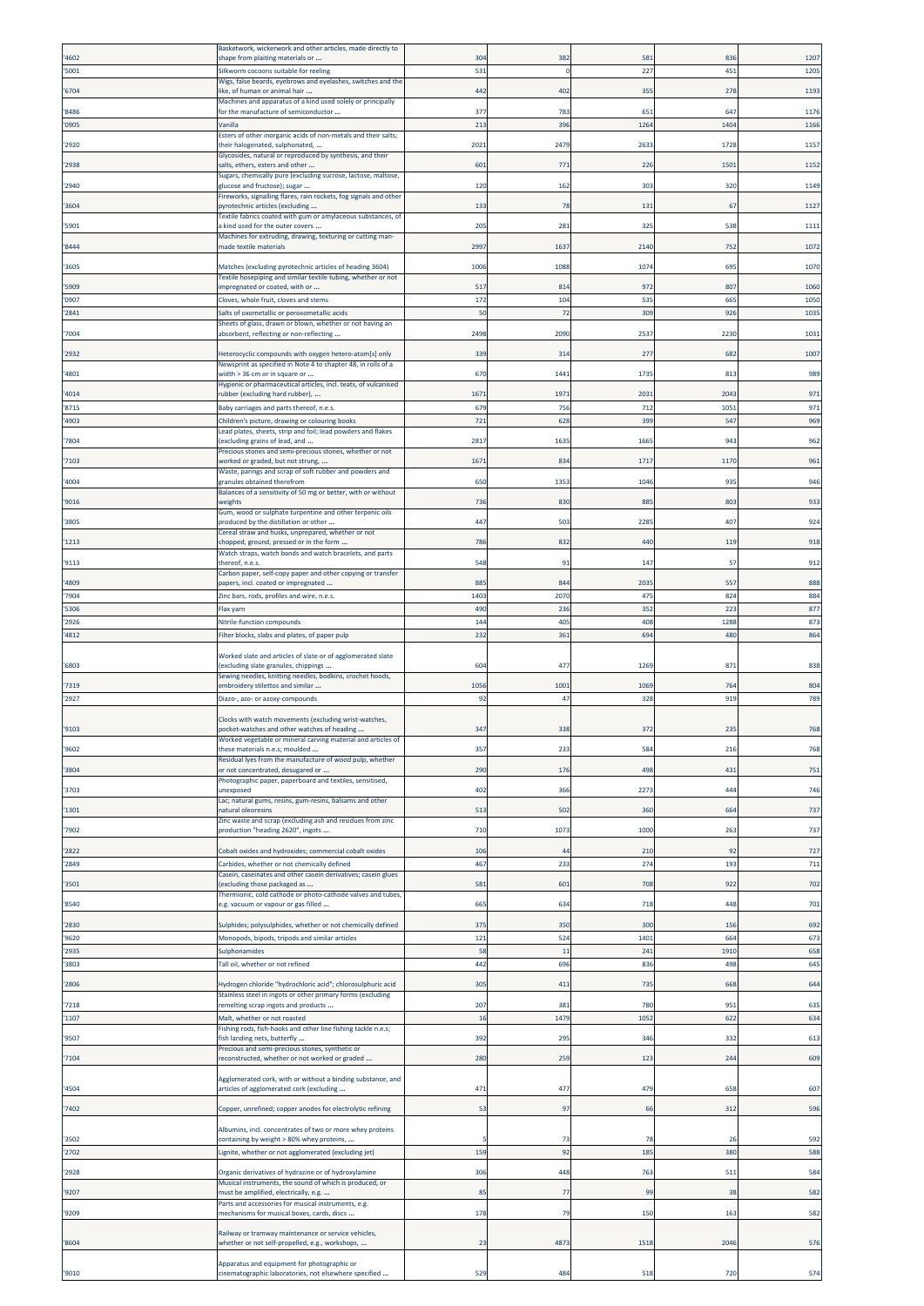|                | Basketwork, wickerwork and other articles, made directly to                                                     |                |             |             |            |            |
|----------------|-----------------------------------------------------------------------------------------------------------------|----------------|-------------|-------------|------------|------------|
| '4602          | shape from plaiting materials or                                                                                | 304            | 382         | 581         | 836        | 1207       |
| '5001          | Silkworm cocoons suitable for reeling                                                                           | 531            | $\Omega$    | 22          | 451        | 1205       |
| '6704          | Wigs, false beards, eyebrows and eyelashes, switches and the<br>ike, of human or animal hair                    | 442            | 402         | 355         | 278        | 1193       |
|                | Machines and apparatus of a kind used solely or principally                                                     |                |             |             |            |            |
| '8486          | for the manufacture of semiconductor                                                                            | 377            | 783         | 651         | 647        | 1176       |
| '0905          | Vanilla<br>Esters of other inorganic acids of non-metals and their salts;                                       | 213            | 396         | 1264        | 1404       | 1166       |
| '2920          | their halogenated, sulphonated,                                                                                 | 2021           | 2479        | 263         | 1728       | 1157       |
|                | Glycosides, natural or reproduced by synthesis, and their                                                       |                |             |             |            |            |
| '2938          | salts, ethers, esters and other<br>Sugars, chemically pure (excluding sucrose, lactose, maltose,                | 601            | 771         | 226         | 1501       | 1152       |
| '2940          | glucose and fructose); sugar                                                                                    | 120            | 162         | 303         | 320        | 1149       |
|                | Fireworks, signalling flares, rain rockets, fog signals and other                                               |                |             |             | 67         | 1127       |
| '3604          | byrotechnic articles (excluding<br>Fextile fabrics coated with gum or amylaceous substances, of                 | 133            | 78          | 131         |            |            |
| '5901          | kind used for the outer covers                                                                                  | 205            | 281         | 325         | 538        | 1111       |
| '8444          | Machines for extruding, drawing, texturing or cutting man-<br>made textile materials                            | 2997           | 1637        | 2140        | 752        | 1072       |
|                |                                                                                                                 |                |             |             |            |            |
| '3605          | Matches (excluding pyrotechnic articles of heading 3604)                                                        | 1006           | 1088        | 1074        | 695        | 1070       |
| '5909          | Fextile hosepiping and similar textile tubing, whether or not<br>mpregnated or coated, with or                  | 517            | 814         | 972         | 807        | 1060       |
| '0907          | Cloves, whole fruit, cloves and stems                                                                           | 172            | 104         | 535         | 665        | 1050       |
| '2841          | Salts of oxometallic or peroxometallic acids                                                                    | 50             | 72          | 309         | 926        | 1035       |
|                | Sheets of glass, drawn or blown, whether or not having an                                                       |                |             |             |            |            |
| '7004          | absorbent, reflecting or non-reflecting                                                                         | 2498           | 2090        | 253         | 2230       | 1031       |
| '2932          | Heterocyclic compounds with oxygen hetero-atom[s] only                                                          | 339            | 314         | 277         | 682        | 1007       |
|                | Newsprint as specified in Note 4 to chapter 48, in rolls of a                                                   |                |             |             |            |            |
| '4801          | width > 36 cm or in square or<br>Hygienic or pharmaceutical articles, incl. teats, of vulcanised                | 670            | 1441        | 1735        | 813        | 989        |
| '4014          | ubber (excluding hard rubber),                                                                                  | 167            | 1973        | 203         | 2043       | 971        |
| '8715          | Baby carriages and parts thereof, n.e.s.                                                                        | 679            | 756         | 712         | 1051       | 971        |
| '4903          | Children's picture, drawing or colouring books                                                                  | 721            | 628         | 399         | 547        | 969        |
| '7804          | Lead plates, sheets, strip and foil; lead powders and flakes<br>excluding grains of lead, and                   | 2817           | 1635        | 166         | 943        | 962        |
|                | Precious stones and semi-precious stones, whether or not                                                        |                |             |             |            |            |
| '7103          | worked or graded, but not strung,                                                                               | 1671           | 834         | 1717        | 1170       | 961        |
| '4004          | Waste, parings and scrap of soft rubber and powders and<br>granules obtained therefrom                          | 650            | 1353        | 1046        | 935        | 946        |
|                | Balances of a sensitivity of 50 mg or better, with or without                                                   |                |             |             |            |            |
| '9016          | weights<br>Gum, wood or sulphate turpentine and other terpenic oils                                             | 736            | 830         | 88          | 803        | 933        |
| '3805          | produced by the distillation or other                                                                           | 447            | 503         | 2285        | 407        | 924        |
|                | Cereal straw and husks, unprepared, whether or not                                                              |                |             |             |            |            |
| '1213          | thopped, ground, pressed or in the form<br>Watch straps, watch bands and watch bracelets, and parts             | 786            | 832         | 440         | 119        | 918        |
| '9113          | thereof, n.e.s.                                                                                                 | 548            | 91          | 147         | -57        | 912        |
|                | Carbon paper, self-copy paper and other copying or transfer                                                     | 885            | 844         |             |            |            |
| '4809<br>'7904 | papers, incl. coated or impregnated<br>Zinc bars, rods, profiles and wire, n.e.s.                               | 1403           | 2070        | 2035<br>475 | 557<br>824 | 888<br>884 |
| '5306          | Flax yarn                                                                                                       | 490            | 236         | 352         | 223        | 877        |
| '2926          | Nitrile-function compounds                                                                                      | 144            | 405         | 408         | 1288       | 873        |
| '4812          | Filter blocks, slabs and plates, of paper pulp                                                                  | 232            | 361         | 694         | 480        | 864        |
|                |                                                                                                                 |                |             |             |            |            |
| '6803          | Worked slate and articles of slate or of agglomerated slate<br>excluding slate granules, chippings              | 604            | 477         | 1269        | 873        | 838        |
|                | Sewing needles, knitting needles, bodkins, crochet hoods,                                                       |                |             |             |            |            |
| '7319          | embroidery stilettos and similar                                                                                | 1056           | 1001        | 1069        | 764        | 804        |
| '2927          | Diazo-, azo- or azoxy-compounds                                                                                 | 92             | 47          | 328         | 919        | 789        |
|                | Clocks with watch movements (excluding wrist-watches,                                                           |                |             |             |            |            |
| '9103          | pocket-watches and other watches of heading                                                                     | 347            | 338         | 372         | 235        | 768        |
| '9602          | Worked vegetable or mineral carving material and articles of<br>these materials n.e.s; moulded                  | 357            | 233         | $58 -$      | 216        | 768        |
|                | Residual lyes from the manufacture of wood pulp, whether                                                        |                |             |             |            |            |
| '3804          | or not concentrated, desugared or                                                                               | 290            | 176         | 498         | 431        | 751        |
| '3703          | Photographic paper, paperboard and textiles, sensitised,<br>unexposed                                           | 402            | 366         | 2273        | 444        | 746        |
|                | Lac; natural gums, resins, gum-resins, balsams and other                                                        |                |             |             |            |            |
| '1301          | natural oleoresins                                                                                              | 513            | 502         | 360         | 664        | 737        |
| '7902          | Zinc waste and scrap (excluding ash and residues from zinc<br>production "heading 2620", ingots                 | 710            | 1073        | 1000        | 263        | 737        |
|                |                                                                                                                 |                |             |             |            |            |
| '2822          | Cobalt oxides and hydroxides; commercial cobalt oxides                                                          | 106            | 44          | 210         | 92         | 727        |
| '2849          | Carbides, whether or not chemically defined<br>Casein, caseinates and other casein derivatives; casein glues    | 467            | 233         | 274         | 193        | 711        |
| '3501          | excluding those packaged as                                                                                     | 581            | 601         | 708         | 922        | 702        |
|                | Thermionic, cold cathode or photo-cathode valves and tubes,                                                     |                |             |             |            | 701        |
| '8540          | .g. vacuum or vapour or gas filled                                                                              | 665            | 634         | 718         | 448        |            |
| '2830          | Sulphides; polysulphides, whether or not chemically defined                                                     | 375            | 35C         | 300         | 156        | 692        |
| '9620          | Monopods, bipods, tripods and similar articles                                                                  | 121            | 524         | 1401        | 664        | 673        |
| '2935          | <b>Sulphonamides</b>                                                                                            | 58             | 11          | 241         | 1910       | 658        |
| '3803          | Tall oil, whether or not refined                                                                                | 442            | 696         | 836         | 498        | 645        |
| '2806          | Hydrogen chloride "hydrochloric acid"; chlorosulphuric acid                                                     | 305            | 411         | 735         | 668        | 644        |
|                | Stainless steel in ingots or other primary forms (excluding                                                     |                |             |             |            |            |
| '7218          | remelting scrap ingots and products                                                                             | 207<br>16      | 381<br>1479 | 780<br>1052 | 951        | 635        |
| '1107          | Malt, whether or not roasted<br>Fishing rods, fish-hooks and other line fishing tackle n.e.s;                   |                |             |             | 622        | 634        |
| '9507          | fish landing nets, butterfly                                                                                    | 392            | 295         | 346         | 332        | 613        |
| '7104          | Precious and semi-precious stones, synthetic or<br>reconstructed, whether or not worked or graded               | 280            | 259         | 123         | 244        | 609        |
|                |                                                                                                                 |                |             |             |            |            |
|                | Agglomerated cork, with or without a binding substance, and                                                     |                |             |             |            |            |
| '4504          | articles of agglomerated cork (excluding                                                                        | 471            | 477         | 479         | 658        | 607        |
| '7402          | Copper, unrefined; copper anodes for electrolytic refining                                                      | 53             | 97          | 66          | 312        | 596        |
|                |                                                                                                                 |                |             |             |            |            |
| '3502          | Albumins, incl. concentrates of two or more whey proteins<br>containing by weight > 80% whey proteins,          |                | 73          | -78         | -26        | 592        |
| '2702          | Lignite, whether or not agglomerated (excluding jet)                                                            | 159            | 92          | 185         | 380        | 588        |
|                |                                                                                                                 |                |             |             |            |            |
| '2928          | Organic derivatives of hydrazine or of hydroxylamine<br>Musical instruments, the sound of which is produced, or | 306            | 448         | 763         | 511        | 584        |
| '9207          | must be amplified, electrically, e.g.                                                                           | 85             | 77          | 99          | 38         | 582        |
| '9209          | Parts and accessories for musical instruments, e.g.<br>mechanisms for musical boxes, cards, discs               | 178            | 79          | 150         | 163        | 582        |
|                |                                                                                                                 |                |             |             |            |            |
|                | Railway or tramway maintenance or service vehicles,                                                             |                |             |             |            |            |
| '8604          | whether or not self-propelled, e.g., workshops,                                                                 | 2 <sup>3</sup> | 4873        | 1518        | 2046       | 576        |
|                | Apparatus and equipment for photographic or                                                                     |                |             |             |            |            |
| '9010          | :inematographic laboratories, not elsewhere specified                                                           | 529            | 484         | 518         | 720        | 574        |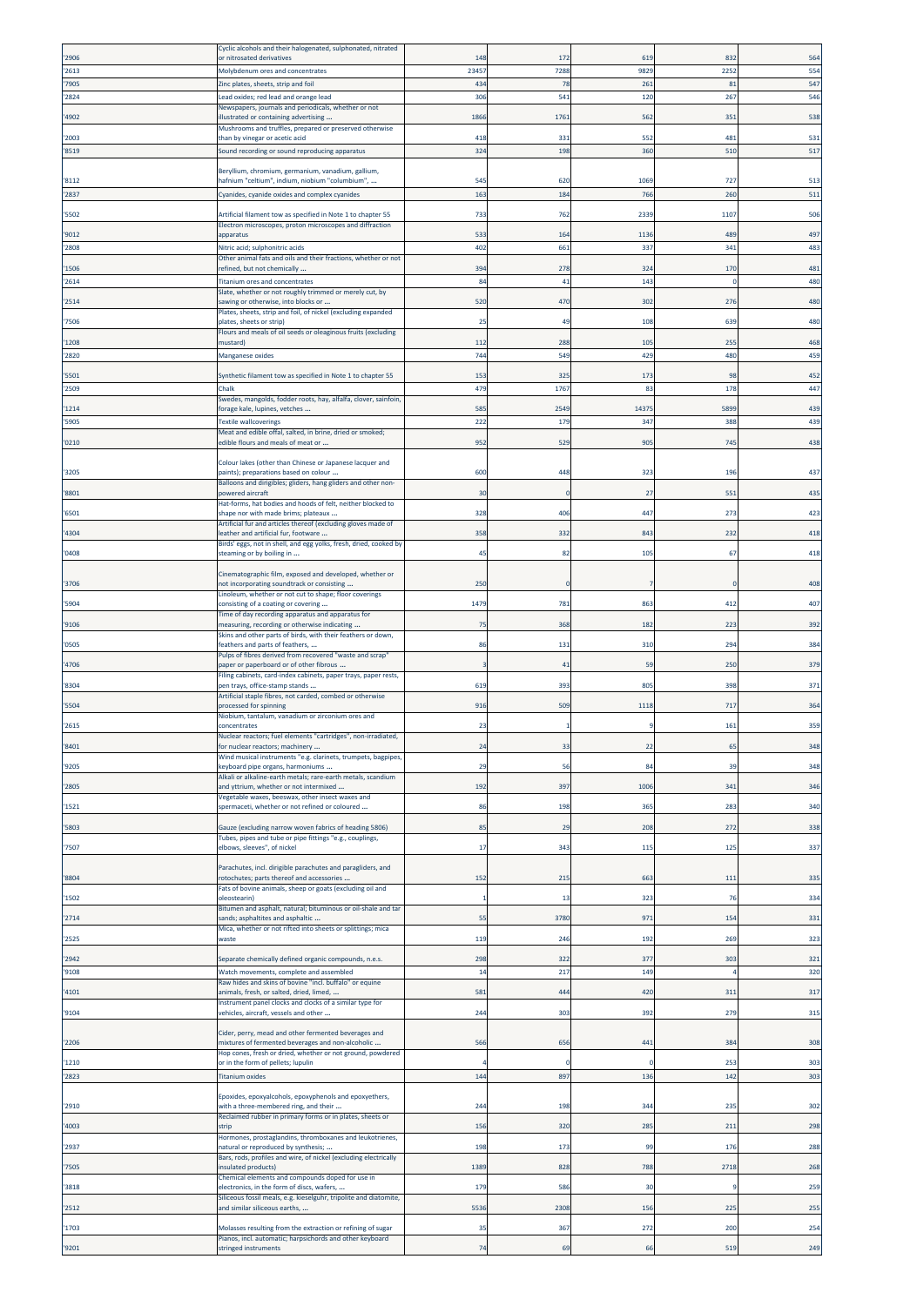|                | Cyclic alcohols and their halogenated, sulphonated, nitrated                                                             |              |            |                 |             |            |
|----------------|--------------------------------------------------------------------------------------------------------------------------|--------------|------------|-----------------|-------------|------------|
| '2906          | or nitrosated derivatives                                                                                                | 148          | 172        | 61              | 832         | 564        |
| '2613<br>'7905 | Molybdenum ores and concentrates<br>Zinc plates, sheets, strip and foil                                                  | 23457<br>434 | 7288<br>78 | 9829<br>261     | 2252<br>81  | 554<br>547 |
| '2824          | ead oxides; red lead and orange lead.                                                                                    | 306          | 541        | 120             | 267         | 546        |
|                | Newspapers, journals and periodicals, whether or not                                                                     |              |            |                 |             |            |
| '4902          | illustrated or containing advertising                                                                                    | 1866         | 1761       | 562             | 351         | 538        |
| '2003          | Mushrooms and truffles, prepared or preserved otherwise<br>than by vinegar or acetic acid                                | 418          | 331        | 552             | 481         | 531        |
| '8519          | Sound recording or sound reproducing apparatus                                                                           | 324          | 198        | 360             | 510         | 517        |
|                |                                                                                                                          |              |            |                 |             |            |
| '8112          | Beryllium, chromium, germanium, vanadium, gallium,<br>hafnium "celtium", indium, niobium "columbium",                    | 545          | 620        | 106             | 72.         | 513        |
| 2837           | Cyanides, cyanide oxides and complex cyanides                                                                            | 163          | 184        | 766             | 260         | 511        |
|                |                                                                                                                          |              |            |                 |             |            |
| '5502          | Artificial filament tow as specified in Note 1 to chapter 55<br>Electron microscopes, proton microscopes and diffraction | 733          | 762        | 2339            | 1107        | 506        |
| '9012          | apparatus                                                                                                                | 533          | 164        | 113             | 489         | 497        |
| '2808          | Nitric acid; sulphonitric acids                                                                                          | 402          | 661        | 337             | 341         | 483        |
| '1506          | Other animal fats and oils and their fractions, whether or not                                                           | 394          | 278        | 32 <sub>0</sub> | 170         | 481        |
| '2614          | refined, but not chemically<br>Titanium ores and concentrates                                                            | 84           | 41         | 143             | $\mathbf 0$ | 480        |
|                | Slate, whether or not roughly trimmed or merely cut, by                                                                  |              |            |                 |             |            |
| '2514          | awing or otherwise, into blocks or                                                                                       | 520          | 47C        | 302             | 276         | 480        |
| '7506          | Plates, sheets, strip and foil, of nickel (excluding expanded<br>plates, sheets or strip)                                | 25           | 49         | 108             | 639         | 480        |
|                | Flours and meals of oil seeds or oleaginous fruits (excluding                                                            |              |            |                 |             |            |
| '1208          | mustard)                                                                                                                 | 112          | 288        | 105             | 255         | 468        |
| '2820          | <b>Manganese oxides</b>                                                                                                  | 744          | 549        | 429             | 480         | 459        |
| '5501          | Synthetic filament tow as specified in Note 1 to chapter 55                                                              | 153          | 325        | 17 <sub>3</sub> | 98          | 452        |
| '2509          | Chalk                                                                                                                    | 479          | 1767       | 83              | 178         | 447        |
| '1214          | Swedes, mangolds, fodder roots, hay, alfalfa, clover, sainfoin,<br>forage kale, lupines, vetches                         | 585          | 2549       | 1437            | 5899        | 439        |
| '5905          | <b>Textile wallcoverings</b>                                                                                             | 222          | 179        | 347             | 388         | 439        |
|                | Meat and edible offal, salted, in brine, dried or smoked;                                                                |              |            |                 |             |            |
| '0210'         | edible flours and meals of meat or                                                                                       | 952          | 529        | 905             | 745         | 438        |
|                | Colour lakes (other than Chinese or Japanese lacquer and                                                                 |              |            |                 |             |            |
| '3205          | paints); preparations based on colour                                                                                    | 600          | 448        | 323             | 196         | 437        |
| '8801          | Balloons and dirigibles; gliders, hang gliders and other non-<br>powered aircraft                                        | 30           |            | 27              | 551         | 435        |
|                | Hat-forms, hat bodies and hoods of felt, neither blocked to                                                              |              |            |                 |             |            |
| '6501          | shape nor with made brims; plateaux<br>Artificial fur and articles thereof (excluding gloves made of                     | 328          | 406        | 447             | 273         | 423        |
| '4304          | leather and artificial fur, footware                                                                                     | 358          | 332        | 84              | 232         | 418        |
| '0408          | Birds' eggs, not in shell, and egg yolks, fresh, dried, cooked by<br>steaming or by boiling in                           | 45           | 82         | 105             | 67          | 418        |
|                |                                                                                                                          |              |            |                 |             |            |
|                | Cinematographic film, exposed and developed, whether or                                                                  |              |            |                 |             |            |
| '3706          | not incorporating soundtrack or consisting<br>Linoleum, whether or not cut to shape; floor coverings                     | 250          |            |                 |             | 408        |
| '5904          | consisting of a coating or covering                                                                                      | 1479         | 781        | 86              | 412         | 407        |
| '9106          | Time of day recording apparatus and apparatus for<br>measuring, recording or otherwise indicating                        | 75           | 368        | 18.             | 223         | 392        |
|                | Skins and other parts of birds, with their feathers or down,                                                             |              |            |                 |             |            |
| '0505          | feathers and parts of feathers,<br>Pulps of fibres derived from recovered "waste and scrap"                              | 86           | 131        | 31(             | 294         | 384        |
| '4706          | paper or paperboard or of other fibrous                                                                                  |              | 41         | 59              | 250         | 379        |
| '8304          | Filing cabinets, card-index cabinets, paper trays, paper rests,<br>pen trays, office-stamp stands                        | 619          | 393        | 805             | 398         | 371        |
|                | Artificial staple fibres, not carded, combed or otherwise                                                                |              |            |                 |             |            |
| '5504          | processed for spinning                                                                                                   | 916          | 509        | 1118            | 717         | 364        |
| '2615          | Niobium, tantalum, vanadium or zirconium ores and<br>concentrates                                                        | 23           |            |                 | 161         | 359        |
|                | Nuclear reactors; fuel elements "cartridges", non-irradiated,                                                            |              |            |                 |             |            |
| '8401          | for nuclear reactors; machinery<br>Wind musical instruments "e.g. clarinets, trumpets, bagpipes                          | 24           | 33         | 22              | 65          | 348        |
| '9205          | eyboard pipe organs, harmoniums                                                                                          | 29           | 56         | 84              | 39          | 348        |
| '2805          | Alkali or alkaline-earth metals; rare-earth metals, scandium<br>and yttrium, whether or not intermixed                   | 192          | 397        | 1006            | 341         | 346        |
|                | Vegetable waxes, beeswax, other insect waxes and                                                                         |              |            |                 |             |            |
| '1521          | spermaceti, whether or not refined or coloured                                                                           | 86           | 198        | 365             | 283         | 340        |
| '5803          | Gauze (excluding narrow woven fabrics of heading 5806)                                                                   | 85           | 29         | 208             | 272         | 338        |
|                | Tubes, pipes and tube or pipe fittings "e.g., couplings,                                                                 |              |            |                 |             |            |
| '7507          | elbows, sleeves", of nickel                                                                                              | 17           | 343        | 115             | 125         | 337        |
|                | Parachutes, incl. dirigible parachutes and paragliders, and                                                              |              |            |                 |             |            |
| '8804          | rotochutes; parts thereof and accessories                                                                                | 152          | 215        | 663             | 111         | 335        |
| '1502          | ats of bovine animals, sheep or goats (excluding oil and<br>pleostearin)                                                 |              | 13         | 323             | 76          | 334        |
|                | Bitumen and asphalt, natural; bituminous or oil-shale and tar                                                            |              |            |                 |             |            |
| '2714          | sands; asphaltites and asphaltic<br>Mica, whether or not rifted into sheets or splittings; mica                          | 55           | 3780       | 971             | 154         | 331        |
| '2525          | waste                                                                                                                    | 119          | 246        | 192             | 269         | 323        |
| '2942          | Separate chemically defined organic compounds, n.e.s.                                                                    | 298          | 322        | 377             | 303         | 321        |
| '9108          | Watch movements, complete and assembled                                                                                  | 14           | 217        | 149             |             | 320        |
|                | Raw hides and skins of bovine "incl. buffalo" or equine                                                                  |              |            |                 |             |            |
| '4101          | animals, fresh, or salted, dried, limed,<br>Instrument panel clocks and clocks of a similar type for                     | 581          | 444        | 420             | 311         | 317        |
| '9104          | vehicles, aircraft, vessels and other                                                                                    | 244          | 303        | 392             | 279         | 315        |
|                | Cider, perry, mead and other fermented beverages and                                                                     |              |            |                 |             |            |
| '2206          | mixtures of fermented beverages and non-alcoholic                                                                        | 566          | 656        | 441             | 384         | 308        |
| '1210          | Hop cones, fresh or dried, whether or not ground, powdered                                                               |              | $\Omega$   |                 | 253         | 303        |
| '2823          | or in the form of pellets; lupulin<br><b>Titanium oxides</b>                                                             | 144          | 897        | 136             | 142         | 303        |
|                |                                                                                                                          |              |            |                 |             |            |
| '2910          | Epoxides, epoxyalcohols, epoxyphenols and epoxyethers,<br>with a three-membered ring, and their                          | 244          | 198        | 344             | 235         | 302        |
|                | Reclaimed rubber in primary forms or in plates, sheets or                                                                |              |            |                 |             |            |
| '4003          | strip                                                                                                                    | 156          | 320        | 285             | 211         | 298        |
| '2937          | Hormones, prostaglandins, thromboxanes and leukotrienes,<br>natural or reproduced by synthesis;                          | 198          | 173        | 99              | 176         | 288        |
|                | Bars, rods, profiles and wire, of nickel (excluding electrically                                                         |              |            |                 |             |            |
| '7505          | nsulated products)<br>Chemical elements and compounds doped for use in                                                   | 1389         | 828        | 788             | 2718        | 268        |
| '3818          | electronics, in the form of discs, wafers,                                                                               | 179          | 586        | 30              | q           | 259        |
|                | Siliceous fossil meals, e.g. kieselguhr, tripolite and diatomite,<br>and similar siliceous earths,                       | 5536         | 2308       | 156             | 225         | 255        |
| '2512          |                                                                                                                          |              |            |                 |             |            |
| '1703          | Molasses resulting from the extraction or refining of sugar                                                              | 35           | 367        | 272             | 200         | 254        |
| '9201          | Pianos, incl. automatic; harpsichords and other keyboard<br>stringed instruments                                         | 74           | 69         | 66              | 519         | 249        |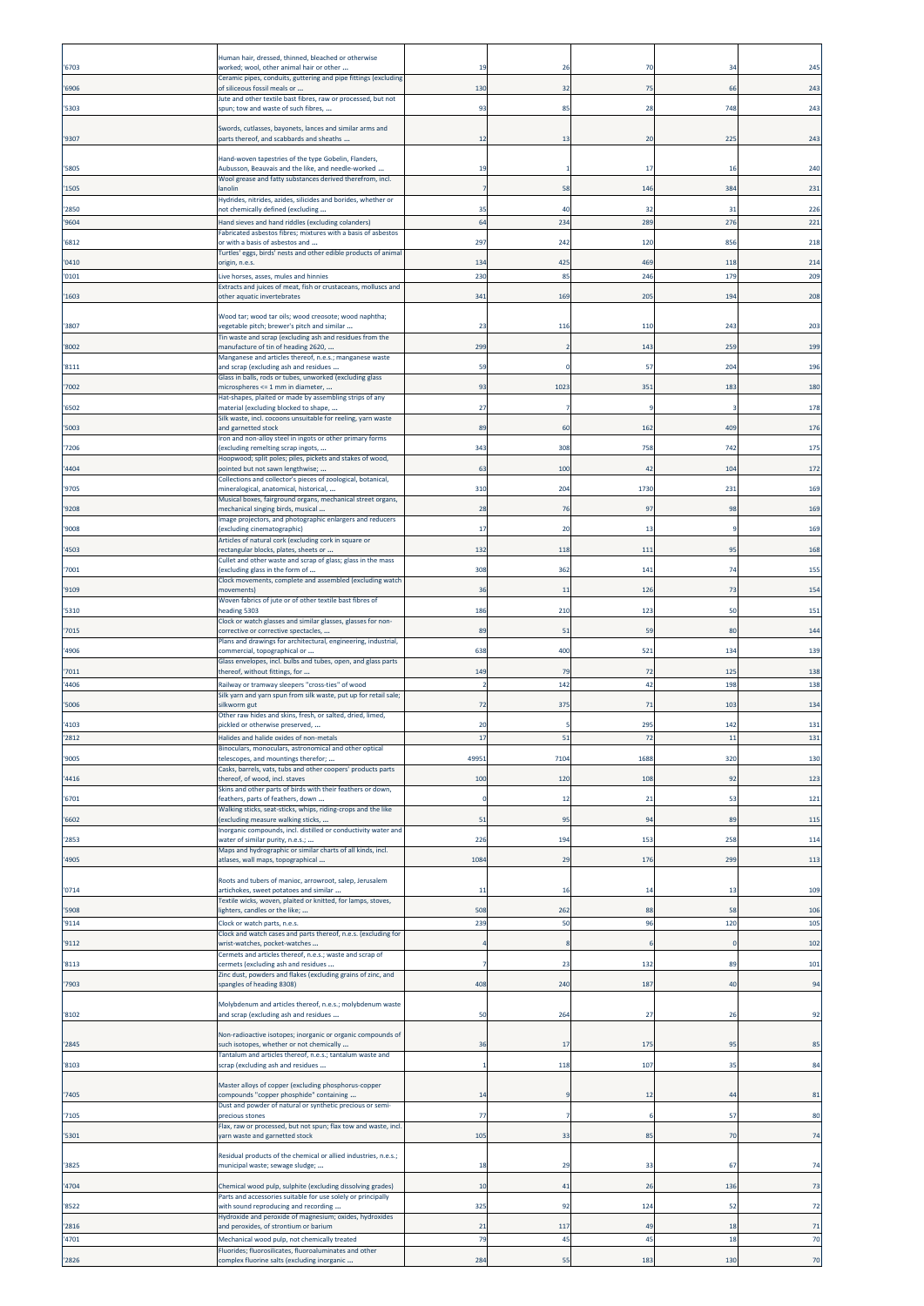| '6703 | Human hair, dressed, thinned, bleached or otherwise<br>worked; wool, other animal hair or other                      | 19             | 26   | 70   | 34  | 245 |
|-------|----------------------------------------------------------------------------------------------------------------------|----------------|------|------|-----|-----|
|       | Ceramic pipes, conduits, guttering and pipe fittings (excluding                                                      |                |      |      |     |     |
| '6906 | of siliceous fossil meals or<br>Jute and other textile bast fibres, raw or processed, but not                        | 130            | 32   | 75   | 66  | 243 |
| '5303 | spun; tow and waste of such fibres,                                                                                  | 93             | 85   | 28   | 748 | 243 |
| '9307 | Swords, cutlasses, bayonets, lances and similar arms and<br>parts thereof, and scabbards and sheaths                 | 12             | 13   | 20   | 225 | 243 |
|       | Hand-woven tapestries of the type Gobelin, Flanders,                                                                 |                |      |      |     |     |
| '5805 | Aubusson, Beauvais and the like, and needle-worked<br>Wool grease and fatty substances derived therefrom, incl.      | 19             |      | 17   | 16  | 240 |
| '1505 | anolin                                                                                                               |                | 58   | 146  | 384 | 231 |
| '2850 | Hydrides, nitrides, azides, silicides and borides, whether or<br>not chemically defined (excluding                   | 35             | 40   | 32   | 31  | 226 |
| '9604 | Hand sieves and hand riddles (excluding colanders)<br>Fabricated asbestos fibres; mixtures with a basis of asbestos  | 64             | 234  | 289  | 276 | 221 |
| '6812 | or with a basis of asbestos and<br>Turtles' eggs, birds' nests and other edible products of animal                   | 297            | 242  | 120  | 856 | 218 |
| '0410 | prigin, n.e.s.                                                                                                       | 134            | 425  | 469  | 118 | 214 |
| '0101 | Live horses, asses, mules and hinnies<br>Extracts and juices of meat, fish or crustaceans, molluscs and              | 230            | 85   | 246  | 179 | 209 |
| '1603 | other aquatic invertebrates                                                                                          | 341            | 169  | 205  | 194 | 208 |
| '3807 | Wood tar; wood tar oils; wood creosote; wood naphtha;<br>vegetable pitch; brewer's pitch and similar                 | 23             | 116  | 11(  | 243 | 203 |
|       | Tin waste and scrap (excluding ash and residues from the<br>manufacture of tin of heading 2620,                      | 299            |      |      | 259 | 199 |
| '8002 | Manganese and articles thereof, n.e.s.; manganese waste                                                              |                |      | 143  |     |     |
| '8111 | and scrap (excluding ash and residues<br>Glass in balls, rods or tubes, unworked (excluding glass                    | 59             |      | 57   | 204 | 196 |
| '7002 | microspheres <= 1 mm in diameter,<br>Hat-shapes, plaited or made by assembling strips of any                         | 93             | 1023 | 351  | 183 | 180 |
| '6502 | material (excluding blocked to shape,<br>Silk waste, incl. cocoons unsuitable for reeling, yarn waste                | 27             |      |      |     | 178 |
| '5003 | and garnetted stock<br>Iron and non-alloy steel in ingots or other primary forms                                     | 89             | 60   | 162  | 409 | 176 |
| '7206 | (excluding remelting scrap ingots,                                                                                   | 343            | 308  | 758  | 742 | 175 |
| '4404 | Hoopwood; split poles; piles, pickets and stakes of wood,<br>pointed but not sawn lengthwise;                        | 63             | 100  | 42   | 104 | 172 |
| '9705 | Collections and collector's pieces of zoological, botanical,<br>mineralogical, anatomical, historical,               | 310            | 204  | 1730 | 231 | 169 |
| '9208 | Musical boxes, fairground organs, mechanical street organs,<br>mechanical singing birds, musical                     | 28             | 76   | 97   | 98  | 169 |
| '9008 | Image projectors, and photographic enlargers and reducers<br>(excluding cinematographic)                             | 17             | 20   | 11   |     | 169 |
|       | Articles of natural cork (excluding cork in square or                                                                |                |      |      |     |     |
| '4503 | rectangular blocks, plates, sheets or<br>Cullet and other waste and scrap of glass; glass in the mass                | 132            | 118  | 11   | 95  | 168 |
| '7001 | excluding glass in the form of<br>Clock movements, complete and assembled (excluding watch                           | 308            | 362  | 141  | 74  | 155 |
| '9109 | movements)<br>Woven fabrics of jute or of other textile bast fibres of                                               | 36             | 11   | 126  | 73  | 154 |
| '5310 | heading 5303<br>Clock or watch glasses and similar glasses, glasses for non-                                         | 186            | 210  | 123  | 50  | 151 |
| '7015 | corrective or corrective spectacles,                                                                                 | 89             | 51   | 59   | 80  | 144 |
| '4906 | Plans and drawings for architectural, engineering, industrial,<br>commercial, topographical or                       | 638            | 400  | 521  | 134 | 139 |
| '7011 | Glass envelopes, incl. bulbs and tubes, open, and glass parts<br>thereof, without fittings, for                      | 149            | 79   | 72   | 125 | 138 |
| '4406 | Railway or tramway sleepers "cross-ties" of wood<br>Silk yarn and yarn spun from silk waste, put up for retail sale; | $\overline{z}$ | 142  | 42   | 198 | 138 |
| '5006 | silkworm gut<br>Other raw hides and skins, fresh, or salted, dried, limed,                                           | 72             | 375  | 71   | 103 | 134 |
| '4103 | pickled or otherwise preserved,                                                                                      | 20             | 5    | 29   | 142 | 131 |
| 2812  | Halides and halide oxides of non-metals<br>Binoculars, monoculars, astronomical and other optical                    | 17             | 51   | 72   | 11  | 131 |
| '9005 | telescopes, and mountings therefor;<br>Casks, barrels, vats, tubs and other coopers' products parts                  | 49951          | 7104 | 1688 | 320 | 130 |
| '4416 | thereof, of wood, incl. staves<br>Skins and other parts of birds with their feathers or down,                        | 100            | 120  | 108  | 92  | 123 |
| '6701 | feathers, parts of feathers, down                                                                                    | $\Omega$       | 12   | 21   | 53  | 121 |
| '6602 | Walking sticks, seat-sticks, whips, riding-crops and the like<br>(excluding measure walking sticks,                  | 51             | 95   | 94   | 89  | 115 |
| '2853 | Inorganic compounds, incl. distilled or conductivity water and<br>water of similar purity, n.e.s.;                   | 226            | 194  | 153  | 258 | 114 |
| '4905 | Maps and hydrographic or similar charts of all kinds, incl.<br>atlases, wall maps, topographical                     | 1084           | 29   | 176  | 299 | 113 |
|       | Roots and tubers of manioc, arrowroot, salep, Jerusalem                                                              |                |      |      |     |     |
| '0714 | artichokes, sweet potatoes and similar<br>Textile wicks, woven, plaited or knitted, for lamps, stoves,               | -11            | 16   | 14   | -13 | 109 |
| '5908 | lighters, candles or the like;                                                                                       | 508            | 262  | 88   | 58  | 106 |
| '9114 | Clock or watch parts, n.e.s.<br>Clock and watch cases and parts thereof, n.e.s. (excluding for                       | 239            | 50   | 96   | 120 | 105 |
|       |                                                                                                                      |                |      |      |     |     |
| '9112 | wrist-watches, pocket-watches<br>Cermets and articles thereof, n.e.s.; waste and scrap of                            |                |      |      |     | 102 |
| '8113 | cermets (excluding ash and residues<br>Zinc dust, powders and flakes (excluding grains of zinc, and                  |                | 23   | 132  | 89  | 101 |
| '7903 | spangles of heading 8308)                                                                                            | 408            | 240  | 187  | 40  | 94  |
|       | Molybdenum and articles thereof, n.e.s.; molybdenum waste                                                            |                |      |      |     |     |
| '8102 | and scrap (excluding ash and residues                                                                                | 50             | 264  | 27   | 26  | 92  |
| '2845 | Non-radioactive isotopes; inorganic or organic compounds of<br>such isotopes, whether or not chemically              | 36             | 17   | 175  | 95  | 85  |
| '8103 | Tantalum and articles thereof, n.e.s.; tantalum waste and<br>scrap (excluding ash and residues                       |                | 118  | 107  | 35  | 84  |
|       |                                                                                                                      |                |      |      |     |     |
| '7405 | Master alloys of copper (excluding phosphorus-copper<br>compounds "copper phosphide" containing                      | 14             |      | 12   | 44  | 81  |
| '7105 | Dust and powder of natural or synthetic precious or semi-<br>precious stones                                         | 77             |      |      | -57 | 80  |
| '5301 | Flax, raw or processed, but not spun; flax tow and waste, incl.<br>yarn waste and garnetted stock                    | 105            | 33   | 85   | 70  | 74  |
|       | Residual products of the chemical or allied industries, n.e.s.;                                                      |                |      |      |     |     |
| '3825 | municipal waste; sewage sludge;                                                                                      | 18             | 29   | 33   | 67  | 74  |
| '4704 | Chemical wood pulp, sulphite (excluding dissolving grades)                                                           | 10             | 41   | 26   | 136 | 73  |
| '8522 | Parts and accessories suitable for use solely or principally<br>with sound reproducing and recording                 | 325            | 92   | 124  | 52  | 72  |
| '2816 | Hydroxide and peroxide of magnesium; oxides, hydroxides<br>and peroxides, of strontium or barium                     | 21             | 117  | 49   | 18  | 71  |
| '4701 | Mechanical wood pulp, not chemically treated<br>Fluorides; fluorosilicates, fluoroaluminates and other               | 79             | 45   | 45   | 18  | 70  |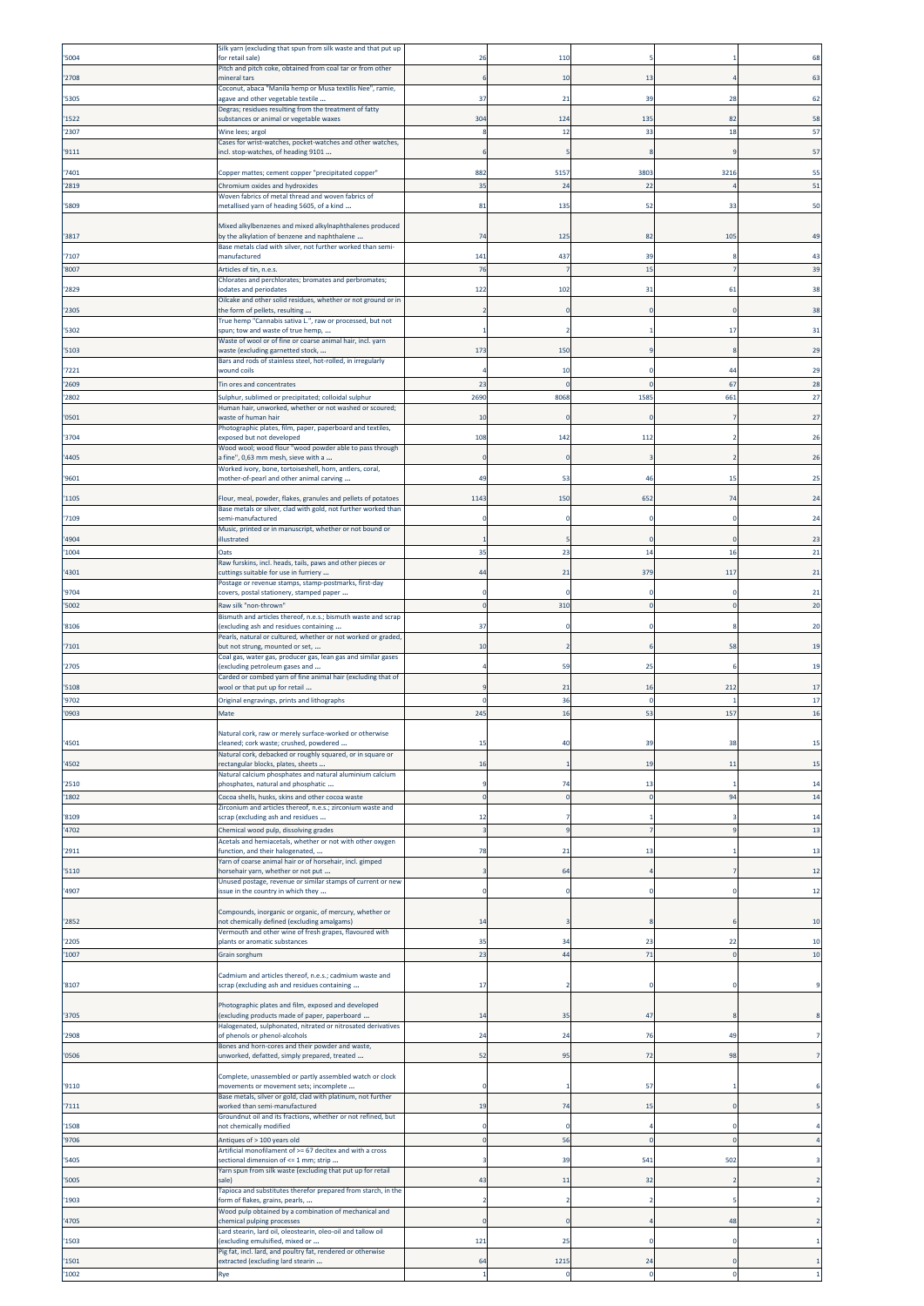|                | Silk yarn (excluding that spun from silk waste and that put up                                                                  |                |                  |           |          |          |
|----------------|---------------------------------------------------------------------------------------------------------------------------------|----------------|------------------|-----------|----------|----------|
| '5004          | for retail sale)<br>Pitch and pitch coke, obtained from coal tar or from other                                                  | 26             | 110              |           |          | 68       |
| '2708          | nineral tars                                                                                                                    |                | 10               | 13        |          | 63       |
| '5305          | Coconut, abaca "Manila hemp or Musa textilis Nee", ramie,<br>agave and other vegetable textile                                  | 37             | 21               | 39        | 28       |          |
|                | Degras; residues resulting from the treatment of fatty                                                                          |                |                  |           |          |          |
| '1522<br>'2307 | substances or animal or vegetable waxes                                                                                         | 304            | 124<br>12        | 13!<br>33 | 82<br>18 | 58<br>57 |
|                | Wine lees; argol<br>Cases for wrist-watches, pocket-watches and other watches,                                                  |                |                  |           |          |          |
| '9111          | ncl. stop-watches, of heading 9101                                                                                              |                |                  |           |          | 57       |
| '7401          | Copper mattes; cement copper "precipitated copper"                                                                              | 882            | 5157             | 380       | 3216     | 55       |
| '2819          | Chromium oxides and hydroxides                                                                                                  | 35             | 24               | 22        |          | 51       |
| '5809          | Woven fabrics of metal thread and woven fabrics of<br>metallised yarn of heading 5605, of a kind                                | 81             | 135              | 52        | 33       | 50       |
|                |                                                                                                                                 |                |                  |           |          |          |
| '3817          | Mixed alkylbenzenes and mixed alkylnaphthalenes produced<br>by the alkylation of benzene and naphthalene                        | 74             | 125              | 82        | 105      | 49       |
| '7107          | Base metals clad with silver, not further worked than semi-<br>manufactured                                                     | 141            | 437              | 39        |          |          |
| '8007          | Articles of tin, n.e.s.                                                                                                         | 76             |                  | 15        |          | 39       |
|                | Chlorates and perchlorates; bromates and perbromates;                                                                           |                |                  |           |          |          |
| '2829          | odates and periodates<br>Oilcake and other solid residues, whether or not ground or in                                          | 122            | 102              | 31        | 61       | 38       |
| '2305          | the form of pellets, resulting<br>True hemp "Cannabis sativa L.", raw or processed, but not                                     |                |                  |           |          | 38       |
| '5302          | spun; tow and waste of true hemp,                                                                                               |                |                  |           | 17       | 31       |
| '5103          | Waste of wool or of fine or coarse animal hair, incl. yarn<br>waste (excluding garnetted stock,                                 | 173            | 150              |           |          | 29       |
|                | Bars and rods of stainless steel, hot-rolled, in irregularly                                                                    |                |                  |           |          |          |
| '7221          | wound coils                                                                                                                     | 23             | 10<br>$\sqrt{ }$ |           | 44<br>67 | 29       |
| '2609<br>'2802 | Tin ores and concentrates<br>Sulphur, sublimed or precipitated; colloidal sulphur                                               | 2690           | 8068             | 158       | 661      | 28<br>27 |
|                | Human hair, unworked, whether or not washed or scoured;                                                                         |                |                  |           |          |          |
| '0501          | waste of human hair<br>Photographic plates, film, paper, paperboard and textiles,                                               | 10             | $\overline{0}$   |           |          | 27       |
| '3704          | exposed but not developed                                                                                                       | 108            | 142              | 11.       |          | 26       |
| '4405          | Wood wool; wood flour "wood powder able to pass through<br>a fine", 0,63 mm mesh, sieve with a                                  | $\sqrt{ }$     | -0               |           |          | 26       |
| '9601          | Worked ivory, bone, tortoiseshell, horn, antlers, coral,<br>mother-of-pearl and other animal carving                            | 49             | 53               | 4         | 15       |          |
|                |                                                                                                                                 |                |                  |           |          |          |
| '1105          | Flour, meal, powder, flakes, granules and pellets of potatoes<br>Base metals or silver, clad with gold, not further worked than | 1143           | 150              | 652       | 74       | 24       |
| '7109          | semi-manufactured                                                                                                               |                |                  |           |          | 24       |
| '4904          | Music, printed or in manuscript, whether or not bound or<br>illustrated                                                         |                |                  |           |          | 23       |
| '1004          | Oats                                                                                                                            | 35             | 23               | 14        | 16       | 21       |
| '4301          | Raw furskins, incl. heads, tails, paws and other pieces or<br>cuttings suitable for use in furriery                             | 44             | 21               | 379       | 117      | 21       |
| '9704          | Postage or revenue stamps, stamp-postmarks, first-day<br>covers, postal stationery, stamped paper                               |                |                  |           |          | 21       |
| '5002          | Raw silk "non-thrown"                                                                                                           |                | 310              |           |          | 20       |
| '8106          | Bismuth and articles thereof, n.e.s.; bismuth waste and scrap<br>excluding ash and residues containing                          | 37             |                  |           |          | 20       |
|                | Pearls, natural or cultured, whether or not worked or graded,                                                                   |                |                  |           |          |          |
| '7101          | but not strung, mounted or set,<br>Coal gas, water gas, producer gas, lean gas and similar gases                                | 10             |                  |           | 58       | 19       |
| '2705          | excluding petroleum gases and<br>Carded or combed yarn of fine animal hair (excluding that of                                   |                | 59               | 25        |          | 19       |
| '5108          | wool or that put up for retail                                                                                                  |                | 21               | 16        | 212      | 17       |
| '9702          | Original engravings, prints and lithographs                                                                                     | C              | 36               |           |          | 17       |
| '0903          | Mate                                                                                                                            | 245            | 16               | 53        | 157      | 16       |
| '4501          | Natural cork, raw or merely surface-worked or otherwise<br>cleaned; cork waste; crushed, powdered                               | 15             | 40               | 39        | 38       | 15       |
|                | Natural cork, debacked or roughly squared, or in square or                                                                      |                |                  |           |          |          |
| '4502          | ectangular blocks, plates, sheets<br>Natural calcium phosphates and natural aluminium calcium                                   | 16             |                  | 19        | 11       | 15       |
| '2510          | phosphates, natural and phosphatic                                                                                              |                | 74               | 13        |          | 14       |
| '1802          | Cocoa shells, husks, skins and other cocoa waste<br>Zirconium and articles thereof, n.e.s.; zirconium waste and                 | $\overline{0}$ | $\circ$          |           | 94       | 14       |
| '8109          | scrap (excluding ash and residues                                                                                               | 12             |                  |           |          | 14       |
| '4702          | Chemical wood pulp, dissolving grades<br>Acetals and hemiacetals, whether or not with other oxygen                              | p              |                  |           | q        | 13       |
| '2911          | function, and their halogenated,                                                                                                | 78             | 21               | 13        |          | 13       |
| '5110          | Yarn of coarse animal hair or of horsehair, incl. gimped<br>norsehair yarn, whether or not put                                  |                | 64               |           |          | 12       |
|                | Unused postage, revenue or similar stamps of current or new                                                                     |                |                  |           |          |          |
| '4907          | issue in the country in which they                                                                                              |                | 0                |           | n        | 12       |
| '2852          | Compounds, inorganic or organic, of mercury, whether or<br>not chemically defined (excluding amalgams)                          | 14             |                  |           |          | 10       |
| '2205          | Vermouth and other wine of fresh grapes, flavoured with<br>plants or aromatic substances                                        | 35             | 34               | 23        | 22       | 10       |
| '1007          | Grain sorghum                                                                                                                   | 23             | 44               | 71        |          | 10       |
|                |                                                                                                                                 |                |                  |           |          |          |
| '8107          | Cadmium and articles thereof, n.e.s.; cadmium waste and<br>scrap (excluding ash and residues containing                         | 17             |                  |           |          |          |
|                | Photographic plates and film, exposed and developed                                                                             |                |                  |           |          |          |
| '3705          | excluding products made of paper, paperboard                                                                                    | 14             | 35               | 47        |          |          |
| '2908          | Halogenated, sulphonated, nitrated or nitrosated derivatives<br>of phenols or phenol-alcohols                                   | 24             | 24               | 76        | 49       |          |
| '0506          | Bones and horn-cores and their powder and waste,<br>unworked, defatted, simply prepared, treated                                | 52             | 95               | 72        | 98       |          |
|                |                                                                                                                                 |                |                  |           |          |          |
| '9110          | Complete, unassembled or partly assembled watch or clock<br>movements or movement sets; incomplete                              | о              |                  | 57        |          |          |
| '7111          | Base metals, silver or gold, clad with platinum, not further<br>worked than semi-manufactured                                   | 19             | 74               | 15        |          |          |
|                | Groundnut oil and its fractions, whether or not refined, but                                                                    |                |                  |           |          |          |
| '1508<br>'9706 | not chemically modified<br>Antiques of > 100 years old                                                                          | $\sqrt{ }$     | 56               |           | $\Omega$ |          |
|                | Artificial monofilament of >= 67 decitex and with a cross                                                                       |                |                  |           |          |          |
| '5405          | sectional dimension of <= 1 mm; strip                                                                                           |                | 39               | 541       | 502      |          |
|                | Yarn spun from silk waste (excluding that put up for retail                                                                     |                |                  |           |          |          |
| '5005          | sale)                                                                                                                           | 43             | 11               | 32        |          |          |
| '1903          | Tapioca and substitutes therefor prepared from starch, in the<br>form of flakes, grains, pearls,                                |                | -2               |           |          |          |
| '4705          | Wood pulp obtained by a combination of mechanical and<br>chemical pulping processes                                             | C              | -0               |           | 48       |          |
| '1503          | Lard stearin, lard oil, oleostearin, oleo-oil and tallow oil<br>excluding emulsified, mixed or                                  | 121            | 25               |           |          |          |
| '1501          | Pig fat, incl. lard, and poultry fat, rendered or otherwise<br>extracted (excluding lard stearin                                | 64             | 1215             | 24        |          |          |